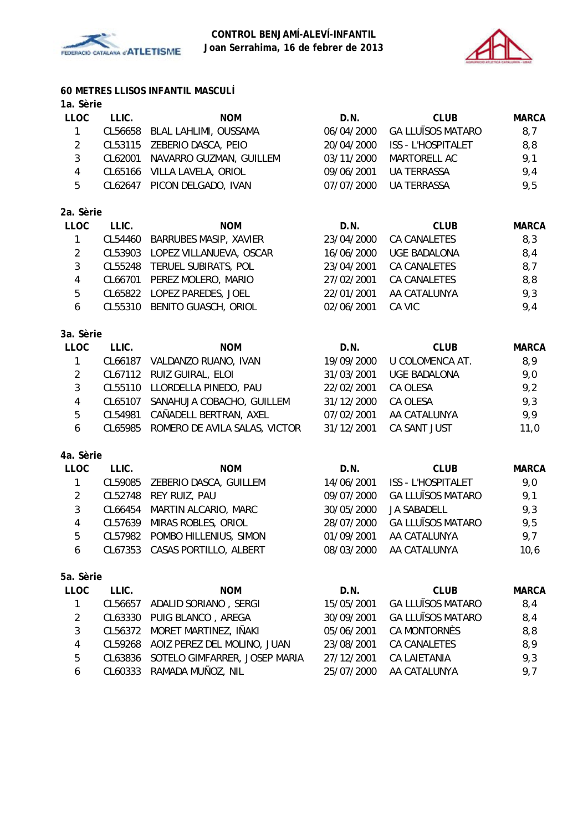



# **60 METRES LLISOS INFANTIL MASCULÍ**

# **1a. Sèrie**

| <b>LLOC</b> | LLIC.   | <b>NOM</b>                    | D.N.       | <b>CLUB</b>               | <b>MARCA</b> |
|-------------|---------|-------------------------------|------------|---------------------------|--------------|
| 1           | CL56658 | BLAL LAHLIMI, OUSSAMA         | 06/04/2000 | <b>GA LLUÏSOS MATARO</b>  | 8,7          |
| 2           | CL53115 | ZEBERIO DASCA, PEIO           | 20/04/2000 | <b>ISS - L'HOSPITALET</b> | 8,8          |
| 3           | CL62001 | NAVARRO GUZMAN, GUILLEM       | 03/11/2000 | MARTORELL AC              | 9,1          |
| 4           | CL65166 | VILLA LAVELA, ORIOL           | 09/06/2001 | UA TERRASSA               | 9,4          |
| 5           | CL62647 | PICON DELGADO, IVAN           | 07/07/2000 | <b>UA TERRASSA</b>        | 9,5          |
| 2a. Sèrie   |         |                               |            |                           |              |
| <b>LLOC</b> | LLIC.   | <b>NOM</b>                    | D.N.       | <b>CLUB</b>               | <b>MARCA</b> |
| 1           | CL54460 | <b>BARRUBES MASIP, XAVIER</b> | 23/04/2000 | CA CANALETES              | 8,3          |
| 2           | CL53903 | LOPEZ VILLANUEVA, OSCAR       | 16/06/2000 | UGE BADALONA              | 8,4          |
| 3           | CL55248 | TERUEL SUBIRATS, POL          | 23/04/2001 | <b>CA CANALETES</b>       | 8,7          |
| 4           | CL66701 | PEREZ MOLERO, MARIO           | 27/02/2001 | CA CANALETES              | 8,8          |
| 5           |         | CL65822 LOPEZ PAREDES, JOEL   | 22/01/2001 | AA CATALUNYA              | 9,3          |
| 6           | CL55310 | BENITO GUASCH, ORIOL          | 02/06/2001 | CA VIC                    | 9,4          |
|             |         |                               |            |                           |              |

## **3a. Sèrie**

| <b>LLOC</b> | LLIC.   | <b>NOM</b>                            | D.N.       | <b>CLUB</b>         | <b>MARCA</b> |
|-------------|---------|---------------------------------------|------------|---------------------|--------------|
|             | CL66187 | VALDANZO RUANO, IVAN                  | 19/09/2000 | U COLOMENCA AT.     | 8,9          |
| 2           |         | CL67112 RUIZ GUIRAL, ELOI             | 31/03/2001 | <b>UGE BADALONA</b> | 9,0          |
| 3           |         | CL55110 LLORDELLA PINEDO, PAU         | 22/02/2001 | CA OLESA            | 9,2          |
| 4           | CL65107 | SANAHUJA COBACHO, GUILLEM             | 31/12/2000 | CA OLESA            | 9,3          |
| 5           | CL54981 | CAÑADELL BERTRAN, AXEL                | 07/02/2001 | AA CATALUNYA        | 9,9          |
| 6           |         | CL65985 ROMERO DE AVILA SALAS, VICTOR | 31/12/2001 | CA SANT JUST        | 11,0         |
|             |         |                                       |            |                     |              |

## **4a. Sèrie**

| LLOC | LLIC.   | <b>NOM</b>                     | D.N.       | <b>CLUB</b>               | <b>MARCA</b> |
|------|---------|--------------------------------|------------|---------------------------|--------------|
|      | CL59085 | ZEBERIO DASCA, GUILLEM         | 14/06/2001 | <b>ISS - L'HOSPITALET</b> | 9,0          |
|      |         | CL52748 REY RUIZ, PAU          | 09/07/2000 | <b>GA LLUÏSOS MATARO</b>  | 9,1          |
| 3    |         | CL66454 MARTIN ALCARIO, MARC   | 30/05/2000 | JA SABADELL               | 9,3          |
| 4    |         | CL57639 MIRAS ROBLES, ORIOL    | 28/07/2000 | <b>GA LLUÏSOS MATARO</b>  | 9,5          |
| 5    |         | CL57982 POMBO HILLENIUS, SIMON | 01/09/2001 | AA CATALUNYA              | 9,7          |
| 6    |         | CL67353 CASAS PORTILLO, ALBERT | 08/03/2000 | AA CATALUNYA              | 10,6         |
|      |         |                                |            |                           |              |

| LLOC           | LLIC. | <b>NOM</b>                            | D.N.       | CLUB                     | <b>MARCA</b> |
|----------------|-------|---------------------------------------|------------|--------------------------|--------------|
| $\overline{1}$ |       | CL56657 ADALID SORIANO, SERGI         | 15/05/2001 | <b>GA LLUÏSOS MATARO</b> | 8,4          |
| 2              |       | CL63330 PUIG BLANCO, AREGA            | 30/09/2001 | <b>GA LLUÏSOS MATARO</b> | 8,4          |
| 3              |       | CL56372 MORET MARTINEZ, IÑAKI         | 05/06/2001 | CA MONTORNÈS             | 8,8          |
| 4              |       | CL59268 AOIZ PEREZ DEL MOLINO, JUAN   | 23/08/2001 | <b>CA CANALETES</b>      | 8,9          |
| 5              |       | CL63836 SOTELO GIMFARRER, JOSEP MARIA | 27/12/2001 | CA LAIETANIA             | 9,3          |
| 6              |       | CL60333 RAMADA MUÑOZ, NIL             | 25/07/2000 | AA CATALUNYA             | 9.7          |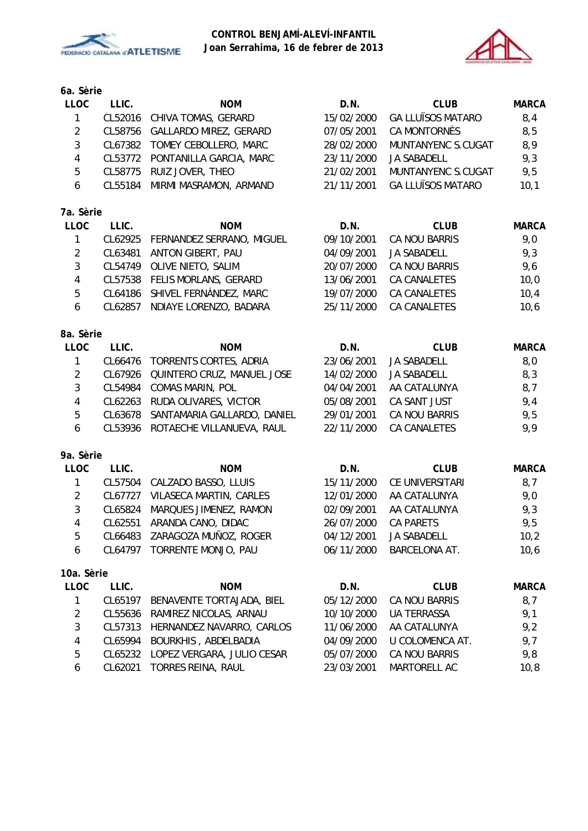



# **6a. Sèrie**

| 00. JUI IU              |         |                               |            |                          |              |
|-------------------------|---------|-------------------------------|------------|--------------------------|--------------|
| <b>LLOC</b>             | LLIC.   | <b>NOM</b>                    | D.N.       | <b>CLUB</b>              | <b>MARCA</b> |
| 1                       | CL52016 | CHIVA TOMAS, GERARD           | 15/02/2000 | <b>GA LLUÏSOS MATARO</b> | 8,4          |
| $\overline{2}$          | CL58756 | GALLARDO MIREZ, GERARD        | 07/05/2001 | CA MONTORNÈS             | 8,5          |
| 3                       |         | CL67382 TOMEY CEBOLLERO, MARC | 28/02/2000 | MUNTANYENC S.CUGAT       | 8,9          |
| $\overline{\mathbf{4}}$ | CL53772 | PONTANILLA GARCIA, MARC       | 23/11/2000 | <b>JA SABADELL</b>       | 9,3          |
| 5                       | CL58775 | RUIZ JOVER, THEO              | 21/02/2001 | MUNTANYENC S.CUGAT       | 9,5          |
| 6                       | CL55184 | MIRMI MASRAMON, ARMAND        | 21/11/2001 | <b>GA LLUÏSOS MATARO</b> | 10,1         |
| 7a. Sèrie               |         |                               |            |                          |              |
| <b>LLOC</b>             | LLIC.   | <b>NOM</b>                    | D.N.       | <b>CLUB</b>              | <b>MARCA</b> |
| $\mathbf{1}$            | CL62925 | FERNANDEZ SERRANO, MIGUEL     | 09/10/2001 | CA NOU BARRIS            | 9,0          |
| $\overline{2}$          | CL63481 | ANTON GIBERT, PAU             | 04/09/2001 | <b>JA SABADELL</b>       | 9,3          |
| 3                       | CL54749 | OLIVE NIETO, SALIM            | 20/07/2000 | CA NOU BARRIS            | 9,6          |
| 4                       |         | CL57538 FELIS MORLANS, GERARD | 13/06/2001 | CA CANALETES             | 10,0         |
| 5                       | CL64186 | SHIVEL FERNÁNDEZ, MARC        | 19/07/2000 | CA CANALETES             | 10,4         |
| 6                       | CL62857 | NDIAYE LORENZO, BADARA        | 25/11/2000 | CA CANALETES             | 10,6         |
| 8a. Sèrie               |         |                               |            |                          |              |
| <b>LLOC</b>             | LLIC.   | <b>NOM</b>                    | D.N.       | <b>CLUB</b>              | <b>MARCA</b> |
| $\mathbf{1}$            | CL66476 | TORRENTS CORTES, ADRIA        | 23/06/2001 | JA SABADELL              | 8,0          |
| $\overline{2}$          | CL67926 | QUINTERO CRUZ, MANUEL JOSE    | 14/02/2000 | <b>JA SABADELL</b>       | 8,3          |
| 3                       | CL54984 | COMAS MARIN, POL              | 04/04/2001 | AA CATALUNYA             | 8,7          |
| 4                       | CL62263 | RUDA OLIVARES, VICTOR         | 05/08/2001 | CA SANT JUST             | 9,4          |
| 5                       | CL63678 | SANTAMARIA GALLARDO, DANIEL   | 29/01/2001 | CA NOU BARRIS            | 9,5          |
| 6                       | CL53936 | ROTAECHE VILLANUEVA, RAUL     | 22/11/2000 | CA CANALETES             | 9,9          |
| 9a. Sèrie               |         |                               |            |                          |              |
| <b>LLOC</b>             | LLIC.   | <b>NOM</b>                    | D.N.       | <b>CLUB</b>              | <b>MARCA</b> |
| 1                       |         | CL57504 CALZADO BASSO, LLUIS  | 15/11/2000 | CE UNIVERSITARI          | 8,7          |
| $\overline{2}$          | CL67727 | VILASECA MARTIN, CARLES       | 12/01/2000 | AA CATALUNYA             | 9,0          |
| 3                       | CL65824 | MARQUES JIMENEZ, RAMON        | 02/09/2001 | AA CATALUNYA             | 9,3          |
| 4                       | CL62551 | ARANDA CANO, DIDAC            | 26/07/2000 | <b>CA PARETS</b>         | 9,5          |
| 5                       |         | CL66483 ZARAGOZA MUÑOZ, ROGER | 04/12/2001 | JA SABADELL              | 10,2         |
| 6                       | CL64797 | TORRENTE MONJO, PAU           | 06/11/2000 | BARCELONA AT.            | 10,6         |
| 10a. Sèrie              |         |                               |            |                          |              |
| LLOC                    | LLIC.   | <b>NOM</b>                    | D.N.       | <b>CLUB</b>              | <b>MARCA</b> |
| 1                       | CL65197 | BENAVENTE TORTAJADA, BIEL     | 05/12/2000 | CA NOU BARRIS            | 8,7          |
| $\overline{\mathbf{c}}$ | CL55636 | RAMIREZ NICOLAS, ARNAU        | 10/10/2000 | <b>UA TERRASSA</b>       | 9,1          |
| 3                       | CL57313 | HERNANDEZ NAVARRO, CARLOS     | 11/06/2000 | AA CATALUNYA             | 9,2          |
| 4                       | CL65994 | BOURKHIS, ABDELBADIA          | 04/09/2000 | U COLOMENCA AT.          | 9,7          |

5 CL65232 LOPEZ VERGARA, JULIO CESAR 05/07/2000 CA NOU BARRIS 9,8 6 CL62021 TORRES REINA, RAUL 23/03/2001 MARTORELL AC 10,8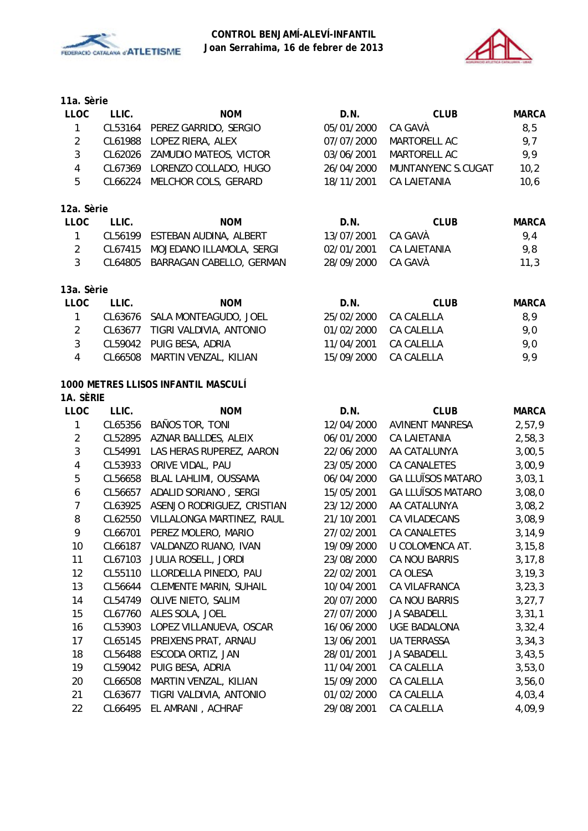



| 11a. Sèrie |  |  |  |
|------------|--|--|--|
|------------|--|--|--|

| <b>LLOC</b>             | LLIC.   | <b>NOM</b>                          | D.N.       | <b>CLUB</b>              | <b>MARCA</b> |
|-------------------------|---------|-------------------------------------|------------|--------------------------|--------------|
| $\mathbf{1}$            | CL53164 | PEREZ GARRIDO, SERGIO               | 05/01/2000 | CA GAVÀ                  | 8, 5         |
| $\overline{2}$          | CL61988 | LOPEZ RIERA, ALEX                   | 07/07/2000 | MARTORELL AC             | 9,7          |
| 3                       | CL62026 | ZAMUDIO MATEOS, VICTOR              | 03/06/2001 | MARTORELL AC             | 9,9          |
| 4                       | CL67369 | LORENZO COLLADO, HUGO               | 26/04/2000 | MUNTANYENC S.CUGAT       | 10,2         |
| 5                       | CL66224 | MELCHOR COLS, GERARD                | 18/11/2001 | <b>CA LAIETANIA</b>      | 10,6         |
| 12a. Sèrie              |         |                                     |            |                          |              |
| <b>LLOC</b>             | LLIC.   | <b>NOM</b>                          | D.N.       | <b>CLUB</b>              | <b>MARCA</b> |
| $\mathbf{1}$            | CL56199 | ESTEBAN AUDINA, ALBERT              | 13/07/2001 | CA GAVÀ                  | 9,4          |
| $\overline{2}$          | CL67415 | MOJEDANO ILLAMOLA, SERGI            | 02/01/2001 | CA LAIETANIA             | 9,8          |
| $\overline{3}$          | CL64805 | BARRAGAN CABELLO, GERMAN            | 28/09/2000 | CA GAVÀ                  | 11,3         |
| 13a. Sèrie              |         |                                     |            |                          |              |
| <b>LLOC</b>             | LLIC.   | <b>NOM</b>                          | D.N.       | <b>CLUB</b>              | <b>MARCA</b> |
| $\mathbf{1}$            | CL63676 | SALA MONTEAGUDO, JOEL               | 25/02/2000 | CA CALELLA               | 8,9          |
| $\overline{2}$          | CL63677 | TIGRI VALDIVIA, ANTONIO             | 01/02/2000 | CA CALELLA               | 9,0          |
| 3                       | CL59042 | PUIG BESA, ADRIA                    | 11/04/2001 | CA CALELLA               | 9,0          |
| 4                       | CL66508 | MARTIN VENZAL, KILIAN               | 15/09/2000 | CA CALELLA               | 9,9          |
|                         |         | 1000 METRES LLISOS INFANTIL MASCULÍ |            |                          |              |
| 1A. SÈRIE               |         |                                     |            |                          |              |
| <b>LLOC</b>             | LLIC.   | <b>NOM</b>                          | D.N.       | <b>CLUB</b>              | <b>MARCA</b> |
| 1                       | CL65356 | BAÑOS TOR, TONI                     | 12/04/2000 | <b>AVINENT MANRESA</b>   | 2,57,9       |
| $\overline{2}$          | CL52895 | AZNAR BALLDES, ALEIX                | 06/01/2000 | CA LAIETANIA             | 2,58,3       |
| 3                       | CL54991 | LAS HERAS RUPEREZ, AARON            | 22/06/2000 | AA CATALUNYA             | 3,00,5       |
| $\overline{\mathbf{4}}$ | CL53933 | ORIVE VIDAL, PAU                    | 23/05/2000 | CA CANALETES             | 3,00,9       |
| 5                       | CL56658 | BLAL LAHLIMI, OUSSAMA               | 06/04/2000 | <b>GA LLUÏSOS MATARO</b> | 3,03,1       |
| 6                       | CL56657 | ADALID SORIANO, SERGI               | 15/05/2001 | <b>GA LLUÏSOS MATARO</b> | 3,08,0       |
| $\overline{7}$          | CL63925 | ASENJO RODRIGUEZ, CRISTIAN          | 23/12/2000 | AA CATALUNYA             | 3,08,2       |
| 8                       | CL62550 | VILLALONGA MARTINEZ, RAUL           | 21/10/2001 | CA VILADECANS            | 3,08,9       |
| 9                       | CL66701 | PEREZ MOLERO, MARIO                 | 27/02/2001 | <b>CA CANALETES</b>      | 3, 14, 9     |
| 10                      | CL66187 | VALDANZO RUANO, IVAN                | 19/09/2000 | U COLOMENCA AT.          | 3, 15, 8     |
| 11                      | CL67103 | JULIA ROSELL, JORDI                 | 23/08/2000 | CA NOU BARRIS            | 3, 17, 8     |
| 12                      | CL55110 | LLORDELLA PINEDO, PAU               | 22/02/2001 | CA OLESA                 | 3, 19, 3     |
| 13                      | CL56644 | <b>CLEMENTE MARIN, SUHAIL</b>       | 10/04/2001 | CA VILAFRANCA            | 3, 23, 3     |
| 14                      | CL54749 | OLIVE NIETO, SALIM                  | 20/07/2000 | CA NOU BARRIS            | 3, 27, 7     |
| 15                      | CL67760 | ALES SOLA, JOEL                     | 27/07/2000 | JA SABADELL              | 3,31,1       |
| 16                      | CL53903 | LOPEZ VILLANUEVA, OSCAR             | 16/06/2000 | <b>UGE BADALONA</b>      | 3,32,4       |
| 17                      | CL65145 | PREIXENS PRAT, ARNAU                | 13/06/2001 | UA TERRASSA              | 3,34,3       |
| 18                      | CL56488 | ESCODA ORTIZ, JAN                   | 28/01/2001 | JA SABADELL              | 3,43,5       |
| 19                      | CL59042 | PUIG BESA, ADRIA                    | 11/04/2001 | CA CALELLA               | 3,53,0       |
| 20                      | CL66508 | MARTIN VENZAL, KILIAN               | 15/09/2000 | CA CALELLA               | 3,56,0       |
| 21                      | CL63677 | TIGRI VALDIVIA, ANTONIO             | 01/02/2000 | CA CALELLA               | 4,03,4       |
| 22                      | CL66495 | EL AMRANI, ACHRAF                   | 29/08/2001 | CA CALELLA               | 4,09,9       |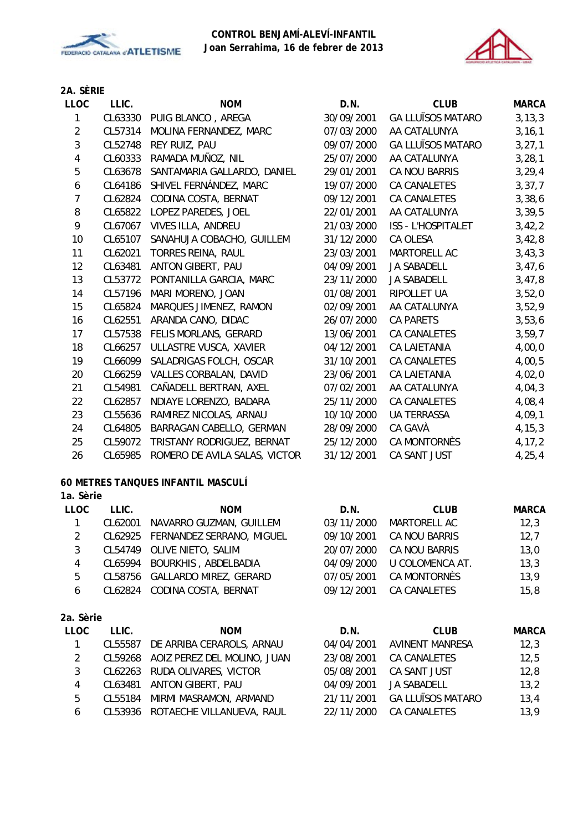



# **2A. SÈRIE**

| LLOC           | LLIC.   | <b>NOM</b>                    | D.N.       | <b>CLUB</b>               | <b>MARCA</b> |
|----------------|---------|-------------------------------|------------|---------------------------|--------------|
| 1              | CL63330 | PUIG BLANCO, AREGA            | 30/09/2001 | <b>GA LLUÏSOS MATARO</b>  | 3, 13, 3     |
| $\overline{2}$ | CL57314 | MOLINA FERNANDEZ, MARC        | 07/03/2000 | AA CATALUNYA              | 3, 16, 1     |
| $\sqrt{3}$     | CL52748 | REY RUIZ, PAU                 | 09/07/2000 | <b>GA LLUÏSOS MATARO</b>  | 3, 27, 1     |
| $\overline{4}$ | CL60333 | RAMADA MUÑOZ, NIL             | 25/07/2000 | AA CATALUNYA              | 3, 28, 1     |
| 5              | CL63678 | SANTAMARIA GALLARDO, DANIEL   | 29/01/2001 | CA NOU BARRIS             | 3, 29, 4     |
| 6              | CL64186 | SHIVEL FERNÁNDEZ, MARC        | 19/07/2000 | <b>CA CANALETES</b>       | 3, 37, 7     |
| 7              | CL62824 | CODINA COSTA, BERNAT          | 09/12/2001 | CA CANALETES              | 3,38,6       |
| 8              | CL65822 | LOPEZ PAREDES, JOEL           | 22/01/2001 | AA CATALUNYA              | 3, 39, 5     |
| 9              | CL67067 | VIVES ILLA, ANDREU            | 21/03/2000 | <b>ISS - L'HOSPITALET</b> | 3,42,2       |
| 10             | CL65107 | SANAHUJA COBACHO, GUILLEM     | 31/12/2000 | CA OLESA                  | 3,42,8       |
| 11             | CL62021 | TORRES REINA, RAUL            | 23/03/2001 | MARTORELL AC              | 3,43,3       |
| 12             | CL63481 | ANTON GIBERT, PAU             | 04/09/2001 | JA SABADELL               | 3,47,6       |
| 13             | CL53772 | PONTANILLA GARCIA, MARC       | 23/11/2000 | JA SABADELL               | 3,47,8       |
| 14             | CL57196 | MARI MORENO, JOAN             | 01/08/2001 | RIPOLLET UA               | 3,52,0       |
| 15             | CL65824 | MARQUES JIMENEZ, RAMON        | 02/09/2001 | AA CATALUNYA              | 3,52,9       |
| 16             | CL62551 | ARANDA CANO, DIDAC            | 26/07/2000 | <b>CA PARETS</b>          | 3,53,6       |
| 17             | CL57538 | FELIS MORLANS, GERARD         | 13/06/2001 | CA CANALETES              | 3,59,7       |
| 18             | CL66257 | ULLASTRE VUSCA, XAVIER        | 04/12/2001 | <b>CA LAIETANIA</b>       | 4,00,0       |
| 19             | CL66099 | SALADRIGAS FOLCH, OSCAR       | 31/10/2001 | <b>CA CANALETES</b>       | 4,00,5       |
| 20             | CL66259 | VALLES CORBALAN, DAVID        | 23/06/2001 | <b>CA LAIETANIA</b>       | 4,02,0       |
| 21             | CL54981 | CAÑADELL BERTRAN, AXEL        | 07/02/2001 | AA CATALUNYA              | 4,04,3       |
| 22             | CL62857 | NDIAYE LORENZO, BADARA        | 25/11/2000 | <b>CA CANALETES</b>       | 4,08,4       |
| 23             | CL55636 | RAMIREZ NICOLAS, ARNAU        | 10/10/2000 | <b>UA TERRASSA</b>        | 4,09,1       |
| 24             | CL64805 | BARRAGAN CABELLO, GERMAN      | 28/09/2000 | CA GAVÀ                   | 4, 15, 3     |
| 25             | CL59072 | TRISTANY RODRIGUEZ, BERNAT    | 25/12/2000 | CA MONTORNÈS              | 4, 17, 2     |
| 26             | CL65985 | ROMERO DE AVILA SALAS, VICTOR | 31/12/2001 | CA SANT JUST              | 4, 25, 4     |

#### **60 METRES TANQUES INFANTIL MASCULÍ**

| <b>LLOC</b> | LLIC.   | <b>NOM</b>                        | D.N.       | <b>CLUB</b>         | <b>MARCA</b> |
|-------------|---------|-----------------------------------|------------|---------------------|--------------|
|             | CL62001 | NAVARRO GUZMAN, GUILLEM           | 03/11/2000 | MARTORELL AC        | 12,3         |
| 2           |         | CL62925 FERNANDEZ SERRANO, MIGUEL | 09/10/2001 | CA NOU BARRIS       | 12,7         |
| 3           |         | CL54749 OLIVE NIETO, SALIM        | 20/07/2000 | CA NOU BARRIS       | 13,0         |
| 4           | CL65994 | BOURKHIS, ABDELBADIA              | 04/09/2000 | U COLOMENCA AT.     | 13,3         |
| 5           |         | CL58756 GALLARDO MIREZ, GERARD    | 07/05/2001 | CA MONTORNÈS        | 13,9         |
| 6           |         | CL62824 CODINA COSTA, BERNAT      | 09/12/2001 | <b>CA CANALETES</b> | 15,8         |
|             |         |                                   |            |                     |              |
| 2a. Sèrie   |         |                                   |            |                     |              |

| <b>LLOC</b> | LLIC.   | <b>NOM</b>                          | D.N.       | <b>CLUB</b>              | <b>MARCA</b> |
|-------------|---------|-------------------------------------|------------|--------------------------|--------------|
|             | CL55587 | DE ARRIBA CERAROLS, ARNAU           | 04/04/2001 | AVINENT MANRESA          | 12,3         |
|             |         | CL59268 AOIZ PEREZ DEL MOLINO, JUAN | 23/08/2001 | CA CANALETES             | 12,5         |
| 3           |         | CL62263 RUDA OLIVARES, VICTOR       | 05/08/2001 | CA SANT JUST             | 12,8         |
| 4           |         | CL63481 ANTON GIBERT, PAU           | 04/09/2001 | JA SABADELL              | 13,2         |
| 5           |         | CL55184 MIRMI MASRAMON, ARMAND      | 21/11/2001 | <b>GA LLUÏSOS MATARO</b> | 13,4         |
| 6           |         | CL53936 ROTAECHE VILLANUEVA, RAUL   | 22/11/2000 | CA CANALETES             | 13,9         |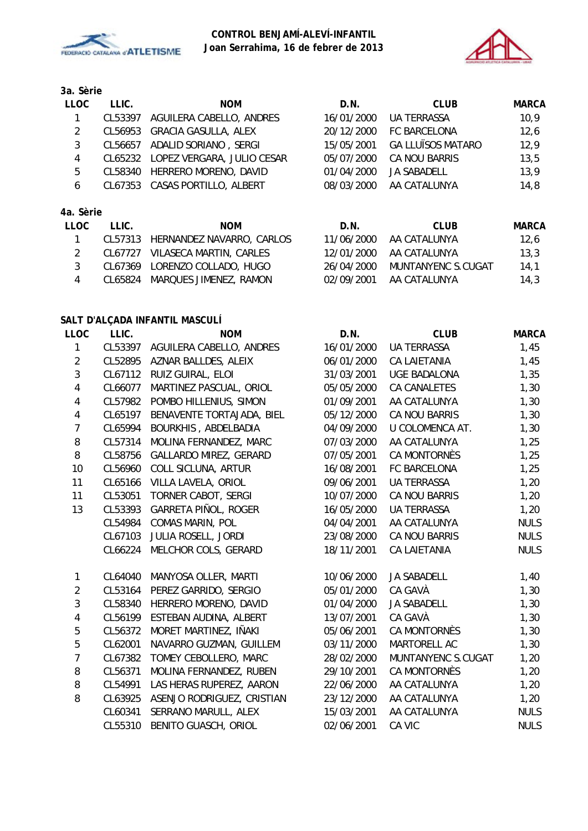



**3a. Sèrie**

| <b>LLOC</b> | LLIC.   | <b>NOM</b>                         | D.N.       | <b>CLUB</b>              | <b>MARCA</b> |
|-------------|---------|------------------------------------|------------|--------------------------|--------------|
|             | CL53397 | AGUILERA CABELLO, ANDRES           | 16/01/2000 | UA TERRASSA              | 10,9         |
| 2           | CL56953 | <b>GRACIA GASULLA, ALEX</b>        | 20/12/2000 | FC BARCELONA             | 12,6         |
| 3           | CL56657 | ADALID SORIANO, SERGI              | 15/05/2001 | <b>GA LLUÏSOS MATARO</b> | 12,9         |
| 4           |         | CL65232 LOPEZ VERGARA, JULIO CESAR | 05/07/2000 | CA NOU BARRIS            | 13,5         |
| 5           | CL58340 | HERRERO MORENO, DAVID              | 01/04/2000 | JA SABADELL              | 13,9         |
| 6           |         | CL67353 CASAS PORTILLO, ALBERT     | 08/03/2000 | AA CATALUNYA             | 14,8         |
|             |         |                                    |            |                          |              |
| 4a. Sèrie   |         |                                    |            |                          |              |

| LLOC. | LLIC. | <b>NOM</b>                        | D.N.       | CLUB               | MARCA |
|-------|-------|-----------------------------------|------------|--------------------|-------|
|       |       | CL57313 HERNANDEZ NAVARRO, CARLOS | 11/06/2000 | AA CATALUNYA       | 12.6  |
|       |       | CL67727 VILASECA MARTIN, CARLES   | 12/01/2000 | AA CATALUNYA       | 13.3  |
|       |       | CL67369 LORENZO COLLADO, HUGO     | 26/04/2000 | MUNTANYENC S.CUGAT | 14.1  |
|       |       | CL65824 MARQUES JIMENEZ, RAMON    | 02/09/2001 | AA CATALUNYA       | 14.3  |

# **SALT D'ALÇADA INFANTIL MASCULÍ**

| <b>LLOC</b>             | LLIC.   | <b>NOM</b>                                            | D.N.       | <b>CLUB</b>         | <b>MARCA</b> |
|-------------------------|---------|-------------------------------------------------------|------------|---------------------|--------------|
| 1                       |         | CL53397 AGUILERA CABELLO, ANDRES                      | 16/01/2000 | UA TERRASSA         | 1,45         |
| $\overline{2}$          | CL52895 | AZNAR BALLDES, ALEIX                                  | 06/01/2000 | CA LAIETANIA        | 1,45         |
| $\mathfrak{Z}$          | CL67112 | RUIZ GUIRAL, ELOI                                     | 31/03/2001 | UGE BADALONA        | 1,35         |
| $\overline{4}$          | CL66077 | MARTINEZ PASCUAL, ORIOL<br>CA CANALETES<br>05/05/2000 |            |                     | 1,30         |
| $\overline{\mathbf{4}}$ |         | CL57982 POMBO HILLENIUS, SIMON                        | 01/09/2001 | AA CATALUNYA        | 1,30         |
| $\overline{\mathbf{4}}$ | CL65197 | BENAVENTE TORTAJADA, BIEL                             | 05/12/2000 | CA NOU BARRIS       | 1,30         |
| $\overline{7}$          | CL65994 | BOURKHIS, ABDELBADIA                                  | 04/09/2000 | U COLOMENCA AT.     | 1,30         |
| $\, 8$                  | CL57314 | MOLINA FERNANDEZ, MARC                                | 07/03/2000 | AA CATALUNYA        | 1,25         |
| 8                       | CL58756 | <b>GALLARDO MIREZ, GERARD</b>                         | 07/05/2001 | CA MONTORNÈS        | 1,25         |
| 10                      | CL56960 | COLL SICLUNA, ARTUR                                   | 16/08/2001 | FC BARCELONA        | 1,25         |
| 11                      | CL65166 | VILLA LAVELA, ORIOL                                   | 09/06/2001 | <b>UA TERRASSA</b>  | 1,20         |
| 11                      | CL53051 | TORNER CABOT, SERGI                                   | 10/07/2000 | CA NOU BARRIS       | 1,20         |
| 13                      | CL53393 | GARRETA PIÑOL, ROGER                                  | 16/05/2000 | <b>UA TERRASSA</b>  | 1,20         |
|                         | CL54984 | <b>COMAS MARIN, POL</b>                               | 04/04/2001 | AA CATALUNYA        | <b>NULS</b>  |
|                         | CL67103 | JULIA ROSELL, JORDI                                   | 23/08/2000 | CA NOU BARRIS       | <b>NULS</b>  |
|                         | CL66224 | MELCHOR COLS, GERARD                                  | 18/11/2001 | <b>CA LAIETANIA</b> | <b>NULS</b>  |
| 1                       | CL64040 | MANYOSA OLLER, MARTI                                  | 10/06/2000 | JA SABADELL         | 1,40         |
| $\overline{2}$          |         | CL53164 PEREZ GARRIDO, SERGIO                         | 05/01/2000 | CA GAVÀ             | 1,30         |
| $\mathfrak{Z}$          | CL58340 | HERRERO MORENO, DAVID                                 | 01/04/2000 | JA SABADELL         | 1,30         |
| $\overline{\mathbf{4}}$ |         | CL56199 ESTEBAN AUDINA, ALBERT                        | 13/07/2001 | CA GAVÀ             | 1,30         |
| $\mathbf 5$             | CL56372 | MORET MARTINEZ, IÑAKI                                 | 05/06/2001 | CA MONTORNÈS        | 1,30         |
| 5                       | CL62001 | NAVARRO GUZMAN, GUILLEM                               | 03/11/2000 | MARTORELL AC        | 1,30         |
| $\overline{7}$          | CL67382 | TOMEY CEBOLLERO, MARC                                 | 28/02/2000 | MUNTANYENC S.CUGAT  | 1,20         |
| 8                       | CL56371 | MOLINA FERNANDEZ, RUBEN                               | 29/10/2001 | CA MONTORNÈS        | 1,20         |
| 8                       | CL54991 | LAS HERAS RUPEREZ, AARON                              | 22/06/2000 | AA CATALUNYA        |              |
| 8                       | CL63925 | ASENJO RODRIGUEZ, CRISTIAN                            | 23/12/2000 | AA CATALUNYA        | 1,20         |
|                         | CL60341 | SERRANO MARULL, ALEX                                  | 15/03/2001 | AA CATALUNYA        | <b>NULS</b>  |
|                         | CL55310 | BENITO GUASCH, ORIOL                                  | 02/06/2001 | CA VIC              | <b>NULS</b>  |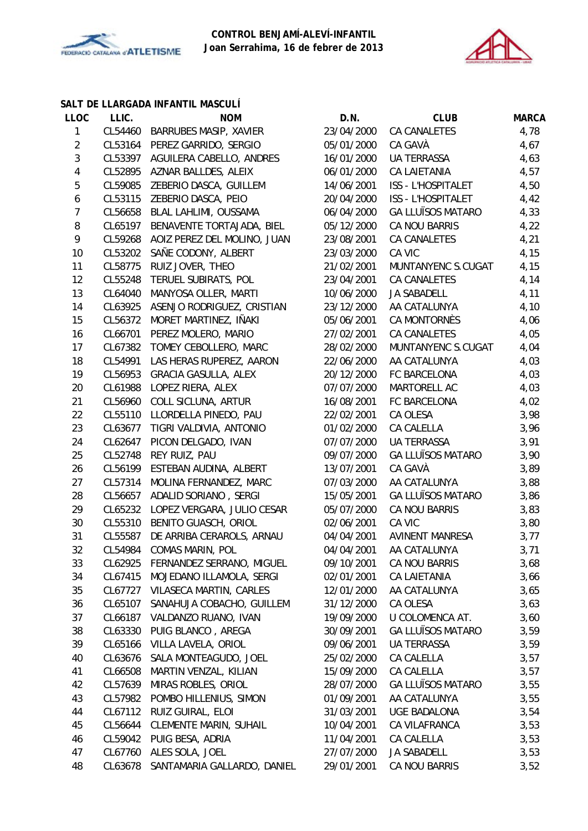



# **SALT DE LLARGADA INFANTIL MASCULÍ**

| <b>LLOC</b>    | LLIC.   | <b>NOM</b>                          | D.N.                             | <b>CLUB</b>              | <b>MARCA</b> |
|----------------|---------|-------------------------------------|----------------------------------|--------------------------|--------------|
| $\mathbf{1}$   | CL54460 | <b>BARRUBES MASIP, XAVIER</b>       | 23/04/2000                       | CA CANALETES             | 4,78         |
| $\overline{2}$ | CL53164 | PEREZ GARRIDO, SERGIO               | CA GAVÀ<br>05/01/2000            |                          | 4,67         |
| $\mathfrak{Z}$ | CL53397 | AGUILERA CABELLO, ANDRES            | 16/01/2000<br><b>UA TERRASSA</b> |                          | 4,63         |
| 4              |         | CL52895 AZNAR BALLDES, ALEIX        | 06/01/2000                       | CA LAIETANIA             | 4,57         |
| 5              | CL59085 | ZEBERIO DASCA, GUILLEM              | 14/06/2001                       | ISS - L'HOSPITALET       | 4,50         |
| 6              | CL53115 | ZEBERIO DASCA, PEIO                 | 20/04/2000                       | ISS - L'HOSPITALET       | 4,42         |
| $\overline{7}$ | CL56658 | BLAL LAHLIMI, OUSSAMA               | 06/04/2000                       | <b>GA LLUÏSOS MATARO</b> | 4,33         |
| 8              | CL65197 | BENAVENTE TORTAJADA, BIEL           | 05/12/2000                       | CA NOU BARRIS            | 4,22         |
| 9              | CL59268 | AOIZ PEREZ DEL MOLINO, JUAN         | 23/08/2001                       | CA CANALETES             | 4,21         |
| 10             | CL53202 | SAÑE CODONY, ALBERT                 | 23/03/2000                       | CA VIC                   | 4,15         |
| 11             | CL58775 | RUIZ JOVER, THEO                    | 21/02/2001                       | MUNTANYENC S.CUGAT       | 4,15         |
| 12             | CL55248 | TERUEL SUBIRATS, POL                | 23/04/2001                       | CA CANALETES             | 4,14         |
| 13             | CL64040 | MANYOSA OLLER, MARTI                | 10/06/2000                       | <b>JA SABADELL</b>       | 4,11         |
| 14             | CL63925 | ASENJO RODRIGUEZ, CRISTIAN          | 23/12/2000                       | AA CATALUNYA             | 4,10         |
| 15             | CL56372 | MORET MARTINEZ, IÑAKI               | 05/06/2001                       | CA MONTORNÈS             | 4,06         |
| 16             | CL66701 | PEREZ MOLERO, MARIO                 | 27/02/2001                       | CA CANALETES             | 4,05         |
| 17             | CL67382 | TOMEY CEBOLLERO, MARC               | 28/02/2000                       | MUNTANYENC S.CUGAT       | 4,04         |
| 18             | CL54991 | LAS HERAS RUPEREZ, AARON            | 22/06/2000                       | AA CATALUNYA             | 4,03         |
| 19             | CL56953 | <b>GRACIA GASULLA, ALEX</b>         | 20/12/2000                       | FC BARCELONA             | 4,03         |
| 20             | CL61988 | LOPEZ RIERA, ALEX                   | 07/07/2000                       | MARTORELL AC             | 4,03         |
| 21             | CL56960 | COLL SICLUNA, ARTUR                 | 16/08/2001                       | FC BARCELONA             | 4,02         |
| 22             | CL55110 | LLORDELLA PINEDO, PAU               | 22/02/2001                       | CA OLESA                 | 3,98         |
| 23             | CL63677 | TIGRI VALDIVIA, ANTONIO             | 01/02/2000                       | CA CALELLA               | 3,96         |
| 24             | CL62647 | PICON DELGADO, IVAN                 | 07/07/2000                       | <b>UA TERRASSA</b>       | 3,91         |
| 25             | CL52748 | REY RUIZ, PAU                       | 09/07/2000                       | <b>GA LLUÏSOS MATARO</b> | 3,90         |
| 26             | CL56199 | ESTEBAN AUDINA, ALBERT              | 13/07/2001                       | CA GAVÀ                  | 3,89         |
| 27             | CL57314 | MOLINA FERNANDEZ, MARC              | 07/03/2000                       | AA CATALUNYA             | 3,88         |
| 28             | CL56657 | ADALID SORIANO, SERGI               | 15/05/2001                       | <b>GA LLUÏSOS MATARO</b> | 3,86         |
| 29             | CL65232 | LOPEZ VERGARA, JULIO CESAR          | 05/07/2000                       | CA NOU BARRIS            | 3,83         |
| 30             | CL55310 | BENITO GUASCH, ORIOL                | 02/06/2001                       | CA VIC                   | 3,80         |
| 31             | CL55587 | DE ARRIBA CERAROLS, ARNAU           | 04/04/2001                       | <b>AVINENT MANRESA</b>   | 3,77         |
| 32             | CL54984 | <b>COMAS MARIN, POL</b>             | 04/04/2001                       | AA CATALUNYA             | 3,71         |
| 33             |         | CL62925 FERNANDEZ SERRANO, MIGUEL   | 09/10/2001                       | CA NOU BARRIS            | 3,68         |
| 34             | CL67415 | MOJEDANO ILLAMOLA, SERGI            | 02/01/2001                       | CA LAIETANIA             | 3,66         |
| 35             |         | CL67727 VILASECA MARTIN, CARLES     | 12/01/2000                       | AA CATALUNYA             | 3,65         |
| 36             | CL65107 | SANAHUJA COBACHO, GUILLEM           | 31/12/2000                       | CA OLESA                 | 3,63         |
| 37             | CL66187 | VALDANZO RUANO, IVAN                | 19/09/2000                       | U COLOMENCA AT.          | 3,60         |
| 38             | CL63330 | PUIG BLANCO, AREGA                  | 30/09/2001                       | <b>GA LLUÏSOS MATARO</b> | 3,59         |
| 39             | CL65166 | VILLA LAVELA, ORIOL                 | 09/06/2001                       | UA TERRASSA              | 3,59         |
| 40             | CL63676 | SALA MONTEAGUDO, JOEL               | 25/02/2000                       | CA CALELLA               | 3,57         |
| 41             | CL66508 | MARTIN VENZAL, KILIAN               | 15/09/2000                       | CA CALELLA               | 3,57         |
| 42             | CL57639 | MIRAS ROBLES, ORIOL                 | 28/07/2000                       | <b>GA LLUÏSOS MATARO</b> | 3,55         |
| 43             |         | CL57982 POMBO HILLENIUS, SIMON      | 01/09/2001                       | AA CATALUNYA             | 3,55         |
| 44             |         | CL67112 RUIZ GUIRAL, ELOI           | 31/03/2001                       | UGE BADALONA             | 3,54         |
| 45             | CL56644 | <b>CLEMENTE MARIN, SUHAIL</b>       | 10/04/2001                       | CA VILAFRANCA            | 3,53         |
| 46             | CL59042 | PUIG BESA, ADRIA                    | 11/04/2001                       | CA CALELLA               | 3,53         |
| 47             |         | CL67760 ALES SOLA, JOEL             | 27/07/2000                       | JA SABADELL              | 3,53         |
| 48             |         | CL63678 SANTAMARIA GALLARDO, DANIEL | 29/01/2001                       | CA NOU BARRIS            | 3,52         |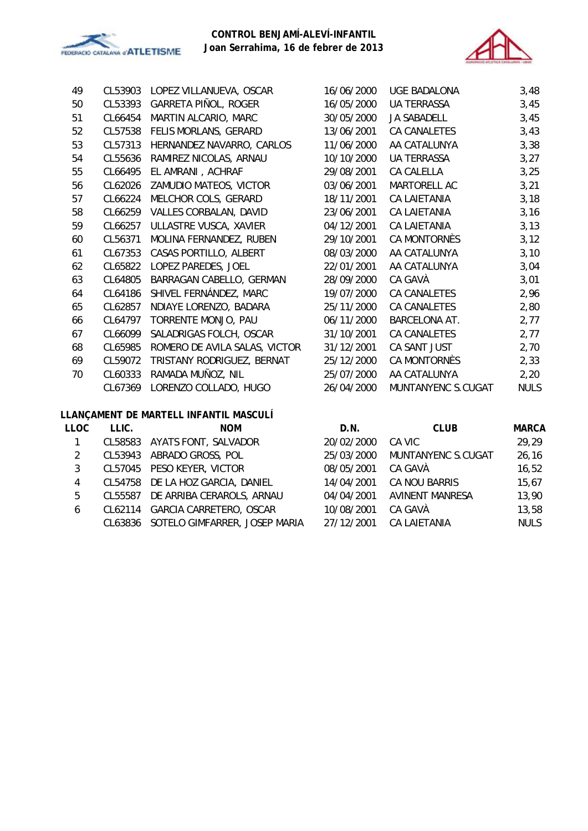



| 49 | CL53903 | LOPEZ VILLANUEVA, OSCAR       | 16/06/2000 | <b>UGE BADALONA</b> | 3,48        |
|----|---------|-------------------------------|------------|---------------------|-------------|
| 50 | CL53393 | GARRETA PIÑOL, ROGER          | 16/05/2000 | <b>UA TERRASSA</b>  | 3,45        |
| 51 | CL66454 | MARTIN ALCARIO, MARC          | 30/05/2000 | <b>JA SABADELL</b>  | 3,45        |
| 52 | CL57538 | FELIS MORLANS, GERARD         | 13/06/2001 | CA CANALETES        | 3,43        |
| 53 | CL57313 | HERNANDEZ NAVARRO, CARLOS     | 11/06/2000 | AA CATALUNYA        | 3,38        |
| 54 | CL55636 | RAMIREZ NICOLAS, ARNAU        | 10/10/2000 | <b>UA TERRASSA</b>  | 3,27        |
| 55 | CL66495 | EL AMRANI, ACHRAF             | 29/08/2001 | CA CALELLA          | 3,25        |
| 56 | CL62026 | ZAMUDIO MATEOS, VICTOR        | 03/06/2001 | MARTORELL AC        | 3,21        |
| 57 | CL66224 | MELCHOR COLS, GERARD          | 18/11/2001 | CA LAIETANIA        | 3,18        |
| 58 | CL66259 | <b>VALLES CORBALAN, DAVID</b> | 23/06/2001 | CA LAIETANIA        | 3,16        |
| 59 | CL66257 | ULLASTRE VUSCA, XAVIER        | 04/12/2001 | <b>CA LAIETANIA</b> | 3,13        |
| 60 | CL56371 | MOLINA FERNANDEZ, RUBEN       | 29/10/2001 | CA MONTORNÈS        | 3,12        |
| 61 | CL67353 | CASAS PORTILLO, ALBERT        | 08/03/2000 | AA CATALUNYA        | 3,10        |
| 62 | CL65822 | LOPEZ PAREDES, JOEL           | 22/01/2001 | AA CATALUNYA        | 3,04        |
| 63 | CL64805 | BARRAGAN CABELLO, GERMAN      | 28/09/2000 | CA GAVÀ             | 3,01        |
| 64 | CL64186 | SHIVEL FERNÁNDEZ, MARC        | 19/07/2000 | CA CANALETES        | 2,96        |
| 65 | CL62857 | NDIAYE LORENZO, BADARA        | 25/11/2000 | CA CANALETES        | 2,80        |
| 66 | CL64797 | TORRENTE MONJO, PAU           | 06/11/2000 | BARCELONA AT.       | 2,77        |
| 67 | CL66099 | SALADRIGAS FOLCH, OSCAR       | 31/10/2001 | <b>CA CANALETES</b> | 2,77        |
| 68 | CL65985 | ROMERO DE AVILA SALAS, VICTOR | 31/12/2001 | CA SANT JUST        | 2,70        |
| 69 | CL59072 | TRISTANY RODRIGUEZ, BERNAT    | 25/12/2000 | CA MONTORNÈS        | 2,33        |
| 70 | CL60333 | RAMADA MUÑOZ, NIL             | 25/07/2000 | AA CATALUNYA        | 2,20        |
|    | CL67369 | LORENZO COLLADO, HUGO         | 26/04/2000 | MUNTANYENC S.CUGAT  | <b>NULS</b> |

## **LLANÇAMENT DE MARTELL INFANTIL MASCULÍ**

| LLIC.   | <b>NOM</b>                | D.N.                                                                                                                                                                                                    | <b>CLUB</b>            | <b>MARCA</b> |
|---------|---------------------------|---------------------------------------------------------------------------------------------------------------------------------------------------------------------------------------------------------|------------------------|--------------|
|         |                           | 20/02/2000                                                                                                                                                                                              | CA VIC                 | 29,29        |
|         |                           | 25/03/2000                                                                                                                                                                                              | MUNTANYENC S.CUGAT     | 26, 16       |
|         |                           | 08/05/2001                                                                                                                                                                                              | CA GAVÀ                | 16,52        |
|         |                           | 14/04/2001                                                                                                                                                                                              | CA NOU BARRIS          | 15,67        |
| CL55587 | DE ARRIBA CERAROLS, ARNAU | 04/04/2001                                                                                                                                                                                              | <b>AVINENT MANRESA</b> | 13,90        |
|         |                           | 10/08/2001                                                                                                                                                                                              | CA GAVÀ                | 13,58        |
|         |                           | 27/12/2001                                                                                                                                                                                              | <b>CA LAIETANIA</b>    | <b>NULS</b>  |
|         |                           | CL58583 AYATS FONT, SALVADOR<br>CL53943 ABRADO GROSS, POL<br>CL57045 PESO KEYER, VICTOR<br>CL54758 DE LA HOZ GARCIA, DANIEL<br>CL62114 GARCIA CARRETERO, OSCAR<br>CL63836 SOTELO GIMFARRER, JOSEP MARIA |                        |              |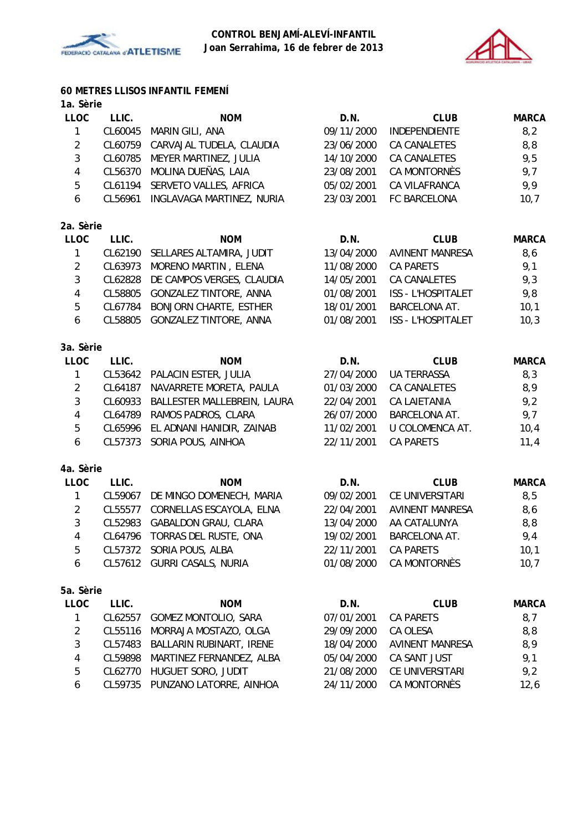



## **60 METRES LLISOS INFANTIL FEMENÍ**

| ia. Serie               |         |                                                          |            |                           |              |
|-------------------------|---------|----------------------------------------------------------|------------|---------------------------|--------------|
| <b>LLOC</b>             | LLIC.   | <b>NOM</b>                                               | D.N.       | <b>CLUB</b>               | <b>MARCA</b> |
| $\mathbf{1}$            | CL60045 | MARIN GILI, ANA                                          | 09/11/2000 | INDEPENDIENTE             | 8,2          |
| $\overline{2}$          | CL60759 | CARVAJAL TUDELA, CLAUDIA                                 | 23/06/2000 | CA CANALETES              | 8,8          |
| 3                       | CL60785 | MEYER MARTINEZ, JULIA<br>14/10/2000<br>CA CANALETES      |            |                           | 9,5          |
| $\overline{\mathbf{4}}$ | CL56370 | MOLINA DUEÑAS, LAIA<br><b>CA MONTORNÈS</b><br>23/08/2001 |            |                           | 9,7          |
| 5                       | CL61194 | SERVETO VALLES, AFRICA                                   | 05/02/2001 | CA VILAFRANCA             | 9,9          |
| 6                       | CL56961 | INGLAVAGA MARTINEZ, NURIA                                | 23/03/2001 | FC BARCELONA              | 10,7         |
| 2a. Sèrie               |         |                                                          |            |                           |              |
| <b>LLOC</b>             | LLIC.   | <b>NOM</b>                                               | D.N.       | <b>CLUB</b>               | <b>MARCA</b> |
| 1                       | CL62190 | SELLARES ALTAMIRA, JUDIT                                 | 13/04/2000 | <b>AVINENT MANRESA</b>    | 8,6          |
| $\overline{2}$          | CL63973 | MORENO MARTIN, ELENA                                     | 11/08/2000 | <b>CA PARETS</b>          | 9,1          |
| $\mathbf{3}$            | CL62828 | DE CAMPOS VERGES, CLAUDIA                                | 14/05/2001 | <b>CA CANALETES</b>       | 9,3          |
| $\overline{4}$          | CL58805 | GONZALEZ TINTORE, ANNA                                   | 01/08/2001 | <b>ISS - L'HOSPITALET</b> | 9,8          |
| 5                       | CL67784 | <b>BONJORN CHARTE, ESTHER</b>                            | 18/01/2001 | <b>BARCELONA AT.</b>      | 10,1         |
| 6                       | CL58805 | <b>GONZALEZ TINTORE, ANNA</b>                            | 01/08/2001 | <b>ISS - L'HOSPITALET</b> | 10,3         |
| 3a. Sèrie               |         |                                                          |            |                           |              |
| <b>LLOC</b>             | LLIC.   | <b>NOM</b>                                               | D.N.       | <b>CLUB</b>               | <b>MARCA</b> |
| $\mathbf{1}$            | CL53642 | PALACIN ESTER, JULIA                                     | 27/04/2000 | <b>UA TERRASSA</b>        | 8,3          |
| $\overline{2}$          | CL64187 | NAVARRETE MORETA, PAULA                                  | 01/03/2000 | CA CANALETES              | 8,9          |
| 3                       | CL60933 | BALLESTER MALLEBREIN, LAURA                              | 22/04/2001 | CA LAIETANIA              |              |
| $\overline{4}$          | CL64789 | RAMOS PADROS, CLARA                                      | 26/07/2000 | BARCELONA AT.             | 9,2<br>9,7   |
| 5                       | CL65996 | EL ADNANI HANIDIR, ZAINAB                                | 11/02/2001 | U COLOMENCA AT.           | 10,4         |
| 6                       | CL57373 | SORIA POUS, AINHOA                                       | 22/11/2001 | <b>CA PARETS</b>          | 11,4         |
| 4a. Sèrie               |         |                                                          |            |                           |              |
| <b>LLOC</b>             | LLIC.   | <b>NOM</b>                                               | D.N.       | <b>CLUB</b>               | <b>MARCA</b> |
| $\mathbf{1}$            | CL59067 | DE MINGO DOMENECH, MARIA                                 | 09/02/2001 | CE UNIVERSITARI           | 8,5          |
| $\overline{2}$          | CL55577 | CORNELLAS ESCAYOLA, ELNA                                 | 22/04/2001 | <b>AVINENT MANRESA</b>    | 8,6          |
| $\mathbf{3}$            | CL52983 | <b>GABALDON GRAU, CLARA</b>                              | 13/04/2000 | AA CATALUNYA<br>8, 8      |              |
| $\overline{4}$          | CL64796 | TORRAS DEL RUSTE, ONA                                    | 19/02/2001 | <b>BARCELONA AT.</b>      | 9,4          |
| 5                       |         | CL57372 SORIA POUS, ALBA                                 | 22/11/2001 | <b>CA PARETS</b>          | 10,1         |
| 6                       |         | CL57612 GURRI CASALS, NURIA                              | 01/08/2000 | CA MONTORNÈS              | 10,7         |
| 5a. Sèrie               |         |                                                          |            |                           |              |
| <b>LLOC</b>             | LLIC.   | <b>NOM</b>                                               | D.N.       | <b>CLUB</b>               | <b>MARCA</b> |
| 1                       | CL62557 | GOMEZ MONTOLIO, SARA                                     | 07/01/2001 | <b>CA PARETS</b>          | 8,7          |
| $\overline{2}$          | CL55116 | MORRAJA MOSTAZO, OLGA                                    | 29/09/2000 | CA OLESA                  | 8,8          |
| 3                       | CL57483 | BALLARIN RUBINART, IRENE                                 | 18/04/2000 | <b>AVINENT MANRESA</b>    | 8,9          |
| $\overline{4}$          | CL59898 | MARTINEZ FERNANDEZ, ALBA                                 | 05/04/2000 | CA SANT JUST              | 9,1          |

5 CL62770 HUGUET SORO, JUDIT 21/08/2000 CE UNIVERSITARI 9,2

6 CL59735 PUNZANO LATORRE, AINHOA 24/11/2000 CA MONTORNÈS 12,6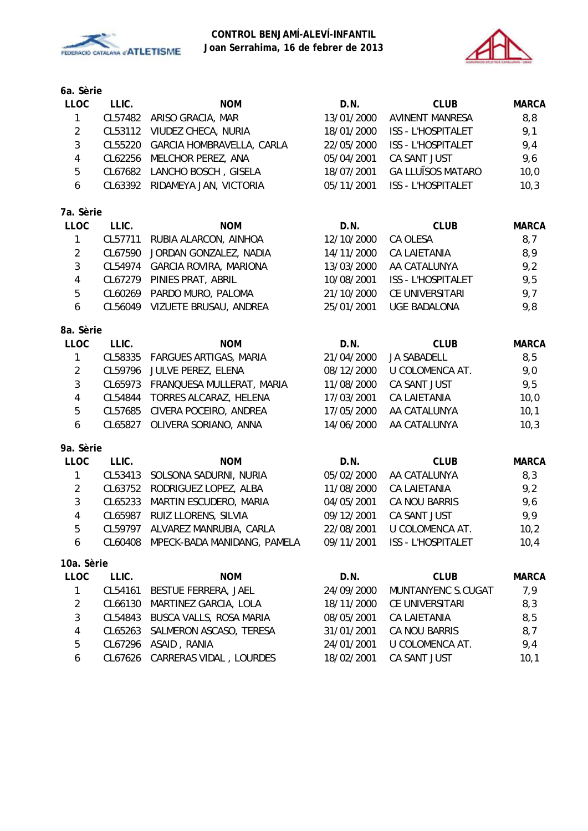



**6a. Sèrie**

| <b>LLOC</b>    | LLIC.   | <b>NOM</b>                          | D.N.       | <b>CLUB</b>               | <b>MARCA</b> |
|----------------|---------|-------------------------------------|------------|---------------------------|--------------|
| 1              | CL57482 | ARISO GRACIA, MAR                   | 13/01/2000 | <b>AVINENT MANRESA</b>    | 8,8          |
| $\overline{2}$ | CL53112 | VIUDEZ CHECA, NURIA                 | 18/01/2000 | ISS - L'HOSPITALET        | 9,1          |
| 3              | CL55220 | GARCIA HOMBRAVELLA, CARLA           | 22/05/2000 | ISS - L'HOSPITALET        | 9,4          |
| $\overline{4}$ | CL62256 | MELCHOR PEREZ, ANA                  | 05/04/2001 | CA SANT JUST              | 9,6          |
| 5              | CL67682 | LANCHO BOSCH, GISELA                | 18/07/2001 | <b>GA LLUÏSOS MATARO</b>  | 10,0         |
| 6              | CL63392 | RIDAMEYA JAN, VICTORIA              | 05/11/2001 | <b>ISS - L'HOSPITALET</b> | 10,3         |
| 7a. Sèrie      |         |                                     |            |                           |              |
| <b>LLOC</b>    | LLIC.   | <b>NOM</b>                          | D.N.       | <b>CLUB</b>               | <b>MARCA</b> |
| $\mathbf{1}$   | CL57711 | RUBIA ALARCON, AINHOA               | 12/10/2000 | CA OLESA                  | 8,7          |
| $\overline{2}$ | CL67590 | JORDAN GONZALEZ, NADIA              | 14/11/2000 | <b>CA LAIETANIA</b>       | 8,9          |
| $\mathbf{3}$   | CL54974 | <b>GARCIA ROVIRA, MARIONA</b>       | 13/03/2000 | AA CATALUNYA              | 9,2          |
| $\overline{4}$ | CL67279 | PINIES PRAT, ABRIL                  | 10/08/2001 | <b>ISS - L'HOSPITALET</b> | 9,5          |
| 5              | CL60269 | PARDO MURO, PALOMA                  | 21/10/2000 | CE UNIVERSITARI           | 9,7          |
| 6              | CL56049 | VIZUETE BRUSAU, ANDREA              | 25/01/2001 | <b>UGE BADALONA</b>       | 9,8          |
| 8a. Sèrie      |         |                                     |            |                           |              |
| <b>LLOC</b>    | LLIC.   | <b>NOM</b>                          | D.N.       | <b>CLUB</b>               | <b>MARCA</b> |
| 1              | CL58335 | <b>FARGUES ARTIGAS, MARIA</b>       | 21/04/2000 | <b>JA SABADELL</b>        | 8,5          |
| $\overline{2}$ | CL59796 | JULVE PEREZ, ELENA                  | 08/12/2000 | U COLOMENCA AT.           | 9,0          |
| 3              | CL65973 | FRANQUESA MULLERAT, MARIA           | 11/08/2000 | CA SANT JUST              | 9,5          |
| $\overline{4}$ | CL54844 | TORRES ALCARAZ, HELENA              | 17/03/2001 | CA LAIETANIA              | 10,0         |
| 5              | CL57685 | CIVERA POCEIRO, ANDREA              | 17/05/2000 | AA CATALUNYA              | 10,1         |
| 6              | CL65827 | OLIVERA SORIANO, ANNA               | 14/06/2000 | AA CATALUNYA              | 10,3         |
| 9a. Sèrie      |         |                                     |            |                           |              |
| <b>LLOC</b>    | LLIC.   | <b>NOM</b>                          | D.N.       | <b>CLUB</b>               | <b>MARCA</b> |
| 1              | CL53413 | SOLSONA SADURNI, NURIA              | 05/02/2000 | AA CATALUNYA              | 8,3          |
| $\overline{2}$ | CL63752 | RODRIGUEZ LOPEZ, ALBA               | 11/08/2000 | <b>CA LAIETANIA</b>       | 9,2          |
| 3              | CL65233 | MARTIN ESCUDERO, MARIA              | 04/05/2001 | CA NOU BARRIS             | 9,6          |
| $\overline{4}$ | CL65987 | RUIZ LLORENS, SILVIA                | 09/12/2001 | CA SANT JUST              | 9,9          |
| 5              | CL59797 | ALVAREZ MANRUBIA, CARLA             | 22/08/2001 | U COLOMENCA AT.           | 10,2         |
| 6              |         | CL60408 MPECK-BADA MANIDANG, PAMELA | 09/11/2001 | <b>ISS - L'HOSPITALET</b> | 10,4         |
| 10a. Sèrie     |         |                                     |            |                           |              |
| <b>LLOC</b>    | LLIC.   | <b>NOM</b>                          | D.N.       | <b>CLUB</b>               | <b>MARCA</b> |
| 1              | CL54161 | BESTUE FERRERA, JAEL                | 24/09/2000 | MUNTANYENC S.CUGAT        | 7,9          |
| $\overline{2}$ | CL66130 | MARTINEZ GARCIA, LOLA               | 18/11/2000 | CE UNIVERSITARI           | 8,3          |
| $\mathfrak{Z}$ | CL54843 | BUSCA VALLS, ROSA MARIA             | 08/05/2001 | <b>CA LAIETANIA</b>       | 8,5          |
| 4              | CL65263 | SALMERON ASCASO, TERESA             | 31/01/2001 | CA NOU BARRIS             | 8,7          |
| 5              | CL67296 | ASAID, RANIA<br>24/01/2001          |            | U COLOMENCA AT.           | 9,4          |

6 CL67626 CARRERAS VIDAL , LOURDES 18/02/2001 CA SANT JUST 10,1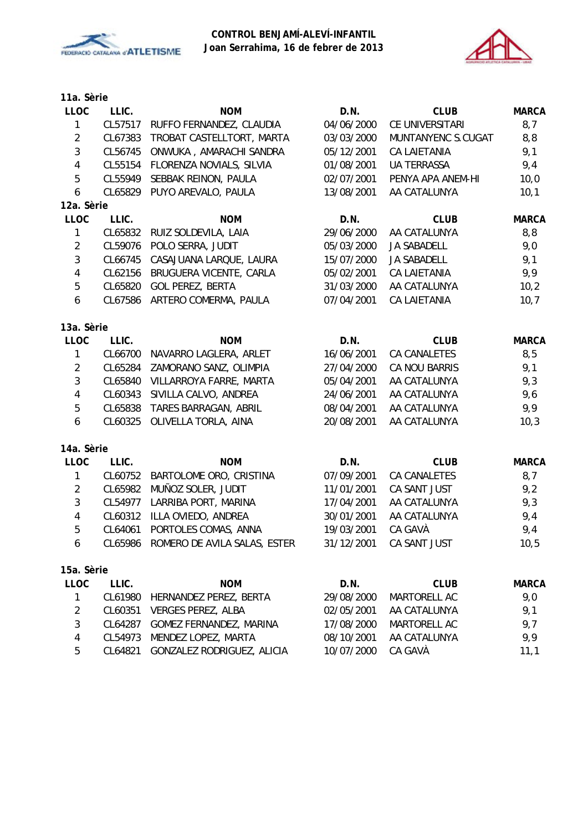



| 11a. Sèrie     |         |                                                   |                            |                     |              |
|----------------|---------|---------------------------------------------------|----------------------------|---------------------|--------------|
| <b>LLOC</b>    | LLIC.   | <b>NOM</b>                                        | D.N.                       | <b>CLUB</b>         | <b>MARCA</b> |
| 1              | CL57517 | RUFFO FERNANDEZ, CLAUDIA                          | 04/06/2000                 | CE UNIVERSITARI     | 8,7          |
| $\overline{2}$ | CL67383 | TROBAT CASTELLTORT, MARTA                         | 03/03/2000                 | MUNTANYENC S.CUGAT  | 8,8          |
| 3              | CL56745 | ONWUKA, AMARACHI SANDRA                           | 05/12/2001                 | <b>CA LAIETANIA</b> | 9,1          |
| $\overline{4}$ | CL55154 | FLORENZA NOVIALS, SILVIA                          | 01/08/2001                 | <b>UA TERRASSA</b>  | 9,4          |
| 5              | CL55949 | SEBBAK REINON, PAULA                              | 02/07/2001                 | PENYA APA ANEM-HI   | 10,0         |
| 6              | CL65829 | PUYO AREVALO, PAULA                               | 13/08/2001                 | AA CATALUNYA        | 10,1         |
| 12a. Sèrie     |         |                                                   |                            |                     |              |
| <b>LLOC</b>    | LLIC.   | <b>NOM</b>                                        | D.N.                       | <b>CLUB</b>         | <b>MARCA</b> |
| 1              | CL65832 | RUIZ SOLDEVILA, LAIA                              | 29/06/2000                 | AA CATALUNYA        | 8,8          |
| $\overline{2}$ | CL59076 | POLO SERRA, JUDIT                                 | 05/03/2000                 | <b>JA SABADELL</b>  | 9,0          |
| 3              | CL66745 | CASAJUANA LARQUE, LAURA                           | 15/07/2000                 | <b>JA SABADELL</b>  | 9,1          |
| $\overline{4}$ | CL62156 | BRUGUERA VICENTE, CARLA                           | 05/02/2001                 | <b>CA LAIETANIA</b> | 9,9          |
| 5              | CL65820 | <b>GOL PEREZ, BERTA</b>                           | 31/03/2000                 | AA CATALUNYA        | 10,2         |
| 6              | CL67586 | ARTERO COMERMA, PAULA                             | 07/04/2001                 | CA LAIETANIA        | 10,7         |
|                |         |                                                   |                            |                     |              |
| 13a. Sèrie     |         |                                                   |                            |                     |              |
| <b>LLOC</b>    | LLIC.   | <b>NOM</b>                                        | D.N.                       | <b>CLUB</b>         | <b>MARCA</b> |
| $\mathbf{1}$   | CL66700 | NAVARRO LAGLERA, ARLET                            | 16/06/2001<br>CA CANALETES |                     | 8,5          |
| $\overline{2}$ | CL65284 | ZAMORANO SANZ, OLIMPIA                            | 27/04/2000                 | CA NOU BARRIS       | 9,1          |
| 3              | CL65840 | VILLARROYA FARRE, MARTA                           | 05/04/2001                 | AA CATALUNYA        | 9,3          |
| 4              | CL60343 | SIVILLA CALVO, ANDREA                             | 24/06/2001                 | AA CATALUNYA        | 9,6          |
| 5              | CL65838 | TARES BARRAGAN, ABRIL                             | 08/04/2001                 | AA CATALUNYA        | 9,9          |
| 6              | CL60325 | OLIVELLA TORLA, AINA                              | 20/08/2001                 | AA CATALUNYA        | 10,3         |
|                |         |                                                   |                            |                     |              |
| 14a. Sèrie     |         |                                                   |                            |                     |              |
| <b>LLOC</b>    | LLIC.   | <b>NOM</b>                                        | D.N.                       | <b>CLUB</b>         | <b>MARCA</b> |
| 1              | CL60752 | BARTOLOME ORO, CRISTINA                           | 07/09/2001                 | <b>CA CANALETES</b> | 8,7          |
| $\overline{2}$ | CL65982 | MUÑOZ SOLER, JUDIT                                | 11/01/2001                 | CA SANT JUST        | 9,2          |
| $\mathbf{3}$   | CL54977 | LARRIBA PORT, MARINA                              | 17/04/2001                 | AA CATALUNYA        | 9,3          |
| $\overline{4}$ | CL60312 | ILLA OVIEDO, ANDREA                               | 30/01/2001                 | AA CATALUNYA        | 9,4          |
| 5              | CL64061 | PORTOLES COMAS, ANNA                              | 19/03/2001                 | CA GAVÀ             | 9,4          |
| 6              |         | CL65986 ROMERO DE AVILA SALAS, ESTER              | 31/12/2001                 | CA SANT JUST        | 10,5         |
| 15a. Sèrie     |         |                                                   |                            |                     |              |
| <b>LLOC</b>    | LLIC.   | <b>NOM</b>                                        | D.N.                       | <b>CLUB</b>         | <b>MARCA</b> |
| 1              | CL61980 | HERNANDEZ PEREZ, BERTA                            | 29/08/2000                 | MARTORELL AC        | 9,0          |
| $\overline{2}$ | CL60351 | <b>VERGES PEREZ, ALBA</b>                         | 02/05/2001                 | AA CATALUNYA        | 9,1          |
| 3              | CL64287 | GOMEZ FERNANDEZ, MARINA                           | 17/08/2000                 | MARTORELL AC        | 9,7          |
| 4              | CL54973 | MENDEZ LOPEZ, MARTA<br>08/10/2001<br>AA CATALUNYA |                            |                     | 9,9          |

5 CL64821 GONZALEZ RODRIGUEZ, ALICIA 10/07/2000 CA GAVÀ 11,1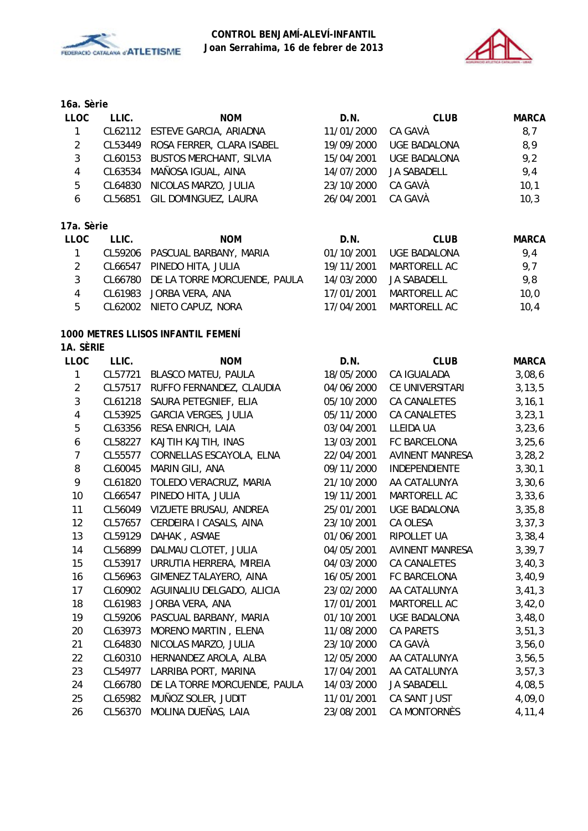



# **16a. Sèrie LLOC LLIC. NOM D.N. CLUB MARCA** 1 CL62112 ESTEVE GARCIA, ARIADNA 11/01/2000 CA GAVÀ 8,7 2 CL53449 ROSA FERRER, CLARA ISABEL 19/09/2000 UGE BADALONA 8,9 3 CL60153 BUSTOS MERCHANT, SILVIA 15/04/2001 UGE BADALONA 9,2 4 CL63534 MAÑOSA IGUAL, AINA 14/07/2000 JA SABADELL 9,4 5 CL64830 NICOLAS MARZO, JULIA 23/10/2000 CA GAVÀ 10,1 6 CL56851 GIL DOMINGUEZ, LAURA 26/04/2001 CA GAVÀ 10,3

# **17a. Sèrie**

| LLOC           | LLIC. | <b>NOM</b>                           | D.N.       | CLUB                   | <b>MARCA</b> |
|----------------|-------|--------------------------------------|------------|------------------------|--------------|
| $\overline{1}$ |       | CL59206 PASCUAL BARBANY, MARIA       | 01/10/2001 | UGE BADALONA           | 9.4          |
| 2              |       | CL66547 PINEDO HITA, JULIA           | 19/11/2001 | MARTORELL AC           | 9,7          |
| 3              |       | CL66780 DE LA TORRE MORCUENDE, PAULA |            | 14/03/2000 JA SABADELL | 9,8          |
| 4              |       | CL61983 JORBA VERA, ANA              | 17/01/2001 | MARTORELL AC           | 10,0         |
| 5              |       | CL62002 NIETO CAPUZ, NORA            | 17/04/2001 | MARTORELL AC           | 10.4         |

#### **1000 METRES LLISOS INFANTIL FEMENÍ 1A. SÈRIE**

| <b>LLOC</b>    | LLIC.   | <b>NOM</b>                    | D.N.       | <b>CLUB</b>            | <b>MARCA</b> |
|----------------|---------|-------------------------------|------------|------------------------|--------------|
| 1              | CL57721 | BLASCO MATEU, PAULA           | 18/05/2000 | CA IGUALADA            | 3,08,6       |
| $\overline{2}$ | CL57517 | RUFFO FERNANDEZ, CLAUDIA      | 04/06/2000 | CE UNIVERSITARI        | 3, 13, 5     |
| 3              | CL61218 | SAURA PETEGNIEF, ELIA         | 05/10/2000 | CA CANALETES           | 3, 16, 1     |
| 4              | CL53925 | <b>GARCIA VERGES, JULIA</b>   | 05/11/2000 | CA CANALETES           | 3, 23, 1     |
| $\overline{5}$ | CL63356 | RESA ENRICH, LAIA             | 03/04/2001 | LLEIDA UA              | 3, 23, 6     |
| 6              | CL58227 | KAJTIH KAJTIH, INAS           | 13/03/2001 | FC BARCELONA           | 3, 25, 6     |
| $\overline{7}$ | CL55577 | CORNELLAS ESCAYOLA, ELNA      | 22/04/2001 | <b>AVINENT MANRESA</b> | 3, 28, 2     |
| 8              | CL60045 | MARIN GILI, ANA               | 09/11/2000 | INDEPENDIENTE          | 3, 30, 1     |
| 9              | CL61820 | TOLEDO VERACRUZ, MARIA        | 21/10/2000 | AA CATALUNYA           | 3,30,6       |
| 10             | CL66547 | PINEDO HITA, JULIA            | 19/11/2001 | MARTORELL AC           | 3,33,6       |
| 11             | CL56049 | VIZUETE BRUSAU, ANDREA        | 25/01/2001 | <b>UGE BADALONA</b>    | 3,35,8       |
| 12             | CL57657 | CERDEIRA I CASALS, AINA       | 23/10/2001 | CA OLESA               | 3, 37, 3     |
| 13             | CL59129 | DAHAK, ASMAE                  | 01/06/2001 | RIPOLLET UA            | 3,38,4       |
| 14             | CL56899 | DALMAU CLOTET, JULIA          | 04/05/2001 | <b>AVINENT MANRESA</b> | 3, 39, 7     |
| 15             | CL53917 | URRUTIA HERRERA, MIREIA       | 04/03/2000 | CA CANALETES           | 3,40,3       |
| 16             | CL56963 | <b>GIMENEZ TALAYERO, AINA</b> | 16/05/2001 | FC BARCELONA           | 3,40,9       |
| 17             | CL60902 | AGUINALIU DELGADO, ALICIA     | 23/02/2000 | AA CATALUNYA           | 3,41,3       |
| 18             | CL61983 | JORBA VERA, ANA               | 17/01/2001 | MARTORELL AC           | 3,42,0       |
| 19             | CL59206 | PASCUAL BARBANY, MARIA        | 01/10/2001 | <b>UGE BADALONA</b>    | 3,48,0       |
| 20             | CL63973 | MORENO MARTIN, ELENA          | 11/08/2000 | <b>CA PARETS</b>       | 3, 51, 3     |
| 21             | CL64830 | NICOLAS MARZO, JULIA          | 23/10/2000 | CA GAVÀ                | 3,56,0       |
| 22             | CL60310 | HERNANDEZ AROLA, ALBA         | 12/05/2000 | AA CATALUNYA           | 3,56,5       |
| 23             | CL54977 | LARRIBA PORT, MARINA          | 17/04/2001 | AA CATALUNYA           | 3, 57, 3     |
| 24             | CL66780 | DE LA TORRE MORCUENDE, PAULA  | 14/03/2000 | <b>JA SABADELL</b>     | 4,08,5       |
| 25             | CL65982 | MUÑOZ SOLER, JUDIT            | 11/01/2001 | CA SANT JUST           | 4,09,0       |
| 26             | CL56370 | MOLINA DUEÑAS, LAIA           | 23/08/2001 | CA MONTORNÈS           | 4,11,4       |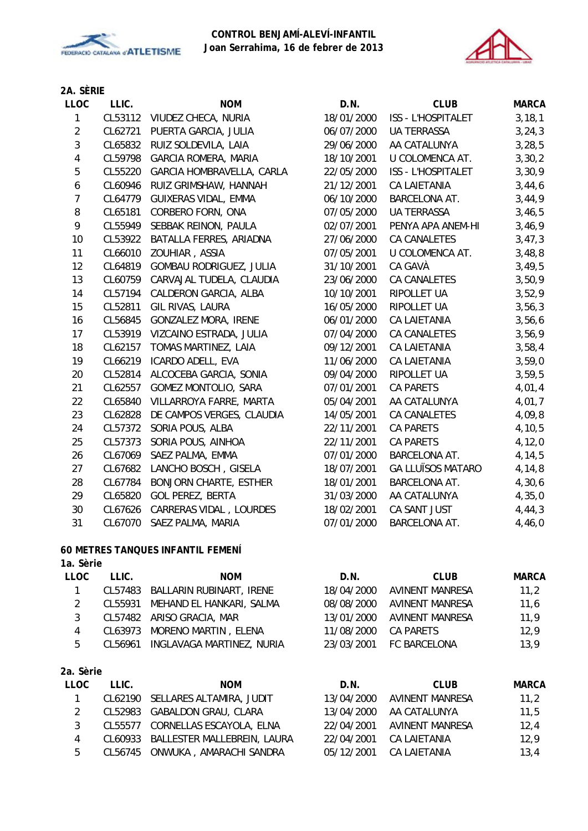



# **2A. SÈRIE**

| LLOC                    | LLIC.   | <b>NOM</b>                     | D.N.       | <b>CLUB</b>              | <b>MARCA</b> |
|-------------------------|---------|--------------------------------|------------|--------------------------|--------------|
| 1                       |         | CL53112 VIUDEZ CHECA, NURIA    | 18/01/2000 | ISS - L'HOSPITALET       | 3, 18, 1     |
| $\overline{2}$          | CL62721 | PUERTA GARCIA, JULIA           | 06/07/2000 | UA TERRASSA              | 3, 24, 3     |
| $\mathbf{3}$            | CL65832 | RUIZ SOLDEVILA, LAIA           | 29/06/2000 | AA CATALUNYA             | 3, 28, 5     |
| $\overline{\mathbf{4}}$ | CL59798 | <b>GARCIA ROMERA, MARIA</b>    | 18/10/2001 | U COLOMENCA AT.          | 3,30,2       |
| 5                       | CL55220 | GARCIA HOMBRAVELLA, CARLA      | 22/05/2000 | ISS - L'HOSPITALET       | 3,30,9       |
| 6                       | CL60946 | RUIZ GRIMSHAW, HANNAH          | 21/12/2001 | CA LAIETANIA             | 3,44,6       |
| $\overline{7}$          | CL64779 | GUIXERAS VIDAL, EMMA           | 06/10/2000 | BARCELONA AT.            | 3,44,9       |
| 8                       | CL65181 | CORBERO FORN, ONA              | 07/05/2000 | <b>UA TERRASSA</b>       | 3,46,5       |
| 9                       | CL55949 | SEBBAK REINON, PAULA           | 02/07/2001 | PENYA APA ANEM-HI        | 3,46,9       |
| 10                      | CL53922 | BATALLA FERRES, ARIADNA        | 27/06/2000 | <b>CA CANALETES</b>      | 3,47,3       |
| 11                      | CL66010 | ZOUHIAR, ASSIA                 | 07/05/2001 | U COLOMENCA AT.          | 3,48,8       |
| 12                      | CL64819 | <b>GOMBAU RODRIGUEZ, JULIA</b> | 31/10/2001 | CA GAVÀ                  | 3,49,5       |
| 13                      | CL60759 | CARVAJAL TUDELA, CLAUDIA       | 23/06/2000 | CA CANALETES             | 3,50,9       |
| 14                      | CL57194 | CALDERON GARCIA, ALBA          | 10/10/2001 | RIPOLLET UA              | 3,52,9       |
| 15                      | CL52811 | GIL RIVAS, LAURA               | 16/05/2000 | RIPOLLET UA              | 3,56,3       |
| 16                      | CL56845 | <b>GONZALEZ MORA, IRENE</b>    | 06/01/2000 | <b>CA LAIETANIA</b>      | 3,56,6       |
| 17                      | CL53919 | VIZCAINO ESTRADA, JULIA        | 07/04/2000 | CA CANALETES             | 3,56,9       |
| 18                      | CL62157 | TOMAS MARTINEZ, LAIA           | 09/12/2001 | <b>CA LAIETANIA</b>      | 3,58,4       |
| 19                      | CL66219 | ICARDO ADELL, EVA              | 11/06/2000 | CA LAIETANIA             | 3,59,0       |
| 20                      | CL52814 | ALCOCEBA GARCIA, SONIA         | 09/04/2000 | RIPOLLET UA              | 3,59,5       |
| 21                      | CL62557 | GOMEZ MONTOLIO, SARA           | 07/01/2001 | <b>CA PARETS</b>         | 4,01,4       |
| 22                      | CL65840 | VILLARROYA FARRE, MARTA        | 05/04/2001 | AA CATALUNYA             | 4,01,7       |
| 23                      | CL62828 | DE CAMPOS VERGES, CLAUDIA      | 14/05/2001 | CA CANALETES             | 4,09,8       |
| 24                      | CL57372 | SORIA POUS, ALBA               | 22/11/2001 | <b>CA PARETS</b>         | 4, 10, 5     |
| 25                      | CL57373 | SORIA POUS, AINHOA             | 22/11/2001 | <b>CA PARETS</b>         | 4, 12, 0     |
| 26                      | CL67069 | SAEZ PALMA, EMMA               | 07/01/2000 | BARCELONA AT.            | 4, 14, 5     |
| 27                      | CL67682 | LANCHO BOSCH, GISELA           | 18/07/2001 | <b>GA LLUÏSOS MATARO</b> | 4,14,8       |
| 28                      | CL67784 | <b>BONJORN CHARTE, ESTHER</b>  | 18/01/2001 | BARCELONA AT.            | 4,30,6       |
| 29                      | CL65820 | <b>GOL PEREZ, BERTA</b>        | 31/03/2000 | AA CATALUNYA             | 4,35,0       |
| 30                      | CL67626 | <b>CARRERAS VIDAL, LOURDES</b> | 18/02/2001 | CA SANT JUST             | 4, 44, 3     |
| 31                      | CL67070 | SAEZ PALMA, MARIA              | 07/01/2000 | BARCELONA AT.            | 4,46,0       |

# **60 METRES TANQUES INFANTIL FEMENÍ**

|  |  |  | 1a. Sèrie |
|--|--|--|-----------|
|--|--|--|-----------|

| 14. JEHE    |         |                           |            |                     |              |
|-------------|---------|---------------------------|------------|---------------------|--------------|
| <b>LLOC</b> | LLIC.   | <b>NOM</b>                | D.N.       | <b>CLUB</b>         | <b>MARCA</b> |
|             | CL57483 | BALLARIN RUBINART, IRENE  | 18/04/2000 | AVINENT MANRESA     | 11,2         |
| 2           | CL55931 | MEHAND EL HANKARI, SALMA  | 08/08/2000 | AVINENT MANRESA     | 11,6         |
| 3           |         | CL57482 ARISO GRACIA, MAR | 13/01/2000 | AVINENT MANRESA     | 11,9         |
| 4           | CL63973 | MORENO MARTIN, ELENA      | 11/08/2000 | <b>CA PARETS</b>    | 12,9         |
| 5           | CL56961 | INGLAVAGA MARTINEZ, NURIA | 23/03/2001 | <b>FC BARCELONA</b> | 13,9         |
| 2a. Sèrie   |         |                           |            |                     |              |
| <b>LLOC</b> | LLIC.   | <b>NOM</b>                | D.N.       | <b>CLUB</b>         | MARCA        |
|             |         |                           |            |                     | .            |

|   | CL62190 SELLARES ALTAMIRA, JUDIT    | 13/04/2000 AVINENT MANRESA | 11,2 |
|---|-------------------------------------|----------------------------|------|
|   | CL52983 GABALDON GRAU, CLARA        | 13/04/2000 AA CATALUNYA    | 11.5 |
| 3 | CL55577 CORNELLAS ESCAYOLA, ELNA    | 22/04/2001 AVINENT MANRESA | 12,4 |
| 4 | CL60933 BALLESTER MALLEBREIN, LAURA | 22/04/2001 CA LAIETANIA    | 12.9 |
| 5 | CL56745 ONWUKA, AMARACHI SANDRA     | 05/12/2001 CA LAIETANIA    | 13,4 |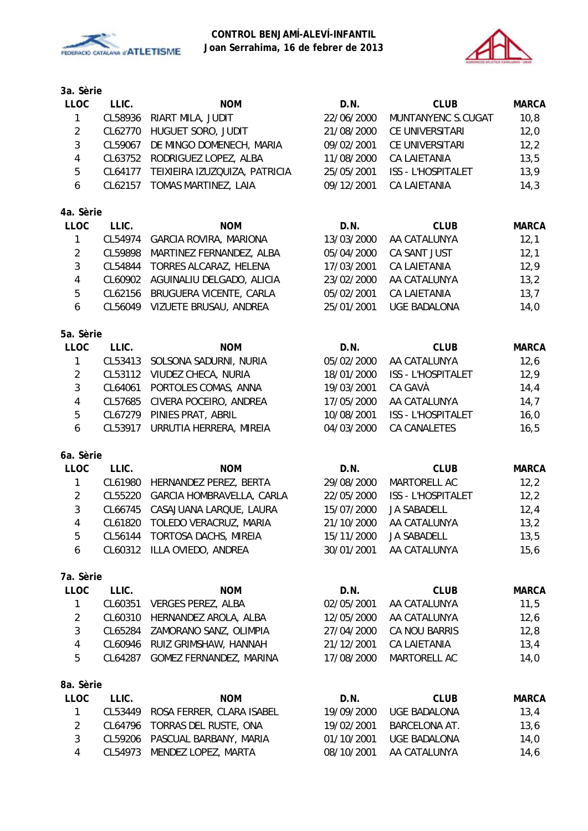



| <b>LLOC</b>    | LLIC.   | <b>NOM</b>                     | D.N.       | <b>CLUB</b>         | <b>MARCA</b> |
|----------------|---------|--------------------------------|------------|---------------------|--------------|
| $\mathbf{1}$   | CL58936 | RIART MILA, JUDIT              | 22/06/2000 | MUNTANYENC S.CUGAT  | 10, 8        |
| $\overline{2}$ | CL62770 | HUGUET SORO, JUDIT             | 21/08/2000 | CE UNIVERSITARI     | 12,0         |
| $\mathfrak{Z}$ | CL59067 | DE MINGO DOMENECH, MARIA       | 09/02/2001 | CE UNIVERSITARI     | 12,2         |
| $\overline{4}$ | CL63752 | RODRIGUEZ LOPEZ, ALBA          | 11/08/2000 | <b>CA LAIETANIA</b> | 13,5         |
| 5              | CL64177 | TEIXIEIRA IZUZQUIZA, PATRICIA  | 25/05/2001 | ISS - L'HOSPITALET  | 13,9         |
| 6              | CL62157 | TOMAS MARTINEZ, LAIA           | 09/12/2001 | <b>CA LAIETANIA</b> | 14,3         |
| 4a. Sèrie      |         |                                |            |                     |              |
| <b>LLOC</b>    | LLIC.   | <b>NOM</b>                     | D.N.       | <b>CLUB</b>         | <b>MARCA</b> |
| $\mathbf{1}$   | CL54974 | <b>GARCIA ROVIRA, MARIONA</b>  | 13/03/2000 | AA CATALUNYA        | 12,1         |
| $\overline{2}$ | CL59898 | MARTINEZ FERNANDEZ, ALBA       | 05/04/2000 | CA SANT JUST        | 12,1         |
| 3              | CL54844 | TORRES ALCARAZ, HELENA         | 17/03/2001 | CA LAIETANIA        | 12,9         |
| $\overline{4}$ | CL60902 | AGUINALIU DELGADO, ALICIA      | 23/02/2000 | AA CATALUNYA        | 13,2         |
| 5              | CL62156 | BRUGUERA VICENTE, CARLA        | 05/02/2001 | <b>CA LAIETANIA</b> | 13,7         |
| 6              |         | CL56049 VIZUETE BRUSAU, ANDREA | 25/01/2001 | <b>UGE BADALONA</b> | 14,0         |
| 5a. Sèrie      |         |                                |            |                     |              |
| <b>LLOC</b>    | LLIC.   | <b>NOM</b>                     | D.N.       | <b>CLUB</b>         | <b>MARCA</b> |
| 1              | CL53413 | SOLSONA SADURNI, NURIA         | 05/02/2000 | AA CATALUNYA        | 12,6         |
| $\overline{2}$ | CL53112 | VIUDEZ CHECA, NURIA            | 18/01/2000 | ISS - L'HOSPITALET  | 12,9         |
| 3              | CL64061 | PORTOLES COMAS, ANNA           | 19/03/2001 | CA GAVÀ             | 14,4         |
| $\overline{4}$ | CL57685 | CIVERA POCEIRO, ANDREA         | 17/05/2000 | AA CATALUNYA        | 14,7         |
| 5              | CL67279 | PINIES PRAT, ABRIL             | 10/08/2001 | ISS - L'HOSPITALET  | 16,0         |
| 6              | CL53917 | URRUTIA HERRERA, MIREIA        | 04/03/2000 | CA CANALETES        | 16, 5        |
| 6a. Sèrie      |         |                                |            |                     |              |
| <b>LLOC</b>    | LLIC.   | <b>NOM</b>                     | D.N.       | <b>CLUB</b>         | <b>MARCA</b> |
| $\mathbf{1}$   | CL61980 | HERNANDEZ PEREZ, BERTA         | 29/08/2000 | MARTORELL AC        | 12,2         |
| $\overline{2}$ | CL55220 | GARCIA HOMBRAVELLA, CARLA      | 22/05/2000 | ISS - L'HOSPITALET  | 12,2         |
| $\mathbf{3}$   | CL66745 | CASAJUANA LARQUE, LAURA        | 15/07/2000 | <b>JA SABADELL</b>  | 12,4         |
| 4              | CL61820 | TOLEDO VERACRUZ, MARIA         | 21/10/2000 | AA CATALUNYA        | 13,2         |
| 5              | CL56144 | TORTOSA DACHS, MIREIA          | 15/11/2000 | <b>JA SABADELL</b>  | 13,5         |
| 6              |         | CL60312 ILLA OVIEDO, ANDREA    | 30/01/2001 | AA CATALUNYA        | 15, 6        |
| 7a. Sèrie      |         |                                |            |                     |              |
| <b>LLOC</b>    | LLIC.   | <b>NOM</b>                     | D.N.       | <b>CLUB</b>         | <b>MARCA</b> |
| 1              | CL60351 | <b>VERGES PEREZ, ALBA</b>      | 02/05/2001 | AA CATALUNYA        | 11,5         |
| $\overline{2}$ | CL60310 | HERNANDEZ AROLA, ALBA          | 12/05/2000 | AA CATALUNYA        | 12,6         |
| 3              | CL65284 | ZAMORANO SANZ, OLIMPIA         | 27/04/2000 | CA NOU BARRIS       | 12,8         |
| $\overline{4}$ | CL60946 | RUIZ GRIMSHAW, HANNAH          | 21/12/2001 | CA LAIETANIA        | 13,4         |
| 5              | CL64287 | GOMEZ FERNANDEZ, MARINA        | 17/08/2000 | MARTORELL AC        | 14,0         |
| 8a. Sèrie      |         |                                |            |                     |              |
| LLOC           | LLIC.   | <b>NOM</b>                     | D.N.       | <b>CLUB</b>         | <b>MARCA</b> |
| 1              | CL53449 | ROSA FERRER, CLARA ISABEL      | 19/09/2000 | <b>UGE BADALONA</b> | 13,4         |
| $\overline{2}$ | CL64796 | TORRAS DEL RUSTE, ONA          | 19/02/2001 | BARCELONA AT.       | 13,6         |
| 3              | CL59206 | PASCUAL BARBANY, MARIA         | 01/10/2001 | <b>UGE BADALONA</b> | 14,0         |
| 4              | CL54973 | MENDEZ LOPEZ, MARTA            | 08/10/2001 | AA CATALUNYA        | 14,6         |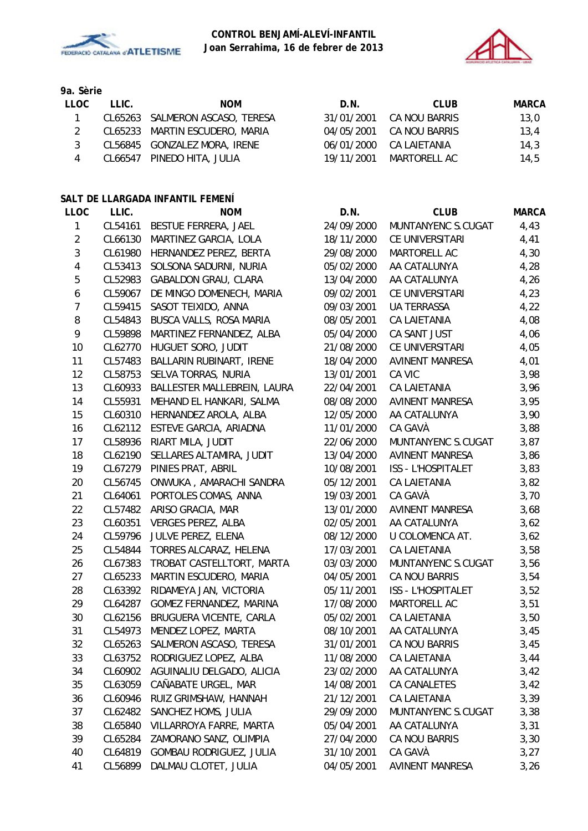



**9a. Sèrie**

| LLOC. | LLIC. | <b>NOM</b>                      | D.N.       | CLUB          | MARCA |
|-------|-------|---------------------------------|------------|---------------|-------|
|       |       | CL65263 SALMERON ASCASO, TERESA | 31/01/2001 | CA NOU BARRIS | 13,0  |
|       |       | CL65233 MARTIN ESCUDERO, MARIA  | 04/05/2001 | CA NOU BARRIS | 13.4  |
| २     |       | CL56845 GONZALEZ MORA, IRENE    | 06/01/2000 | CA LAIETANIA  | 14.3  |
| 4     |       | CL66547 PINEDO HITA, JULIA      | 19/11/2001 | MARTORELL AC  | 14.5  |

#### **SALT DE LLARGADA INFANTIL FEMENÍ**

| <b>LLOC</b>             | LLIC.   | <b>NOM</b>                     | D.N.       | <b>CLUB</b>            | <b>MARCA</b> |
|-------------------------|---------|--------------------------------|------------|------------------------|--------------|
| $\mathbf{1}$            | CL54161 | BESTUE FERRERA, JAEL           | 24/09/2000 | MUNTANYENC S.CUGAT     | 4,43         |
| $\overline{2}$          | CL66130 | MARTINEZ GARCIA, LOLA          | 18/11/2000 | CE UNIVERSITARI        | 4,41         |
| $\sqrt{3}$              | CL61980 | HERNANDEZ PEREZ, BERTA         | 29/08/2000 | MARTORELL AC           | 4,30         |
| $\overline{\mathbf{4}}$ | CL53413 | SOLSONA SADURNI, NURIA         | 05/02/2000 | AA CATALUNYA           | 4,28         |
| 5                       | CL52983 | <b>GABALDON GRAU, CLARA</b>    | 13/04/2000 | AA CATALUNYA           | 4,26         |
| 6                       | CL59067 | DE MINGO DOMENECH, MARIA       | 09/02/2001 | CE UNIVERSITARI        | 4,23         |
| $\overline{7}$          | CL59415 | SASOT TEIXIDO, ANNA            | 09/03/2001 | <b>UA TERRASSA</b>     | 4,22         |
| 8                       | CL54843 | BUSCA VALLS, ROSA MARIA        | 08/05/2001 | CA LAIETANIA           | 4,08         |
| 9                       | CL59898 | MARTINEZ FERNANDEZ, ALBA       | 05/04/2000 | CA SANT JUST           | 4,06         |
| 10                      | CL62770 | HUGUET SORO, JUDIT             | 21/08/2000 | CE UNIVERSITARI        | 4,05         |
| 11                      | CL57483 | BALLARIN RUBINART, IRENE       | 18/04/2000 | <b>AVINENT MANRESA</b> | 4,01         |
| 12                      | CL58753 | SELVA TORRAS, NURIA            | 13/01/2001 | CA VIC                 | 3,98         |
| 13                      | CL60933 | BALLESTER MALLEBREIN, LAURA    | 22/04/2001 | CA LAIETANIA           | 3,96         |
| 14                      | CL55931 | MEHAND EL HANKARI, SALMA       | 08/08/2000 | <b>AVINENT MANRESA</b> | 3,95         |
| 15                      | CL60310 | HERNANDEZ AROLA, ALBA          | 12/05/2000 | AA CATALUNYA           | 3,90         |
| 16                      | CL62112 | ESTEVE GARCIA, ARIADNA         | 11/01/2000 | CA GAVÀ                | 3,88         |
| 17                      | CL58936 | RIART MILA, JUDIT              | 22/06/2000 | MUNTANYENC S.CUGAT     | 3,87         |
| 18                      | CL62190 | SELLARES ALTAMIRA, JUDIT       | 13/04/2000 | <b>AVINENT MANRESA</b> | 3,86         |
| 19                      | CL67279 | PINIES PRAT, ABRIL             | 10/08/2001 | ISS - L'HOSPITALET     | 3,83         |
| 20                      | CL56745 | ONWUKA, AMARACHI SANDRA        | 05/12/2001 | <b>CA LAIETANIA</b>    | 3,82         |
| 21                      | CL64061 | PORTOLES COMAS, ANNA           | 19/03/2001 | CA GAVÀ                | 3,70         |
| 22                      | CL57482 | ARISO GRACIA, MAR              | 13/01/2000 | <b>AVINENT MANRESA</b> | 3,68         |
| 23                      | CL60351 | VERGES PEREZ, ALBA             | 02/05/2001 | AA CATALUNYA           | 3,62         |
| 24                      | CL59796 | JULVE PEREZ, ELENA             | 08/12/2000 | U COLOMENCA AT.        | 3,62         |
| 25                      | CL54844 | TORRES ALCARAZ, HELENA         | 17/03/2001 | CA LAIETANIA           | 3,58         |
| 26                      | CL67383 | TROBAT CASTELLTORT, MARTA      | 03/03/2000 | MUNTANYENC S.CUGAT     | 3,56         |
| 27                      | CL65233 | MARTIN ESCUDERO, MARIA         | 04/05/2001 | CA NOU BARRIS          | 3,54         |
| 28                      | CL63392 | RIDAMEYA JAN, VICTORIA         | 05/11/2001 | ISS - L'HOSPITALET     | 3,52         |
| 29                      | CL64287 | GOMEZ FERNANDEZ, MARINA        | 17/08/2000 | MARTORELL AC           | 3,51         |
| 30                      | CL62156 | BRUGUERA VICENTE, CARLA        | 05/02/2001 | <b>CA LAIETANIA</b>    | 3,50         |
| 31                      | CL54973 | MENDEZ LOPEZ, MARTA            | 08/10/2001 | AA CATALUNYA           | 3,45         |
| 32                      | CL65263 | SALMERON ASCASO, TERESA        | 31/01/2001 | <b>CA NOU BARRIS</b>   | 3,45         |
| 33                      | CL63752 | RODRIGUEZ LOPEZ, ALBA          | 11/08/2000 | CA LAIETANIA           | 3,44         |
| 34                      | CL60902 | AGUINALIU DELGADO, ALICIA      | 23/02/2000 | AA CATALUNYA           | 3,42         |
| 35                      | CL63059 | CAÑABATE URGEL, MAR            | 14/08/2001 | CA CANALETES           | 3,42         |
| 36                      | CL60946 | RUIZ GRIMSHAW, HANNAH          | 21/12/2001 | CA LAIETANIA           | 3,39         |
| 37                      | CL62482 | SANCHEZ HOMS, JULIA            | 29/09/2000 | MUNTANYENC S.CUGAT     | 3,38         |
| 38                      | CL65840 | VILLARROYA FARRE, MARTA        | 05/04/2001 | AA CATALUNYA           | 3,31         |
| 39                      | CL65284 | ZAMORANO SANZ, OLIMPIA         | 27/04/2000 | CA NOU BARRIS          | 3,30         |
| 40                      | CL64819 | <b>GOMBAU RODRIGUEZ, JULIA</b> | 31/10/2001 | CA GAVÀ                | 3,27         |
| 41                      | CL56899 | DALMAU CLOTET, JULIA           | 04/05/2001 | <b>AVINENT MANRESA</b> | 3,26         |

| D.N.       | <b>CLUB</b>               | <b>MARCA</b> |
|------------|---------------------------|--------------|
| 24/09/2000 | <b>MUNTANYENC S.CUGAT</b> | 4,43         |
| 18/11/2000 | CE UNIVERSITARI           | 4,41         |
| 29/08/2000 | MARTORELL AC              | 4,30         |
| 05/02/2000 | AA CATALUNYA              | 4,28         |
| 13/04/2000 | AA CATALUNYA              | 4,26         |
| 09/02/2001 | CE UNIVERSITARI           | 4,23         |
| 09/03/2001 | <b>UA TERRASSA</b>        | 4,22         |
| 08/05/2001 | CA LAIETANIA              | 4,08         |
| 05/04/2000 | CA SANT JUST              | 4,06         |
| 21/08/2000 | CE UNIVERSITARI           | 4,05         |
| 18/04/2000 | <b>AVINENT MANRESA</b>    | 4,01         |
| 13/01/2001 | CA VIC                    | 3,98         |
| 22/04/2001 | CA LAIETANIA              | 3,96         |
| 08/08/2000 | <b>AVINENT MANRESA</b>    | 3,95         |
| 12/05/2000 | AA CATALUNYA              | 3,90         |
| 11/01/2000 | CA GAVÀ                   | 3,88         |
| 22/06/2000 | <b>MUNTANYENC S.CUGAT</b> | 3,87         |
| 13/04/2000 | <b>AVINENT MANRESA</b>    | 3,86         |
| 10/08/2001 | <b>ISS - L'HOSPITALET</b> | 3,83         |
| 05/12/2001 | CA LAIETANIA              | 3,82         |
| 19/03/2001 | CA GAVÀ                   | 3,70         |
| 13/01/2000 | AVINENT MANRESA           | 3,68         |
| 02/05/2001 | AA CATALUNYA              | 3,62         |
| 08/12/2000 | U COLOMENCA AT.           | 3,62         |
| 17/03/2001 | <b>CA LAIETANIA</b>       | 3,58         |
| 03/03/2000 | <b>MUNTANYENC S.CUGAT</b> | 3,56         |
| 04/05/2001 | CA NOU BARRIS             | 3,54         |
| 05/11/2001 | <b>ISS - L'HOSPITALET</b> | 3,52         |
| 17/08/2000 | <b>MARTORELL AC</b>       | 3,51         |
| 05/02/2001 | <b>CA LAIETANIA</b>       | 3,50         |
| 08/10/2001 | AA CATALUNYA              | 3,45         |
| 31/01/2001 | CA NOU BARRIS             | 3,45         |
| 11/08/2000 | CA LAIETANIA              | 3,44         |
| 23/02/2000 | AA CATALUNYA              | 3,42         |
| 14/08/2001 | <b>CA CANALETES</b>       | 3,42         |
| 21/12/2001 | <b>CA LAIETANIA</b>       | 3,39         |
| 29/09/2000 | MUNTANYENC S.CUGAT        | 3,38         |
| 05/04/2001 | AA CATALUNYA              | 3,31         |
| 27/04/2000 | CA NOU BARRIS             | 3,30         |
| 31/10/2001 | CA GAVÀ                   | 3,27         |
| 04/05/2001 | <b>AVINENT MANRESA</b>    | 3,26         |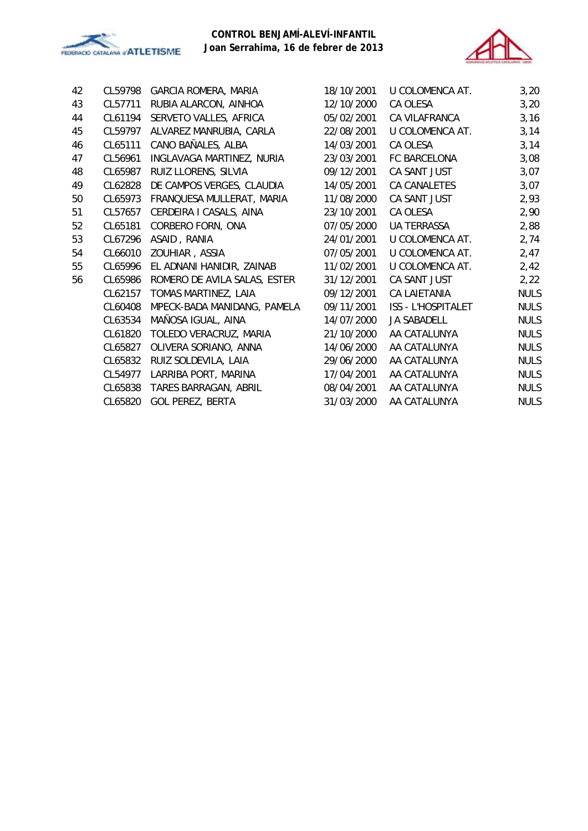



| 42 | CL59798 | GARCIA ROMERA, MARIA         | 18/10/2001 | U COLOMENCA AT.      | 3,20        |
|----|---------|------------------------------|------------|----------------------|-------------|
| 43 | CL57711 | RUBIA ALARCON, AINHOA        | 12/10/2000 | CA OLESA             | 3,20        |
| 44 | CL61194 | SERVETO VALLES, AFRICA       | 05/02/2001 | <b>CA VILAFRANCA</b> | 3,16        |
| 45 | CL59797 | ALVAREZ MANRUBIA, CARLA      | 22/08/2001 | U COLOMENCA AT.      | 3,14        |
| 46 | CL65111 | CANO BAÑALES, ALBA           | 14/03/2001 | CA OLESA             | 3,14        |
| 47 | CL56961 | INGLAVAGA MARTINEZ, NURIA    | 23/03/2001 | FC BARCELONA         | 3,08        |
| 48 | CL65987 | RUIZ LLORENS, SILVIA         | 09/12/2001 | CA SANT JUST         | 3,07        |
| 49 | CL62828 | DE CAMPOS VERGES, CLAUDIA    | 14/05/2001 | CA CANALETES         | 3,07        |
| 50 | CL65973 | FRANQUESA MULLERAT, MARIA    | 11/08/2000 | CA SANT JUST         | 2,93        |
| 51 | CL57657 | CERDEIRA I CASALS, AINA      | 23/10/2001 | CA OLESA             | 2,90        |
| 52 | CL65181 | CORBERO FORN, ONA            | 07/05/2000 | <b>UA TERRASSA</b>   | 2,88        |
| 53 | CL67296 | ASAID, RANIA                 | 24/01/2001 | U COLOMENCA AT.      | 2,74        |
| 54 | CL66010 | ZOUHIAR, ASSIA               | 07/05/2001 | U COLOMENCA AT.      | 2,47        |
| 55 | CL65996 | EL ADNANI HANIDIR, ZAINAB    | 11/02/2001 | U COLOMENCA AT.      | 2,42        |
| 56 | CL65986 | ROMERO DE AVILA SALAS, ESTER | 31/12/2001 | CA SANT JUST         | 2,22        |
|    | CL62157 | TOMAS MARTINEZ, LAIA         | 09/12/2001 | <b>CA LAIETANIA</b>  | <b>NULS</b> |
|    | CL60408 | MPECK-BADA MANIDANG, PAMELA  | 09/11/2001 | ISS - L'HOSPITALET   | <b>NULS</b> |
|    | CL63534 | MAÑOSA IGUAL, AINA           | 14/07/2000 | <b>JA SABADELL</b>   | <b>NULS</b> |
|    | CL61820 | TOLEDO VERACRUZ, MARIA       | 21/10/2000 | AA CATALUNYA         | <b>NULS</b> |
|    | CL65827 | OLIVERA SORIANO, ANNA        | 14/06/2000 | AA CATALUNYA         | <b>NULS</b> |
|    | CL65832 | RUIZ SOLDEVILA, LAIA         | 29/06/2000 | AA CATALUNYA         | <b>NULS</b> |
|    | CL54977 | LARRIBA PORT, MARINA         | 17/04/2001 | AA CATALUNYA         | <b>NULS</b> |
|    | CL65838 | TARES BARRAGAN, ABRIL        | 08/04/2001 | AA CATALUNYA         | <b>NULS</b> |
|    | CL65820 | <b>GOL PEREZ, BERTA</b>      | 31/03/2000 | AA CATALUNYA         | <b>NULS</b> |
|    |         |                              |            |                      |             |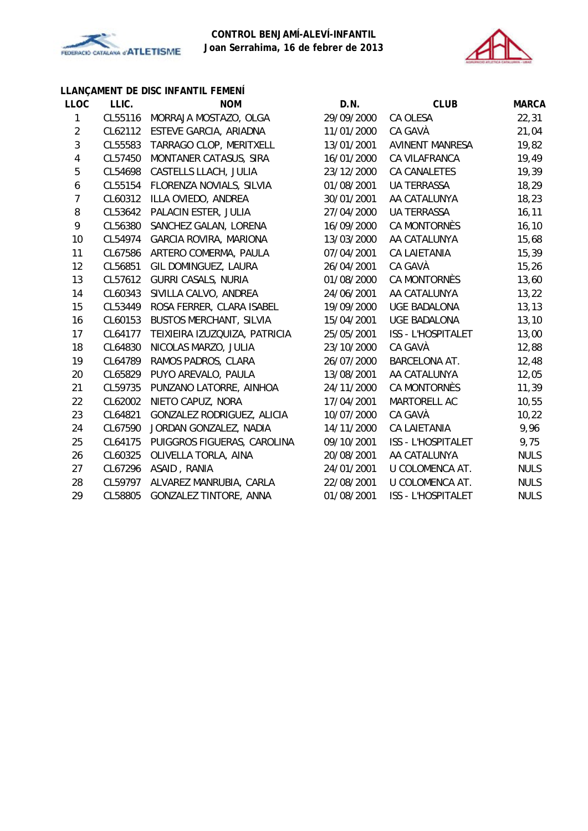



# **LLANÇAMENT DE DISC INFANTIL FEMENÍ**

| <b>LLOC</b>      | LLIC.   | <b>NOM</b>                     | D.N.       | <b>CLUB</b>               | <b>MARCA</b> |
|------------------|---------|--------------------------------|------------|---------------------------|--------------|
| 1                | CL55116 | MORRAJA MOSTAZO, OLGA          | 29/09/2000 | CA OLESA                  | 22,31        |
| $\overline{2}$   | CL62112 | ESTEVE GARCIA, ARIADNA         | 11/01/2000 | CA GAVÀ                   | 21,04        |
| 3                | CL55583 | TARRAGO CLOP, MERITXELL        | 13/01/2001 | <b>AVINENT MANRESA</b>    | 19,82        |
| 4                | CL57450 | MONTANER CATASUS, SIRA         | 16/01/2000 | CA VILAFRANCA             | 19,49        |
| 5                | CL54698 | CASTELLS LLACH, JULIA          | 23/12/2000 | CA CANALETES              | 19,39        |
| $\boldsymbol{6}$ | CL55154 | FLORENZA NOVIALS, SILVIA       | 01/08/2001 | <b>UA TERRASSA</b>        | 18,29        |
| $\overline{7}$   | CL60312 | ILLA OVIEDO, ANDREA            | 30/01/2001 | AA CATALUNYA              | 18,23        |
| 8                | CL53642 | PALACIN ESTER, JULIA           | 27/04/2000 | <b>UA TERRASSA</b>        | 16, 11       |
| 9                | CL56380 | SANCHEZ GALAN, LORENA          | 16/09/2000 | CA MONTORNÈS              | 16, 10       |
| 10               | CL54974 | <b>GARCIA ROVIRA, MARIONA</b>  | 13/03/2000 | AA CATALUNYA              | 15,68        |
| 11               | CL67586 | ARTERO COMERMA, PAULA          | 07/04/2001 | <b>CA LAIETANIA</b>       | 15,39        |
| 12               | CL56851 | GIL DOMINGUEZ, LAURA           | 26/04/2001 | CA GAVÀ                   | 15,26        |
| 13               | CL57612 | <b>GURRI CASALS, NURIA</b>     | 01/08/2000 | CA MONTORNÈS              | 13,60        |
| 14               | CL60343 | SIVILLA CALVO, ANDREA          | 24/06/2001 | AA CATALUNYA              | 13,22        |
| 15               | CL53449 | ROSA FERRER, CLARA ISABEL      | 19/09/2000 | <b>UGE BADALONA</b>       | 13, 13       |
| 16               | CL60153 | <b>BUSTOS MERCHANT, SILVIA</b> | 15/04/2001 | <b>UGE BADALONA</b>       | 13,10        |
| 17               | CL64177 | TEIXIEIRA IZUZQUIZA, PATRICIA  | 25/05/2001 | <b>ISS - L'HOSPITALET</b> | 13,00        |
| 18               | CL64830 | NICOLAS MARZO, JULIA           | 23/10/2000 | CA GAVÀ                   | 12,88        |
| 19               | CL64789 | RAMOS PADROS, CLARA            | 26/07/2000 | <b>BARCELONA AT.</b>      | 12,48        |
| 20               | CL65829 | PUYO AREVALO, PAULA            | 13/08/2001 | AA CATALUNYA              | 12,05        |
| 21               | CL59735 | PUNZANO LATORRE, AINHOA        | 24/11/2000 | CA MONTORNÈS              | 11,39        |
| 22               | CL62002 | NIETO CAPUZ, NORA              | 17/04/2001 | MARTORELL AC              | 10,55        |
| 23               | CL64821 | GONZALEZ RODRIGUEZ, ALICIA     | 10/07/2000 | CA GAVÀ                   | 10,22        |
| 24               | CL67590 | JORDAN GONZALEZ, NADIA         | 14/11/2000 | <b>CA LAIETANIA</b>       | 9,96         |
| 25               | CL64175 | PUIGGROS FIGUERAS, CAROLINA    | 09/10/2001 | <b>ISS - L'HOSPITALET</b> | 9,75         |
| 26               | CL60325 | OLIVELLA TORLA, AINA           | 20/08/2001 | AA CATALUNYA              | <b>NULS</b>  |
| 27               | CL67296 | ASAID, RANIA                   | 24/01/2001 | U COLOMENCA AT.           | <b>NULS</b>  |
| 28               | CL59797 | ALVAREZ MANRUBIA, CARLA        | 22/08/2001 | U COLOMENCA AT.           | <b>NULS</b>  |
| 29               | CL58805 | <b>GONZALEZ TINTORE, ANNA</b>  | 01/08/2001 | <b>ISS - L'HOSPITALET</b> | <b>NULS</b>  |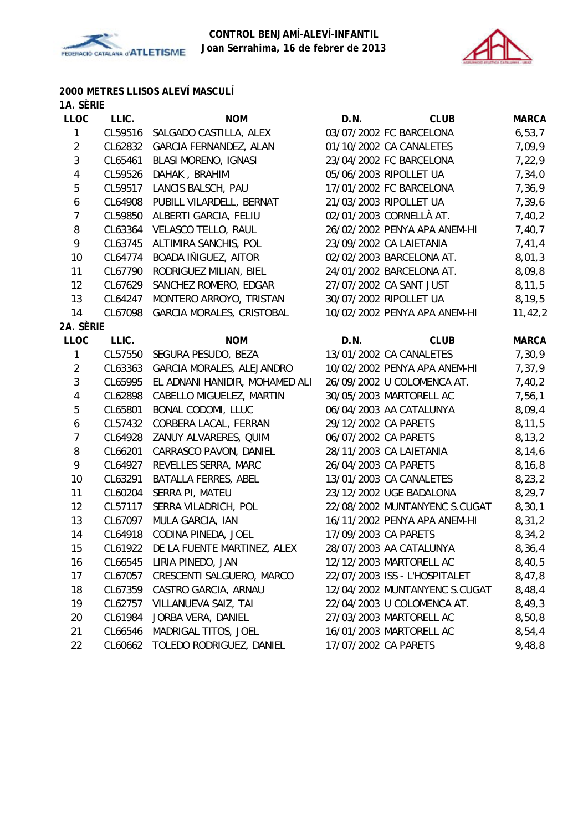



# **2000 METRES LLISOS ALEVÍ MASCULÍ**

| 1A. SÈRIE      |         |                                     |                      |                               |              |
|----------------|---------|-------------------------------------|----------------------|-------------------------------|--------------|
| <b>LLOC</b>    | LLIC.   | <b>NOM</b>                          | D.N.                 | <b>CLUB</b>                   | <b>MARCA</b> |
| 1              | CL59516 | SALGADO CASTILLA, ALEX              |                      | 03/07/2002 FC BARCELONA       | 6, 53, 7     |
| $\overline{2}$ | CL62832 | GARCIA FERNANDEZ, ALAN              |                      | 01/10/2002 CA CANALETES       | 7,09,9       |
| $\mathbf{3}$   | CL65461 | <b>BLASI MORENO, IGNASI</b>         |                      | 23/04/2002 FC BARCELONA       | 7,22,9       |
| $\overline{4}$ | CL59526 | DAHAK, BRAHIM                       |                      | 05/06/2003 RIPOLLET UA        | 7,34,0       |
| 5              | CL59517 | LANCIS BALSCH, PAU                  |                      | 17/01/2002 FC BARCELONA       | 7,36,9       |
| 6              |         | CL64908 PUBILL VILARDELL, BERNAT    |                      | 21/03/2003 RIPOLLET UA        | 7,39,6       |
| $\overline{7}$ | CL59850 | ALBERTI GARCIA, FELIU               |                      | 02/01/2003 CORNELLÀ AT.       | 7,40,2       |
| 8              | CL63364 | VELASCO TELLO, RAUL                 |                      | 26/02/2002 PENYA APA ANEM-HI  | 7,40,7       |
| 9              |         | CL63745 ALTIMIRA SANCHIS, POL       |                      | 23/09/2002 CA LAIETANIA       | 7,41,4       |
| 10             | CL64774 | BOADA IÑIGUEZ, AITOR                |                      | 02/02/2003 BARCELONA AT.      | 8,01,3       |
| 11             | CL67790 | RODRIGUEZ MILIAN, BIEL              |                      | 24/01/2002 BARCELONA AT.      | 8,09,8       |
| 12             | CL67629 | SANCHEZ ROMERO, EDGAR               |                      | 27/07/2002 CA SANT JUST       | 8, 11, 5     |
| 13             | CL64247 | MONTERO ARROYO, TRISTAN             |                      | 30/07/2002 RIPOLLET UA        | 8,19,5       |
| 14             | CL67098 | GARCIA MORALES, CRISTOBAL           |                      | 10/02/2002 PENYA APA ANEM-HI  | 11, 42, 2    |
| 2A. SÈRIE      |         |                                     |                      |                               |              |
| <b>LLOC</b>    | LLIC.   | <b>NOM</b>                          | D.N.                 | <b>CLUB</b>                   | <b>MARCA</b> |
| 1              |         | CL57550 SEGURA PESUDO, BEZA         |                      | 13/01/2002 CA CANALETES       | 7,30,9       |
| $\overline{2}$ |         | CL63363 GARCIA MORALES, ALEJANDRO   |                      | 10/02/2002 PENYA APA ANEM-HI  | 7,37,9       |
| 3              | CL65995 | EL ADNANI HANIDIR, MOHAMED ALI      |                      | 26/09/2002 U COLOMENCA AT.    | 7,40,2       |
| $\overline{4}$ | CL62898 | CABELLO MIGUELEZ, MARTIN            |                      | 30/05/2003 MARTORELL AC       | 7,56,1       |
| 5              | CL65801 | BONAL CODOMI, LLUC                  |                      | 06/04/2003 AA CATALUNYA       | 8,09,4       |
| 6              | CL57432 | CORBERA LACAL, FERRAN               | 29/12/2002 CA PARETS |                               | 8,11,5       |
| $\overline{7}$ | CL64928 | ZANUY ALVARERES, QUIM               | 06/07/2002 CA PARETS |                               | 8, 13, 2     |
| 8              | CL66201 | CARRASCO PAVON, DANIEL              |                      | 28/11/2003 CA LAIETANIA       | 8,14,6       |
| 9              | CL64927 | REVELLES SERRA, MARC                | 26/04/2003 CA PARETS |                               | 8,16,8       |
| 10             | CL63291 | BATALLA FERRES, ABEL                |                      | 13/01/2003 CA CANALETES       | 8,23,2       |
| 11             | CL60204 | SERRA PI, MATEU                     |                      | 23/12/2002 UGE BADALONA       | 8, 29, 7     |
| 12             | CL57117 | SERRA VILADRICH, POL                |                      | 22/08/2002 MUNTANYENC S.CUGAT | 8,30,1       |
| 13             | CL67097 | MULA GARCIA, IAN                    |                      | 16/11/2002 PENYA APA ANEM-HI  | 8,31,2       |
| 14             | CL64918 | CODINA PINEDA, JOEL                 | 17/09/2003 CA PARETS |                               | 8,34,2       |
| 15             |         | CL61922 DE LA FUENTE MARTINEZ, ALEX |                      | 28/07/2003 AA CATALUNYA       | 8,36,4       |
| 16             | CL66545 | LIRIA PINEDO, JAN                   |                      | 12/12/2003 MARTORELL AC       | 8,40,5       |
| 17             | CL67057 | CRESCENTI SALGUERO, MARCO           |                      | 22/07/2003 ISS - L'HOSPITALET | 8,47,8       |
| 18             | CL67359 | CASTRO GARCIA, ARNAU                |                      | 12/04/2002 MUNTANYENC S.CUGAT | 8,48,4       |
| 19             | CL62757 | VILLANUEVA SAIZ, TAI                |                      | 22/04/2003 U COLOMENCA AT.    | 8,49,3       |
| 20             | CL61984 | JORBA VERA, DANIEL                  |                      | 27/03/2003 MARTORELL AC       | 8,50,8       |
| 21             | CL66546 | MADRIGAL TITOS, JOEL                |                      | 16/01/2003 MARTORELL AC       | 8,54,4       |
| 22             | CL60662 | TOLEDO RODRIGUEZ, DANIEL            | 17/07/2002 CA PARETS |                               | 9,48,8       |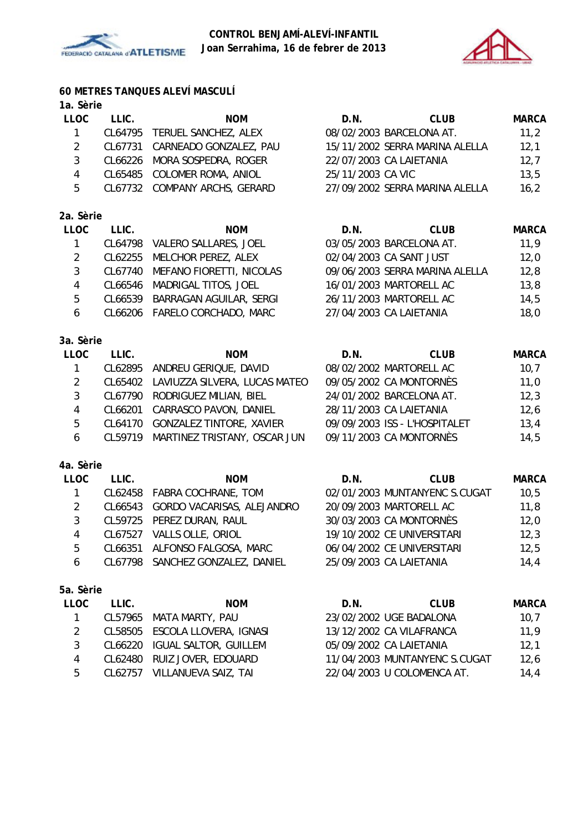



# **60 METRES TANQUES ALEVÍ MASCULÍ**

# **1a. Sèrie**

| <b>LLOC</b> | LLIC. | <b>NOM</b>                     | D.N.              | <b>CLUB</b>                    | <b>MARCA</b> |
|-------------|-------|--------------------------------|-------------------|--------------------------------|--------------|
|             |       | CL64795 TERUEL SANCHEZ, ALEX   |                   | 08/02/2003 BARCELONA AT.       | 11,2         |
|             |       | CL67731 CARNEADO GONZALEZ, PAU |                   | 15/11/2002 SERRA MARINA ALELLA | 12,1         |
|             |       | CL66226 MORA SOSPEDRA, ROGER   |                   | 22/07/2003 CA LAIETANIA        | 12,7         |
| 4           |       | CL65485 COLOMER ROMA, ANIOL    | 25/11/2003 CA VIC |                                | 13,5         |
| 5           |       | CL67732 COMPANY ARCHS, GERARD  |                   | 27/09/2002 SERRA MARINA ALELLA | 16,2         |
|             |       |                                |                   |                                |              |
|             |       |                                |                   |                                |              |

### **2a. Sèrie**

| <b>LLOC</b> | LLIC. | <b>NOM</b>                       | D.N. | <b>CLUB</b>                    | <b>MARCA</b> |
|-------------|-------|----------------------------------|------|--------------------------------|--------------|
|             |       | CL64798 VALERO SALLARES, JOEL    |      | 03/05/2003 BARCELONA AT.       | 11,9         |
|             |       | CL62255 MELCHOR PEREZ, ALEX      |      | 02/04/2003 CA SANT JUST        | 12,0         |
|             |       | CL67740 MEFANO FIORETTI, NICOLAS |      | 09/06/2003 SERRA MARINA ALELLA | 12,8         |
| 4           |       | CL66546 MADRIGAL TITOS, JOEL     |      | 16/01/2003 MARTORELL AC        | 13,8         |
| 5           |       | CL66539 BARRAGAN AGUILAR, SERGI  |      | 26/11/2003 MARTORELL AC        | 14,5         |
| 6           |       | CL66206 FARELO CORCHADO, MARC    |      | 27/04/2003 CA LAIETANIA        | 18,0         |
|             |       |                                  |      |                                |              |

### **3a. Sèrie**

| <b>LLOC</b> | LLIC. | <b>NOM</b>                            | D.N. | <b>CLUB</b>                   | <b>MARCA</b> |
|-------------|-------|---------------------------------------|------|-------------------------------|--------------|
|             |       | CL62895 ANDREU GERIQUE, DAVID         |      | 08/02/2002 MARTORELL AC       | 10,7         |
|             |       | CL65402 LAVIUZZA SILVERA, LUCAS MATEO |      | 09/05/2002 CA MONTORNÈS       | 11,0         |
|             |       | CL67790 RODRIGUEZ MILIAN, BIEL        |      | 24/01/2002 BARCELONA AT.      | 12,3         |
| 4           |       | CL66201 CARRASCO PAVON, DANIEL        |      | 28/11/2003 CA LAIETANIA       | 12,6         |
| 5           |       | CL64170 GONZALEZ TINTORE, XAVIER      |      | 09/09/2003 ISS - L'HOSPITALET | 13,4         |
| 6           |       | CL59719 MARTINEZ TRISTANY, OSCAR JUN  |      | 09/11/2003 CA MONTORNÈS       | 14,5         |

### **4a. Sèrie**

| LLOC          | LLIC. | <b>NOM</b>                         | D.N. | <b>CLUB</b>                   | <b>MARCA</b> |
|---------------|-------|------------------------------------|------|-------------------------------|--------------|
|               |       | CL62458 FABRA COCHRANE, TOM        |      | 02/01/2003 MUNTANYENC S.CUGAT | 10,5         |
| $\mathcal{L}$ |       | CL66543 GORDO VACARISAS, ALEJANDRO |      | 20/09/2003 MARTORELL AC       | 11,8         |
|               |       | CL59725 PEREZ DURAN, RAUL          |      | 30/03/2003 CA MONTORNÈS       | 12,0         |
| 4             |       | CL67527 VALLS OLLE, ORIOL          |      | 19/10/2002 CE UNIVERSITARI    | 12,3         |
| 5             |       | CL66351 ALFONSO FALGOSA, MARC      |      | 06/04/2002 CE UNIVERSITARI    | 12,5         |
| 6             |       | CL67798 SANCHEZ GONZALEZ, DANIEL   |      | 25/09/2003 CA LAIETANIA       | 14,4         |
|               |       |                                    |      |                               |              |

| LLOC. | LLIC. | <b>NOM</b>                     | D.N. | CLUB                          | <b>MARCA</b> |
|-------|-------|--------------------------------|------|-------------------------------|--------------|
|       |       | CL57965 MATA MARTY, PAU        |      | 23/02/2002 UGE BADALONA       | 10.7         |
|       |       | CL58505 ESCOLA LLOVERA, IGNASI |      | 13/12/2002 CA VILAFRANCA      | 11,9         |
|       |       | CL66220 IGUAL SALTOR, GUILLEM  |      | 05/09/2002 CA LAIETANIA       | 12.1         |
| 4     |       | CL62480 RUIZ JOVER, EDOUARD    |      | 11/04/2003 MUNTANYENC S.CUGAT | 12,6         |
| 5     |       | CL62757 VILLANUEVA SAIZ, TAI   |      | 22/04/2003 U COLOMENCA AT.    | 14,4         |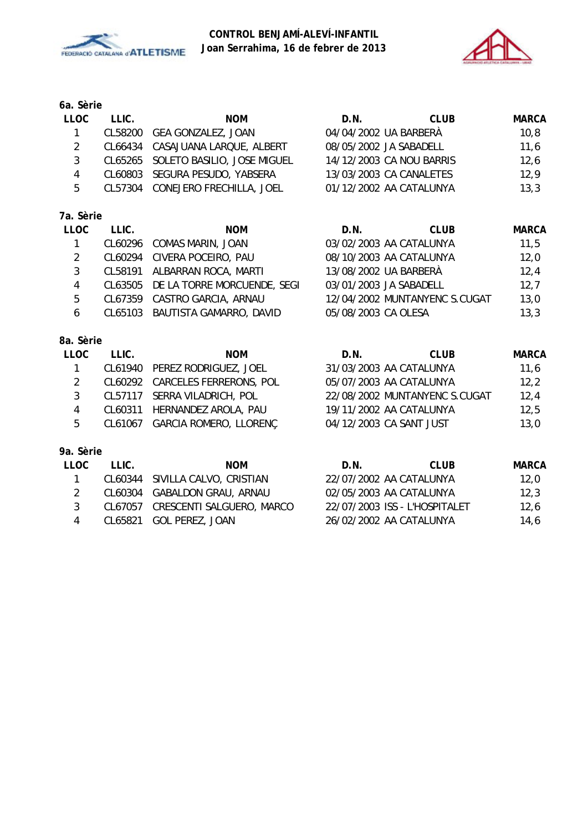



## **6a. Sèrie**

| <b>LLOC</b> | LLIC. | <b>NOM</b>                          | D.N.                     | CLUB | <b>MARCA</b> |
|-------------|-------|-------------------------------------|--------------------------|------|--------------|
|             |       | CL58200 GEA GONZALEZ, JOAN          | 04/04/2002 UA BARBERÀ    |      | 10,8         |
|             |       | CL66434 CASAJUANA LARQUE, ALBERT    | 08/05/2002 JA SABADELL   |      | 11,6         |
|             |       | CL65265 SOLETO BASILIO, JOSE MIGUEL | 14/12/2003 CA NOU BARRIS |      | 12,6         |
|             |       | CL60803 SEGURA PESUDO, YABSERA      | 13/03/2003 CA CANALETES  |      | 12,9         |
| 5           |       | CL57304 CONEJERO FRECHILLA, JOEL    | 01/12/2002 AA CATALUNYA  |      | 13,3         |

# **7a. Sèrie**

| LLOC | LLIC. | <b>NOM</b>                          | D.N.                    | <b>CLUB</b>                   | <b>MARCA</b> |
|------|-------|-------------------------------------|-------------------------|-------------------------------|--------------|
|      |       | CL60296 COMAS MARIN, JOAN           | 03/02/2003 AA CATALUNYA |                               | 11,5         |
| 2    |       | CL60294 CIVERA POCEIRO, PAU         | 08/10/2003 AA CATALUNYA |                               | 12,0         |
| 3    |       | CL58191 ALBARRAN ROCA, MARTI        | 13/08/2002 UA BARBERÀ   |                               | 12,4         |
| 4    |       | CL63505 DE LA TORRE MORCUENDE, SEGI | 03/01/2003 JA SABADELL  |                               | 12,7         |
| 5    |       | CL67359 CASTRO GARCIA, ARNAU        |                         | 12/04/2002 MUNTANYENC S.CUGAT | 13,0         |
| 6    |       | CL65103 BAUTISTA GAMARRO, DAVID     | 05/08/2003 CA OLESA     |                               | 13,3         |
|      |       |                                     |                         |                               |              |

| <b>LLOC</b> | LLIC. | <b>NOM</b>                      | D.N. | <b>CLUB</b>                   | <b>MARCA</b> |
|-------------|-------|---------------------------------|------|-------------------------------|--------------|
|             |       | CL61940 PEREZ RODRIGUEZ, JOEL   |      | 31/03/2003 AA CATALUNYA       | 11,6         |
| 2           |       | CL60292 CARCELES FERRERONS, POL |      | 05/07/2003 AA CATALUNYA       | 12,2         |
| 3           |       | CL57117 SERRA VILADRICH, POL    |      | 22/08/2002 MUNTANYENC S.CUGAT | 12,4         |
| 4           |       | CL60311 HERNANDEZ AROLA, PAU    |      | 19/11/2002 AA CATALUNYA       | 12,5         |
| 5           |       | CL61067 GARCIA ROMERO, LLORENÇ  |      | 04/12/2003 CA SANT JUST       | 13,0         |
|             |       |                                 |      |                               |              |
| 9a. Sèrie   |       |                                 |      |                               |              |

| LLOC | T LIC. | <b>NOM</b>                        | D.N.                    | CLUB                          | <b>MARCA</b> |
|------|--------|-----------------------------------|-------------------------|-------------------------------|--------------|
|      |        | CL60344 SIVILLA CALVO, CRISTIAN   | 22/07/2002 AA CATALUNYA |                               | 12.0         |
|      |        | CL60304 GABALDON GRAU, ARNAU      | 02/05/2003 AA CATALUNYA |                               | 12.3         |
| 3    |        | CL67057 CRESCENTI SALGUERO, MARCO |                         | 22/07/2003 ISS - L'HOSPITALET | 12.6         |
|      |        | CL65821 GOL PEREZ, JOAN           | 26/02/2002 AA CATALUNYA |                               | 14.6         |
|      |        |                                   |                         |                               |              |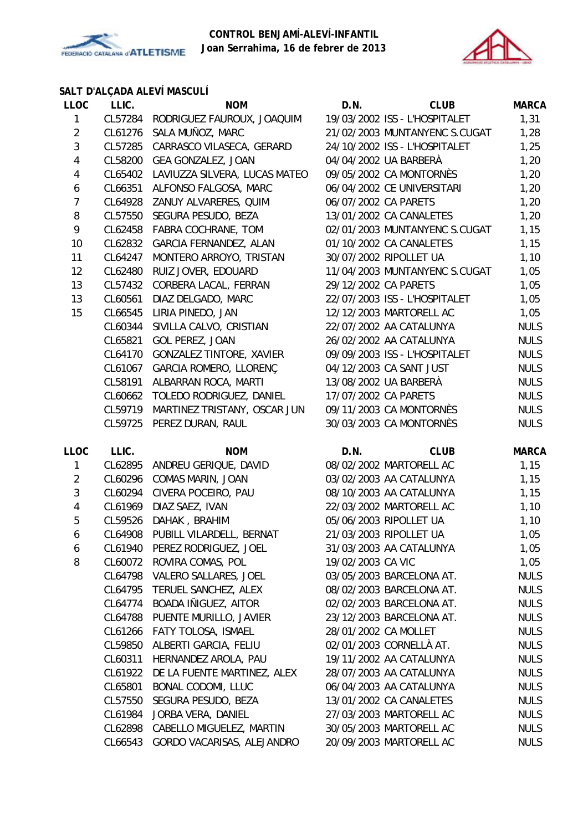



# **SALT D'ALÇADA ALEVÍ MASCULÍ**

| <b>LLOC</b>             | LLIC.   | <b>NOM</b>                         | D.N.                 | <b>CLUB</b>                   | <b>MARCA</b> |
|-------------------------|---------|------------------------------------|----------------------|-------------------------------|--------------|
| 1                       |         | CL57284 RODRIGUEZ FAUROUX, JOAQUIM |                      | 19/03/2002 ISS - L'HOSPITALET | 1,31         |
| $\overline{2}$          | CL61276 | SALA MUÑOZ, MARC                   |                      | 21/02/2003 MUNTANYENC S.CUGAT | 1,28         |
| 3                       | CL57285 | CARRASCO VILASECA, GERARD          |                      | 24/10/2002 ISS - L'HOSPITALET | 1,25         |
| 4                       | CL58200 | GEA GONZALEZ, JOAN                 |                      | 04/04/2002 UA BARBERÀ         | 1,20         |
| 4                       | CL65402 | LAVIUZZA SILVERA, LUCAS MATEO      |                      | 09/05/2002 CA MONTORNÈS       | 1,20         |
| 6                       | CL66351 | ALFONSO FALGOSA, MARC              |                      | 06/04/2002 CE UNIVERSITARI    | 1,20         |
| $\overline{7}$          | CL64928 | ZANUY ALVARERES, QUIM              | 06/07/2002 CA PARETS |                               | 1,20         |
| 8                       | CL57550 | SEGURA PESUDO, BEZA                |                      | 13/01/2002 CA CANALETES       | 1,20         |
| 9                       | CL62458 | FABRA COCHRANE, TOM                |                      | 02/01/2003 MUNTANYENC S.CUGAT | 1,15         |
| 10                      | CL62832 | GARCIA FERNANDEZ, ALAN             |                      | 01/10/2002 CA CANALETES       | 1,15         |
| 11                      | CL64247 | MONTERO ARROYO, TRISTAN            |                      | 30/07/2002 RIPOLLET UA        | 1,10         |
| 12                      | CL62480 | RUIZ JOVER, EDOUARD                |                      | 11/04/2003 MUNTANYENC S.CUGAT | 1,05         |
| 13                      | CL57432 | CORBERA LACAL, FERRAN              | 29/12/2002 CA PARETS |                               | 1,05         |
| 13                      | CL60561 | DIAZ DELGADO, MARC                 |                      | 22/07/2003 ISS - L'HOSPITALET | 1,05         |
| 15                      | CL66545 | LIRIA PINEDO, JAN                  |                      | 12/12/2003 MARTORELL AC       | 1,05         |
|                         | CL60344 | SIVILLA CALVO, CRISTIAN            |                      | 22/07/2002 AA CATALUNYA       | <b>NULS</b>  |
|                         | CL65821 | GOL PEREZ, JOAN                    |                      | 26/02/2002 AA CATALUNYA       | <b>NULS</b>  |
|                         | CL64170 | <b>GONZALEZ TINTORE, XAVIER</b>    |                      | 09/09/2003 ISS - L'HOSPITALET | <b>NULS</b>  |
|                         | CL61067 | GARCIA ROMERO, LLORENÇ             |                      | 04/12/2003 CA SANT JUST       | <b>NULS</b>  |
|                         | CL58191 | ALBARRAN ROCA, MARTI               |                      | 13/08/2002 UA BARBERÀ         | <b>NULS</b>  |
|                         | CL60662 | TOLEDO RODRIGUEZ, DANIEL           | 17/07/2002 CA PARETS |                               | <b>NULS</b>  |
|                         | CL59719 | MARTINEZ TRISTANY, OSCAR JUN       |                      | 09/11/2003 CA MONTORNÈS       | <b>NULS</b>  |
|                         | CL59725 | PEREZ DURAN, RAUL                  |                      | 30/03/2003 CA MONTORNÈS       | <b>NULS</b>  |
| <b>LLOC</b>             | LLIC.   | <b>NOM</b>                         | D.N.                 | <b>CLUB</b>                   | <b>MARCA</b> |
| 1                       | CL62895 | ANDREU GERIQUE, DAVID              |                      | 08/02/2002 MARTORELL AC       | 1,15         |
| $\overline{2}$          | CL60296 | COMAS MARIN, JOAN                  |                      | 03/02/2003 AA CATALUNYA       | 1,15         |
| 3                       | CL60294 | CIVERA POCEIRO, PAU                |                      | 08/10/2003 AA CATALUNYA       | 1,15         |
| $\overline{\mathbf{4}}$ | CL61969 | DIAZ SAEZ, IVAN                    |                      | 22/03/2002 MARTORELL AC       | 1,10         |
| 5                       | CL59526 | DAHAK, BRAHIM                      |                      | 05/06/2003 RIPOLLET UA        | 1,10         |
| 6                       | CL64908 | PUBILL VILARDELL, BERNAT           |                      | 21/03/2003 RIPOLLET UA        | 1,05         |
| 6                       | CL61940 | PEREZ RODRIGUEZ, JOEL              |                      | 31/03/2003 AA CATALUNYA       | 1,05         |
| 8                       | CL60072 | ROVIRA COMAS, POL                  | 19/02/2003 CA VIC    |                               | 1,05         |
|                         |         | CL64798 VALERO SALLARES, JOEL      |                      | 03/05/2003 BARCELONA AT.      | <b>NULS</b>  |
|                         | CL64795 | TERUEL SANCHEZ, ALEX               |                      | 08/02/2003 BARCELONA AT.      | <b>NULS</b>  |
|                         | CL64774 | BOADA IÑIGUEZ, AITOR               |                      | 02/02/2003 BARCELONA AT.      | <b>NULS</b>  |
|                         | CL64788 | PUENTE MURILLO, JAVIER             |                      | 23/12/2003 BARCELONA AT.      | <b>NULS</b>  |
|                         | CL61266 | FATY TOLOSA, ISMAEL                | 28/01/2002 CA MOLLET |                               | <b>NULS</b>  |
|                         | CL59850 | ALBERTI GARCIA, FELIU              |                      | 02/01/2003 CORNELLÀ AT.       | <b>NULS</b>  |
|                         | CL60311 | HERNANDEZ AROLA, PAU               |                      | 19/11/2002 AA CATALUNYA       | <b>NULS</b>  |
|                         | CL61922 | DE LA FUENTE MARTINEZ, ALEX        |                      | 28/07/2003 AA CATALUNYA       | <b>NULS</b>  |
|                         | CL65801 | BONAL CODOMI, LLUC                 |                      | 06/04/2003 AA CATALUNYA       | <b>NULS</b>  |
|                         | CL57550 | SEGURA PESUDO, BEZA                |                      | 13/01/2002 CA CANALETES       | <b>NULS</b>  |
|                         | CL61984 | JORBA VERA, DANIEL                 |                      | 27/03/2003 MARTORELL AC       | <b>NULS</b>  |
|                         | CL62898 | CABELLO MIGUELEZ, MARTIN           |                      | 30/05/2003 MARTORELL AC       | <b>NULS</b>  |
|                         |         | CL66543 GORDO VACARISAS, ALEJANDRO |                      | 20/09/2003 MARTORELL AC       | <b>NULS</b>  |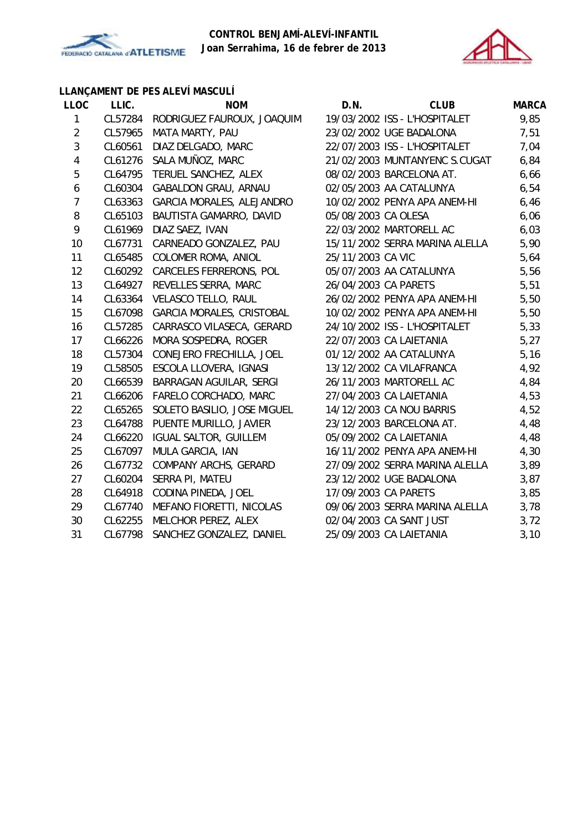



# **LLANÇAMENT DE PES ALEVÍ MASCULÍ**

| <b>LLOC</b>    | LLIC.   | <b>NOM</b>                   | D.N.                 | <b>CLUB</b>                    | <b>MARCA</b> |
|----------------|---------|------------------------------|----------------------|--------------------------------|--------------|
| $\mathbf{1}$   | CL57284 | RODRIGUEZ FAUROUX, JOAQUIM   |                      | 19/03/2002 ISS - L'HOSPITALET  | 9,85         |
| $\overline{2}$ | CL57965 | MATA MARTY, PAU              |                      | 23/02/2002 UGE BADALONA        | 7,51         |
| $\sqrt{3}$     | CL60561 | DIAZ DELGADO, MARC           |                      | 22/07/2003 ISS - L'HOSPITALET  | 7,04         |
| 4              | CL61276 | SALA MUÑOZ, MARC             |                      | 21/02/2003 MUNTANYENC S.CUGAT  | 6,84         |
| 5              | CL64795 | TERUEL SANCHEZ, ALEX         |                      | 08/02/2003 BARCELONA AT.       | 6,66         |
| 6              | CL60304 | <b>GABALDON GRAU, ARNAU</b>  |                      | 02/05/2003 AA CATALUNYA        | 6,54         |
| $\overline{7}$ | CL63363 | GARCIA MORALES, ALEJANDRO    |                      | 10/02/2002 PENYA APA ANEM-HI   | 6,46         |
| 8              | CL65103 | BAUTISTA GAMARRO, DAVID      | 05/08/2003 CA OLESA  |                                | 6,06         |
| 9              | CL61969 | DIAZ SAEZ, IVAN              |                      | 22/03/2002 MARTORELL AC        | 6,03         |
| 10             | CL67731 | CARNEADO GONZALEZ, PAU       |                      | 15/11/2002 SERRA MARINA ALELLA | 5,90         |
| 11             | CL65485 | COLOMER ROMA, ANIOL          | 25/11/2003 CA VIC    |                                | 5,64         |
| 12             | CL60292 | CARCELES FERRERONS, POL      |                      | 05/07/2003 AA CATALUNYA        | 5,56         |
| 13             | CL64927 | REVELLES SERRA, MARC         | 26/04/2003 CA PARETS |                                | 5,51         |
| 14             | CL63364 | VELASCO TELLO, RAUL          |                      | 26/02/2002 PENYA APA ANEM-HI   | 5,50         |
| 15             | CL67098 | GARCIA MORALES, CRISTOBAL    |                      | 10/02/2002 PENYA APA ANEM-HI   | 5,50         |
| 16             | CL57285 | CARRASCO VILASECA, GERARD    |                      | 24/10/2002 ISS - L'HOSPITALET  | 5,33         |
| 17             | CL66226 | MORA SOSPEDRA, ROGER         |                      | 22/07/2003 CA LAIETANIA        | 5,27         |
| 18             | CL57304 | CONEJERO FRECHILLA, JOEL     |                      | 01/12/2002 AA CATALUNYA        | 5,16         |
| 19             | CL58505 | ESCOLA LLOVERA, IGNASI       |                      | 13/12/2002 CA VILAFRANCA       | 4,92         |
| 20             | CL66539 | BARRAGAN AGUILAR, SERGI      |                      | 26/11/2003 MARTORELL AC        | 4,84         |
| 21             | CL66206 | FARELO CORCHADO, MARC        |                      | 27/04/2003 CA LAIETANIA        | 4,53         |
| 22             | CL65265 | SOLETO BASILIO, JOSE MIGUEL  |                      | 14/12/2003 CA NOU BARRIS       | 4,52         |
| 23             | CL64788 | PUENTE MURILLO, JAVIER       |                      | 23/12/2003 BARCELONA AT.       | 4,48         |
| 24             | CL66220 | <b>IGUAL SALTOR, GUILLEM</b> |                      | 05/09/2002 CA LAIETANIA        | 4,48         |
| 25             | CL67097 | MULA GARCIA, IAN             |                      | 16/11/2002 PENYA APA ANEM-HI   | 4,30         |
| 26             | CL67732 | COMPANY ARCHS, GERARD        |                      | 27/09/2002 SERRA MARINA ALELLA | 3,89         |
| 27             | CL60204 | SERRA PI, MATEU              |                      | 23/12/2002 UGE BADALONA        | 3,87         |
| 28             | CL64918 | CODINA PINEDA, JOEL          | 17/09/2003 CA PARETS |                                | 3,85         |
| 29             | CL67740 | MEFANO FIORETTI, NICOLAS     |                      | 09/06/2003 SERRA MARINA ALELLA | 3,78         |
| 30             | CL62255 | MELCHOR PEREZ, ALEX          |                      | 02/04/2003 CA SANT JUST        | 3,72         |
| 31             | CL67798 | SANCHEZ GONZALEZ, DANIEL     |                      | 25/09/2003 CA LAIETANIA        | 3,10         |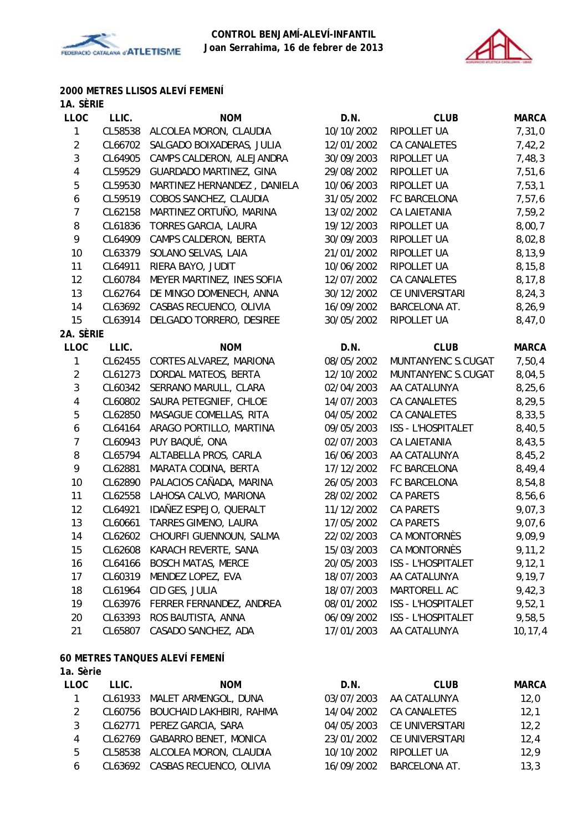



#### **2000 METRES LLISOS ALEVÍ FEMENÍ 1A. SÈRIE**

| <b>IA. JERIE</b><br><b>LLOC</b> | LLIC.   | <b>NOM</b>                   | D.N.       | <b>CLUB</b>               | <b>MARCA</b> |
|---------------------------------|---------|------------------------------|------------|---------------------------|--------------|
| $\mathbf{1}$                    | CL58538 | ALCOLEA MORON, CLAUDIA       | 10/10/2002 | RIPOLLET UA               | 7,31,0       |
| $\overline{2}$                  | CL66702 | SALGADO BOIXADERAS, JULIA    | 12/01/2002 | CA CANALETES              | 7,42,2       |
| $\mathfrak{Z}$                  | CL64905 | CAMPS CALDERON, ALEJANDRA    | 30/09/2003 | RIPOLLET UA               | 7,48,3       |
| $\overline{4}$                  | CL59529 | GUARDADO MARTINEZ, GINA      | 29/08/2002 | RIPOLLET UA               | 7,51,6       |
| 5                               | CL59530 | MARTINEZ HERNANDEZ, DANIELA  | 10/06/2003 | RIPOLLET UA               | 7,53,1       |
| 6                               | CL59519 | COBOS SANCHEZ, CLAUDIA       | 31/05/2002 | FC BARCELONA              | 7,57,6       |
| $\overline{7}$                  | CL62158 | MARTINEZ ORTUÑO, MARINA      | 13/02/2002 | <b>CA LAIETANIA</b>       | 7,59,2       |
| 8                               | CL61836 | TORRES GARCIA, LAURA         | 19/12/2003 | RIPOLLET UA               | 8,00,7       |
| 9                               | CL64909 | CAMPS CALDERON, BERTA        | 30/09/2003 | RIPOLLET UA               | 8,02,8       |
| 10                              | CL63379 | SOLANO SELVAS, LAIA          | 21/01/2002 | RIPOLLET UA               | 8,13,9       |
| 11                              | CL64911 | RIERA BAYO, JUDIT            | 10/06/2002 | RIPOLLET UA               | 8, 15, 8     |
| 12                              | CL60784 | MEYER MARTINEZ, INES SOFIA   | 12/07/2002 | CA CANALETES              | 8,17,8       |
| 13                              | CL62764 | DE MINGO DOMENECH, ANNA      | 30/12/2002 | CE UNIVERSITARI           | 8, 24, 3     |
| 14                              | CL63692 | CASBAS RECUENCO, OLIVIA      | 16/09/2002 | BARCELONA AT.             | 8,26,9       |
| 15                              | CL63914 | DELGADO TORRERO, DESIREE     | 30/05/2002 | RIPOLLET UA               | 8,47,0       |
| 2A. SÈRIE                       |         |                              |            |                           |              |
| <b>LLOC</b>                     | LLIC.   | <b>NOM</b>                   | D.N.       | <b>CLUB</b>               | <b>MARCA</b> |
| $\mathbf{1}$                    | CL62455 | CORTES ALVAREZ, MARIONA      | 08/05/2002 | MUNTANYENC S.CUGAT        | 7,50,4       |
| $\overline{2}$                  | CL61273 | DORDAL MATEOS, BERTA         | 12/10/2002 | MUNTANYENC S.CUGAT        | 8,04,5       |
| $\mathbf{3}$                    | CL60342 | SERRANO MARULL, CLARA        | 02/04/2003 | AA CATALUNYA              | 8, 25, 6     |
| 4                               | CL60802 | SAURA PETEGNIEF, CHLOE       | 14/07/2003 | CA CANALETES              | 8,29,5       |
| 5                               | CL62850 | MASAGUE COMELLAS, RITA       | 04/05/2002 | CA CANALETES              | 8, 33, 5     |
| 6                               | CL64164 | ARAGO PORTILLO, MARTINA      | 09/05/2003 | <b>ISS - L'HOSPITALET</b> | 8,40,5       |
| $\overline{7}$                  | CL60943 | PUY BAQUÉ, ONA               | 02/07/2003 | <b>CA LAIETANIA</b>       | 8,43,5       |
| 8                               | CL65794 | ALTABELLA PROS, CARLA        | 16/06/2003 | AA CATALUNYA              | 8,45,2       |
| 9                               | CL62881 | MARATA CODINA, BERTA         | 17/12/2002 | FC BARCELONA              | 8,49,4       |
| 10                              | CL62890 | PALACIOS CAÑADA, MARINA      | 26/05/2003 | FC BARCELONA              | 8,54,8       |
| 11                              | CL62558 | LAHOSA CALVO, MARIONA        | 28/02/2002 | CA PARETS                 | 8,56,6       |
| 12                              | CL64921 | IDAÑEZ ESPEJO, QUERALT       | 11/12/2002 | <b>CA PARETS</b>          | 9,07,3       |
| 13                              | CL60661 | TARRES GIMENO, LAURA         | 17/05/2002 | <b>CA PARETS</b>          | 9,07,6       |
| 14                              | CL62602 | CHOURFI GUENNOUN, SALMA      | 22/02/2003 | CA MONTORNÈS              | 9,09,9       |
| 15                              |         | CL62608 KARACH REVERTE, SANA | 15/03/2003 | CA MONTORNÈS              | 9, 11, 2     |
| 16                              | CL64166 | <b>BOSCH MATAS, MERCE</b>    | 20/05/2003 | ISS - L'HOSPITALET        | 9, 12, 1     |
| 17                              | CL60319 | MENDEZ LOPEZ, EVA            | 18/07/2003 | AA CATALUNYA              | 9, 19, 7     |
| 18                              | CL61964 | CID GES, JULIA               | 18/07/2003 | MARTORELL AC              | 9,42,3       |
| 19                              | CL63976 | FERRER FERNANDEZ, ANDREA     | 08/01/2002 | <b>ISS - L'HOSPITALET</b> | 9,52,1       |
| 20                              | CL63393 | ROS BAUTISTA, ANNA           | 06/09/2002 | ISS - L'HOSPITALET        | 9,58,5       |
| 21                              | CL65807 | CASADO SANCHEZ, ADA          | 17/01/2003 | AA CATALUNYA              | 10, 17, 4    |
|                                 |         |                              |            |                           |              |

# **60 METRES TANQUES ALEVÍ FEMENÍ**

| LLOC          | LLIC. | <b>NOM</b>                       | D.N.       | <b>CLUB</b>     | <b>MARCA</b> |
|---------------|-------|----------------------------------|------------|-----------------|--------------|
|               |       | CL61933 MALET ARMENGOL, DUNA     | 03/07/2003 | AA CATALUNYA    | 12,0         |
| $\mathcal{L}$ |       | CL60756 BOUCHAID LAKHBIRI, RAHMA | 14/04/2002 | CA CANALETES    | 12,1         |
| 3             |       | CL62771 PEREZ GARCIA, SARA       | 04/05/2003 | CE UNIVERSITARI | 12,2         |
| 4             |       | CL62769 GABARRO BENET, MONICA    | 23/01/2002 | CE UNIVERSITARI | 12,4         |
| 5             |       | CL58538 ALCOLEA MORON, CLAUDIA   | 10/10/2002 | RIPOLLET UA     | 12,9         |
| 6             |       | CL63692 CASBAS RECUENCO, OLIVIA  | 16/09/2002 | BARCELONA AT.   | 13,3         |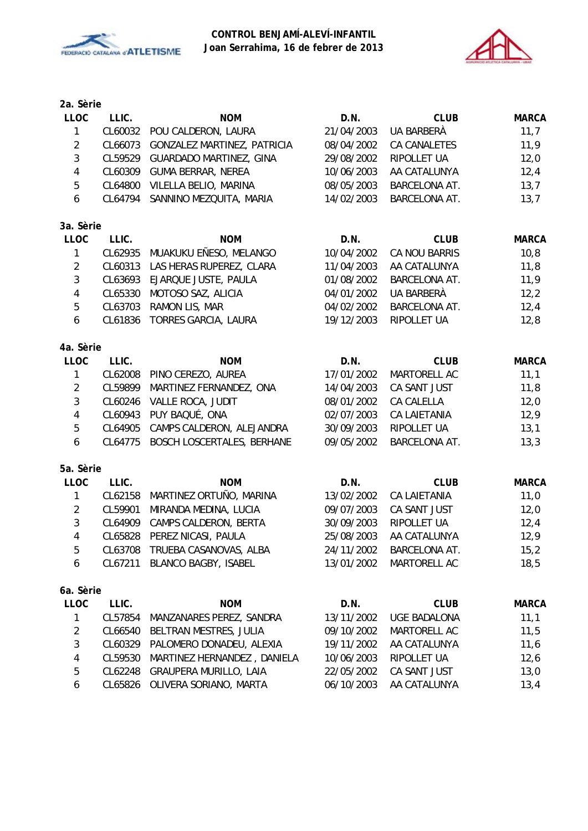



| 2a. Sèrie               |         |                                |            |                      |              |
|-------------------------|---------|--------------------------------|------------|----------------------|--------------|
| <b>LLOC</b>             | LLIC.   | <b>NOM</b>                     | D.N.       | <b>CLUB</b>          | <b>MARCA</b> |
| 1                       | CL60032 | POU CALDERON, LAURA            | 21/04/2003 | UA BARBERÀ           | 11,7         |
| $\overline{2}$          | CL66073 | GONZALEZ MARTINEZ, PATRICIA    | 08/04/2002 | CA CANALETES         | 11,9         |
| $\sqrt{3}$              | CL59529 | <b>GUARDADO MARTINEZ, GINA</b> | 29/08/2002 | RIPOLLET UA          | 12,0         |
| $\overline{\mathbf{4}}$ | CL60309 | <b>GUMA BERRAR, NEREA</b>      | 10/06/2003 | AA CATALUNYA         | 12,4         |
| 5                       | CL64800 | VILELLA BELIO, MARINA          | 08/05/2003 | BARCELONA AT.        | 13,7         |
| 6                       | CL64794 | SANNINO MEZQUITA, MARIA        | 14/02/2003 | BARCELONA AT.        | 13,7         |
| 3a. Sèrie               |         |                                |            |                      |              |
| <b>LLOC</b>             | LLIC.   | <b>NOM</b>                     | D.N.       | <b>CLUB</b>          | <b>MARCA</b> |
| $\mathbf{1}$            | CL62935 | MUAKUKU EÑESO, MELANGO         | 10/04/2002 | CA NOU BARRIS        | 10, 8        |
| $\overline{2}$          | CL60313 | LAS HERAS RUPEREZ, CLARA       | 11/04/2003 | AA CATALUNYA         | 11,8         |
| 3                       | CL63693 | EJARQUE JUSTE, PAULA           | 01/08/2002 | BARCELONA AT.        | 11,9         |
| 4                       | CL65330 | MOTOSO SAZ, ALICIA             | 04/01/2002 | UA BARBERÀ           | 12,2         |
| 5                       | CL63703 | RAMON LIS, MAR                 | 04/02/2002 | BARCELONA AT.        | 12,4         |
| 6                       | CL61836 | TORRES GARCIA, LAURA           | 19/12/2003 | RIPOLLET UA          | 12,8         |
| 4a. Sèrie               |         |                                |            |                      |              |
| <b>LLOC</b>             | LLIC.   | <b>NOM</b>                     | D.N.       | <b>CLUB</b>          | <b>MARCA</b> |
| $\mathbf{1}$            | CL62008 | PINO CEREZO, AUREA             | 17/01/2002 | MARTORELL AC         | 11,1         |
| $\overline{2}$          | CL59899 | MARTINEZ FERNANDEZ, ONA        | 14/04/2003 | CA SANT JUST         | 11,8         |
| $\mathbf{3}$            | CL60246 | VALLE ROCA, JUDIT              | 08/01/2002 | CA CALELLA           | 12,0         |
| $\overline{4}$          | CL60943 | PUY BAQUÉ, ONA                 | 02/07/2003 | <b>CA LAIETANIA</b>  | 12,9         |
| 5                       | CL64905 | CAMPS CALDERON, ALEJANDRA      | 30/09/2003 | RIPOLLET UA          | 13,1         |
| 6                       | CL64775 | BOSCH LOSCERTALES, BERHANE     | 09/05/2002 | BARCELONA AT.        | 13,3         |
| 5a. Sèrie               |         |                                |            |                      |              |
| <b>LLOC</b>             | LLIC.   | <b>NOM</b>                     | D.N.       | <b>CLUB</b>          | <b>MARCA</b> |
| $\mathbf{1}$            | CL62158 | MARTINEZ ORTUÑO, MARINA        | 13/02/2002 | <b>CA LAIETANIA</b>  | 11,0         |
| $\overline{2}$          | CL59901 | MIRANDA MEDINA, LUCIA          | 09/07/2003 | CA SANT JUST         | 12,0         |
| $\sqrt{3}$              | CL64909 | CAMPS CALDERON, BERTA          | 30/09/2003 | RIPOLLET UA          | 12,4         |
| 4                       | CL65828 | PEREZ NICASI, PAULA            | 25/08/2003 | AA CATALUNYA         | 12,9         |
| 5                       | CL63708 | TRUEBA CASANOVAS, ALBA         | 24/11/2002 | <b>BARCELONA AT.</b> | 15,2         |
| 6                       | CL67211 | BLANCO BAGBY, ISABEL           | 13/01/2002 | MARTORELL AC         | 18,5         |
| 6a. Sèrie               |         |                                |            |                      |              |
| <b>LLOC</b>             | LLIC.   | <b>NOM</b>                     | D.N.       | <b>CLUB</b>          | <b>MARCA</b> |
| 1                       | CL57854 | MANZANARES PEREZ, SANDRA       | 13/11/2002 | <b>UGE BADALONA</b>  | 11,1         |
| $\boldsymbol{2}$        | CL66540 | BELTRAN MESTRES, JULIA         | 09/10/2002 | MARTORELL AC         | 11,5         |
| 3                       | CL60329 | PALOMERO DONADEU, ALEXIA       | 19/11/2002 | AA CATALUNYA         | 11,6         |
| 4                       | CL59530 | MARTINEZ HERNANDEZ, DANIELA    | 10/06/2003 | RIPOLLET UA          | 12,6         |
| 5                       | CL62248 | GRAUPERA MURILLO, LAIA         | 22/05/2002 | CA SANT JUST         | 13,0         |
| 6                       | CL65826 | OLIVERA SORIANO, MARTA         | 06/10/2003 | AA CATALUNYA         | 13,4         |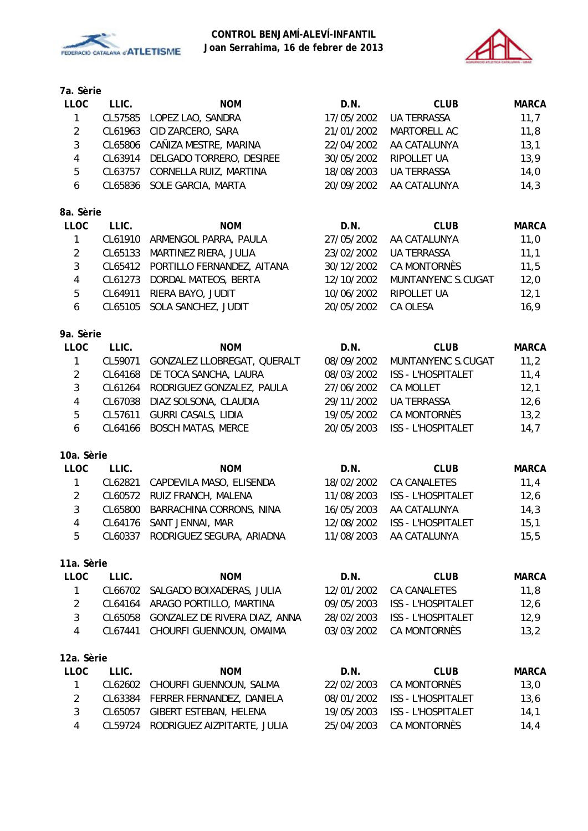



### **7a. Sèrie**

| <b>LLOC</b>    | LLIC.   | <b>NOM</b>                 | D.N.       | <b>CLUB</b>        | <b>MARCA</b> |
|----------------|---------|----------------------------|------------|--------------------|--------------|
|                | CL57585 | LOPEZ LAO, SANDRA          | 17/05/2002 | UA TERRASSA        | 11,7         |
| 2              | CL61963 | CID ZARCERO, SARA          | 21/01/2002 | MARTORELL AC       | 11,8         |
| 3              | CL65806 | CAÑIZA MESTRE, MARINA      | 22/04/2002 | AA CATALUNYA       | 13,1         |
| 4              | CL63914 | DELGADO TORRERO, DESIREE   | 30/05/2002 | RIPOLLET UA        | 13,9         |
| 5              | CL63757 | CORNELLA RUIZ, MARTINA     | 18/08/2003 | <b>UA TERRASSA</b> | 14,0         |
| 6              | CL65836 | SOLE GARCIA, MARTA         | 20/09/2002 | AA CATALUNYA       | 14,3         |
|                |         |                            |            |                    |              |
| 8a. Sèrie      |         |                            |            |                    |              |
|                |         |                            |            |                    |              |
| <b>LLOC</b>    | LLIC.   | <b>NOM</b>                 | D.N.       | <b>CLUB</b>        | <b>MARCA</b> |
| 1              | CL61910 | ARMENGOL PARRA, PAULA      | 27/05/2002 | AA CATALUNYA       | 11,0         |
| $\overline{2}$ | CL65133 | MARTINEZ RIERA, JULIA      | 23/02/2002 | <b>UA TERRASSA</b> | 11,1         |
| 3              | CL65412 | PORTILLO FERNANDEZ, AITANA | 30/12/2002 | CA MONTORNÈS       | 11,5         |
| 4              | CL61273 | DORDAL MATEOS, BERTA       | 12/10/2002 | MUNTANYENC S.CUGAT | 12,0         |
| 5              | CL64911 | RIERA BAYO, JUDIT          | 10/06/2002 | <b>RIPOLLET UA</b> | 12,1         |

#### **9a. Sèrie**

| LLOC         | LLIC.   | <b>NOM</b>                        | D.N.       | <b>CLUB</b>        | <b>MARCA</b> |
|--------------|---------|-----------------------------------|------------|--------------------|--------------|
| $\mathbf{1}$ | CL59071 | GONZALEZ LLOBREGAT, QUERALT       | 08/09/2002 | MUNTANYENC S.CUGAT | 11,2         |
| 2            |         | CL64168 DE TOCA SANCHA, LAURA     | 08/03/2002 | ISS - L'HOSPITALET | 11,4         |
| 3            |         | CL61264 RODRIGUEZ GONZALEZ, PAULA | 27/06/2002 | <b>CA MOLLET</b>   | 12,1         |
| 4            |         | CL67038 DIAZ SOLSONA, CLAUDIA     | 29/11/2002 | <b>UA TERRASSA</b> | 12,6         |
| 5            | CL57611 | GURRI CASALS, LIDIA               | 19/05/2002 | CA MONTORNÈS       | 13,2         |
| 6            |         | CL64166 BOSCH MATAS, MERCE        | 20/05/2003 | ISS - L'HOSPITALET | 14,7         |
|              |         |                                   |            |                    |              |

### **10a. Sèrie**

| LLOC          | LLIC. | <b>NOM</b>                        | D.N.       | <b>CLUB</b>        | <b>MARCA</b> |
|---------------|-------|-----------------------------------|------------|--------------------|--------------|
|               |       | CL62821 CAPDEVILA MASO, ELISENDA  | 18/02/2002 | CA CANALETES       | 11.4         |
| $\mathcal{P}$ |       | CL60572 RUIZ FRANCH, MALENA       | 11/08/2003 | ISS - L'HOSPITALET | 12,6         |
| 3             |       | CL65800 BARRACHINA CORRONS, NINA  | 16/05/2003 | AA CATALUNYA       | 14,3         |
| 4             |       | CL64176 SANT JENNAI, MAR          | 12/08/2002 | ISS - L'HOSPITALET | 15,1         |
| 5             |       | CL60337 RODRIGUEZ SEGURA, ARIADNA | 11/08/2003 | AA CATALUNYA       | 15.5         |

| <b>LLOC</b> | LLIC.   | <b>NOM</b>                      | D.N.       | <b>CLUB</b>               | <b>MARCA</b> |
|-------------|---------|---------------------------------|------------|---------------------------|--------------|
|             | CL66702 | SALGADO BOIXADERAS, JULIA       | 12/01/2002 | <b>CA CANALETES</b>       | 11,8         |
| 2           | CL64164 | ARAGO PORTILLO, MARTINA         | 09/05/2003 | <b>ISS - L'HOSPITALET</b> | 12,6         |
| 3           | CL65058 | GONZALEZ DE RIVERA DIAZ, ANNA   | 28/02/2003 | <b>ISS - L'HOSPITALET</b> | 12,9         |
| 4           | CL67441 | CHOURFI GUENNOUN, OMAIMA        | 03/03/2002 | CA MONTORNÈS              | 13,2         |
|             |         |                                 |            |                           |              |
| 12a. Sèrie  |         |                                 |            |                           |              |
| <b>LLOC</b> | LLIC.   | <b>NOM</b>                      | D.N.       | <b>CLUB</b>               | <b>MARCA</b> |
| 1           |         | CL62602 CHOURFI GUENNOUN, SALMA | 22/02/2003 | CA MONTORNÈS              | 13,0         |
| 2           | CL63384 | FERRER FERNANDEZ, DANIELA       | 08/01/2002 | <b>ISS - L'HOSPITALET</b> | 13,6         |
| 3           | CL65057 | GIBERT ESTEBAN, HELENA          | 19/05/2003 | <b>ISS - L'HOSPITALET</b> | 14,1         |
| 4           | CL59724 | RODRIGUEZ AIZPITARTE, JULIA     | 25/04/2003 | CA MONTORNÈS              | 14,4         |
|             |         |                                 |            |                           |              |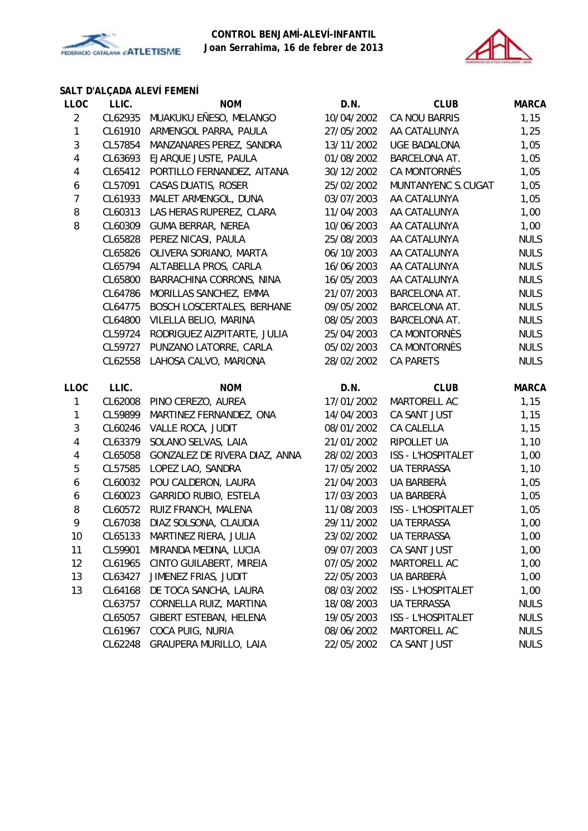



# **SALT D'ALÇADA ALEVÍ FEMENÍ**

| <b>LLOC</b>    | LLIC.   | <b>NOM</b>                        | D.N.       | <b>CLUB</b>               | <b>MARCA</b> |
|----------------|---------|-----------------------------------|------------|---------------------------|--------------|
| $\overline{2}$ | CL62935 | MUAKUKU EÑESO, MELANGO            | 10/04/2002 | <b>CA NOU BARRIS</b>      | 1,15         |
| 1              | CL61910 | ARMENGOL PARRA, PAULA             | 27/05/2002 | AA CATALUNYA              | 1,25         |
| 3              | CL57854 | MANZANARES PEREZ, SANDRA          | 13/11/2002 | <b>UGE BADALONA</b>       | 1,05         |
| 4              | CL63693 | EJARQUE JUSTE, PAULA              | 01/08/2002 | BARCELONA AT.             | 1,05         |
| 4              | CL65412 | PORTILLO FERNANDEZ, AITANA        | 30/12/2002 | CA MONTORNÈS              | 1,05         |
| 6              | CL57091 | CASAS DUATIS, ROSER               | 25/02/2002 | MUNTANYENC S.CUGAT        | 1,05         |
| $\overline{7}$ | CL61933 | MALET ARMENGOL, DUNA              | 03/07/2003 | AA CATALUNYA              | 1,05         |
| 8              | CL60313 | LAS HERAS RUPEREZ, CLARA          | 11/04/2003 | AA CATALUNYA              | 1,00         |
| 8              | CL60309 | <b>GUMA BERRAR, NEREA</b>         | 10/06/2003 | AA CATALUNYA              | 1,00         |
|                | CL65828 | PEREZ NICASI, PAULA               | 25/08/2003 | AA CATALUNYA              | <b>NULS</b>  |
|                | CL65826 | OLIVERA SORIANO, MARTA            | 06/10/2003 | AA CATALUNYA              | <b>NULS</b>  |
|                | CL65794 | ALTABELLA PROS, CARLA             | 16/06/2003 | AA CATALUNYA              | <b>NULS</b>  |
|                | CL65800 | BARRACHINA CORRONS, NINA          | 16/05/2003 | AA CATALUNYA              | <b>NULS</b>  |
|                | CL64786 | MORILLAS SANCHEZ, EMMA            | 21/07/2003 | <b>BARCELONA AT.</b>      | <b>NULS</b>  |
|                | CL64775 | <b>BOSCH LOSCERTALES, BERHANE</b> | 09/05/2002 | BARCELONA AT.             | <b>NULS</b>  |
|                | CL64800 | VILELLA BELIO, MARINA             | 08/05/2003 | BARCELONA AT.             | <b>NULS</b>  |
|                | CL59724 | RODRIGUEZ AIZPITARTE, JULIA       | 25/04/2003 | CA MONTORNÈS              | <b>NULS</b>  |
|                | CL59727 | PUNZANO LATORRE, CARLA            | 05/02/2003 | CA MONTORNÈS              | <b>NULS</b>  |
|                | CL62558 | LAHOSA CALVO, MARIONA             | 28/02/2002 | <b>CA PARETS</b>          | <b>NULS</b>  |
| <b>LLOC</b>    | LLIC.   | <b>NOM</b>                        | D.N.       | <b>CLUB</b>               | <b>MARCA</b> |
|                |         |                                   | 17/01/2002 | MARTORELL AC              | 1,15         |
| 1              | CL62008 | PINO CEREZO, AUREA                |            |                           |              |
| 1              | CL59899 | MARTINEZ FERNANDEZ, ONA           | 14/04/2003 | CA SANT JUST              | 1,15         |
| 3              | CL60246 | VALLE ROCA, JUDIT                 | 08/01/2002 | CA CALELLA                | 1,15         |
| 4              | CL63379 | SOLANO SELVAS, LAIA               | 21/01/2002 | RIPOLLET UA               | 1,10         |
| 4              | CL65058 | GONZALEZ DE RIVERA DIAZ, ANNA     | 28/02/2003 | <b>ISS - L'HOSPITALET</b> | 1,00         |
| 5              | CL57585 | LOPEZ LAO, SANDRA                 | 17/05/2002 | <b>UA TERRASSA</b>        | 1,10         |
| 6              | CL60032 | POU CALDERON, LAURA               | 21/04/2003 | UA BARBERÀ                | 1,05         |
| 6              | CL60023 | <b>GARRIDO RUBIO, ESTELA</b>      | 17/03/2003 | UA BARBERÀ                | 1,05         |
| 8              | CL60572 | RUIZ FRANCH, MALENA               | 11/08/2003 | ISS - L'HOSPITALET        | 1,05         |
| 9              | CL67038 | DIAZ SOLSONA, CLAUDIA             | 29/11/2002 | <b>UA TERRASSA</b>        | 1,00         |
| 10             | CL65133 | MARTINEZ RIERA, JULIA             | 23/02/2002 | <b>UA TERRASSA</b>        | 1,00         |
| 11             | CL59901 | MIRANDA MEDINA, LUCIA             | 09/07/2003 | CA SANT JUST              | 1,00         |
| 12             | CL61965 | CINTO GUILABERT, MIREIA           | 07/05/2002 | MARTORELL AC              | 1,00         |
| 13             | CL63427 | JIMENEZ FRIAS, JUDIT              | 22/05/2003 | UA BARBERÀ                | 1,00         |
| 13             | CL64168 | DE TOCA SANCHA, LAURA             | 08/03/2002 | <b>ISS - L'HOSPITALET</b> | 1,00         |
|                | CL63757 | CORNELLA RUIZ, MARTINA            | 18/08/2003 | UA TERRASSA               | <b>NULS</b>  |
|                | CL65057 | GIBERT ESTEBAN, HELENA            | 19/05/2003 | ISS - L'HOSPITALET        | <b>NULS</b>  |
|                | CL61967 | COCA PUIG, NURIA                  | 08/06/2002 | MARTORELL AC              | <b>NULS</b>  |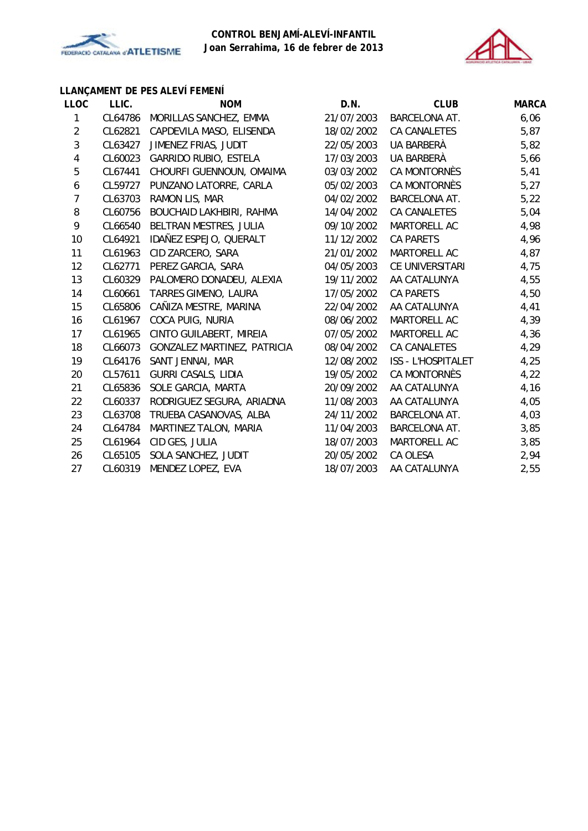



# **LLANÇAMENT DE PES ALEVÍ FEMENÍ**

| <b>LLOC</b>             | LLIC.   | <b>NOM</b>                   | D.N.       | <b>CLUB</b>               | <b>MARCA</b> |
|-------------------------|---------|------------------------------|------------|---------------------------|--------------|
| 1                       | CL64786 | MORILLAS SANCHEZ, EMMA       | 21/07/2003 | <b>BARCELONA AT.</b>      | 6,06         |
| $\overline{2}$          | CL62821 | CAPDEVILA MASO, ELISENDA     | 18/02/2002 | CA CANALETES              | 5,87         |
| $\sqrt{3}$              | CL63427 | JIMENEZ FRIAS, JUDIT         | 22/05/2003 | UA BARBERÀ                | 5,82         |
| $\overline{\mathbf{4}}$ | CL60023 | <b>GARRIDO RUBIO, ESTELA</b> | 17/03/2003 | UA BARBERÀ                | 5,66         |
| $\mathbf 5$             | CL67441 | CHOURFI GUENNOUN, OMAIMA     | 03/03/2002 | CA MONTORNÈS              | 5,41         |
| 6                       | CL59727 | PUNZANO LATORRE, CARLA       | 05/02/2003 | CA MONTORNÈS              | 5,27         |
| $\overline{7}$          | CL63703 | RAMON LIS, MAR               | 04/02/2002 | <b>BARCELONA AT.</b>      | 5,22         |
| 8                       | CL60756 | BOUCHAID LAKHBIRI, RAHMA     | 14/04/2002 | CA CANALETES              | 5,04         |
| 9                       | CL66540 | BELTRAN MESTRES, JULIA       | 09/10/2002 | MARTORELL AC              | 4,98         |
| 10                      | CL64921 | IDAÑEZ ESPEJO, QUERALT       | 11/12/2002 | <b>CA PARETS</b>          | 4,96         |
| 11                      | CL61963 | CID ZARCERO, SARA            | 21/01/2002 | MARTORELL AC              | 4,87         |
| 12                      | CL62771 | PEREZ GARCIA, SARA           | 04/05/2003 | CE UNIVERSITARI           | 4,75         |
| 13                      | CL60329 | PALOMERO DONADEU, ALEXIA     | 19/11/2002 | AA CATALUNYA              | 4,55         |
| 14                      | CL60661 | TARRES GIMENO, LAURA         | 17/05/2002 | <b>CA PARETS</b>          | 4,50         |
| 15                      | CL65806 | CAÑIZA MESTRE, MARINA        | 22/04/2002 | AA CATALUNYA              | 4,41         |
| 16                      | CL61967 | COCA PUIG, NURIA             | 08/06/2002 | MARTORELL AC              | 4,39         |
| 17                      | CL61965 | CINTO GUILABERT, MIREIA      | 07/05/2002 | MARTORELL AC              | 4,36         |
| 18                      | CL66073 | GONZALEZ MARTINEZ, PATRICIA  | 08/04/2002 | CA CANALETES              | 4,29         |
| 19                      | CL64176 | SANT JENNAI, MAR             | 12/08/2002 | <b>ISS - L'HOSPITALET</b> | 4,25         |
| 20                      | CL57611 | <b>GURRI CASALS, LIDIA</b>   | 19/05/2002 | CA MONTORNÈS              | 4,22         |
| 21                      | CL65836 | SOLE GARCIA, MARTA           | 20/09/2002 | AA CATALUNYA              | 4,16         |
| 22                      | CL60337 | RODRIGUEZ SEGURA, ARIADNA    | 11/08/2003 | AA CATALUNYA              | 4,05         |
| 23                      | CL63708 | TRUEBA CASANOVAS, ALBA       | 24/11/2002 | <b>BARCELONA AT.</b>      | 4,03         |
| 24                      | CL64784 | MARTINEZ TALON, MARIA        | 11/04/2003 | BARCELONA AT.             | 3,85         |
| 25                      | CL61964 | CID GES, JULIA               | 18/07/2003 | MARTORELL AC              | 3,85         |
| 26                      | CL65105 | SOLA SANCHEZ, JUDIT          | 20/05/2002 | CA OLESA                  | 2,94         |
| 27                      | CL60319 | MENDEZ LOPEZ, EVA            | 18/07/2003 | AA CATALUNYA              | 2,55         |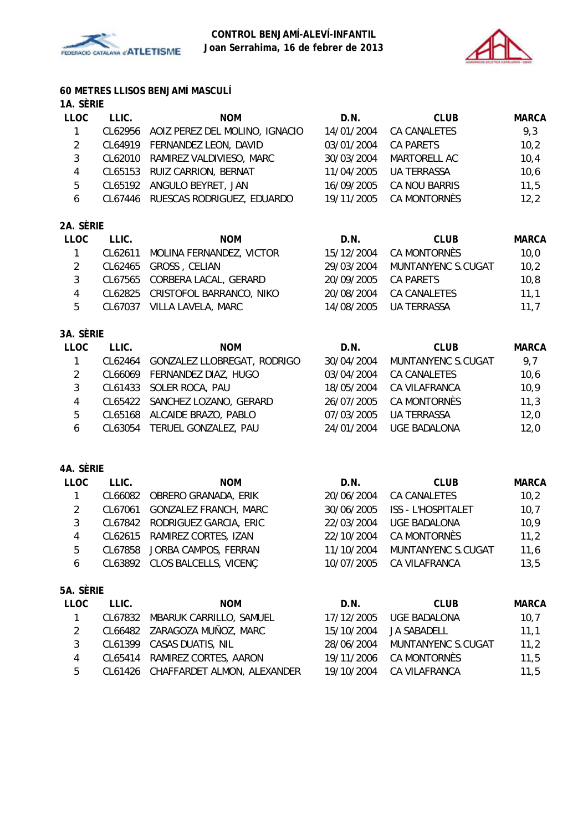



# **60 METRES LLISOS BENJAMÍ MASCULÍ**

# **1A. SÈRIE**

| <b>LLOC</b> | LLIC. | <b>NOM</b>                             | D.N.       | <b>CLUB</b>          | <b>MARCA</b> |
|-------------|-------|----------------------------------------|------------|----------------------|--------------|
|             |       | CL62956 AOIZ PEREZ DEL MOLINO, IGNACIO | 14/01/2004 | CA CANALETES         | 9,3          |
| 2           |       | CL64919 FERNANDEZ LEON, DAVID          | 03/01/2004 | CA PARETS            | 10,2         |
| 3           |       | CL62010 RAMIREZ VALDIVIESO, MARC       | 30/03/2004 | MARTORELL AC         | 10,4         |
| 4           |       | CL65153 RUIZ CARRION, BERNAT           | 11/04/2005 | <b>UA TERRASSA</b>   | 10,6         |
| 5           |       | CL65192 ANGULO BEYRET, JAN             | 16/09/2005 | <b>CA NOU BARRIS</b> | 11,5         |
| 6           |       | CL67446 RUESCAS RODRIGUEZ, EDUARDO     | 19/11/2005 | CA MONTORNÈS         | 12,2         |
|             |       |                                        |            |                      |              |

# **2A. SÈRIE**

| <b>LLOC</b> | LLIC. | <b>NOM</b>                       | D.N.       | <b>CLUB</b>        | <b>MARCA</b> |
|-------------|-------|----------------------------------|------------|--------------------|--------------|
|             |       | CL62611 MOLINA FERNANDEZ, VICTOR | 15/12/2004 | CA MONTORNÈS       | 10.0         |
|             |       | CL62465 GROSS, CELIAN            | 29/03/2004 | MUNTANYENC S.CUGAT | 10,2         |
|             |       | CL67565 CORBERA LACAL, GERARD    | 20/09/2005 | CA PARETS          | 10.8         |
|             |       | CL62825 CRISTOFOL BARRANCO, NIKO | 20/08/2004 | CA CANALETES       | 11.1         |
| 5.          |       | CL67037 VILLA LAVELA, MARC       | 14/08/2005 | UA TERRASSA        | 11.7         |

# **3A. SÈRIE**

| <b>LLOC</b> | LLIC.   | <b>NOM</b>                     | D.N.       | <b>CLUB</b>         | <b>MARCA</b> |
|-------------|---------|--------------------------------|------------|---------------------|--------------|
|             | CL62464 | GONZALEZ LLOBREGAT, RODRIGO    | 30/04/2004 | MUNTANYENC S.CUGAT  | 9,7          |
|             |         | CL66069 FERNANDEZ DIAZ, HUGO   | 03/04/2004 | CA CANALETES        | 10,6         |
|             |         | CL61433 SOLER ROCA, PAU        | 18/05/2004 | CA VILAFRANCA       | 10,9         |
| 4           |         | CL65422 SANCHEZ LOZANO, GERARD | 26/07/2005 | CA MONTORNÈS        | 11,3         |
| 5           |         | CL65168 ALCAIDE BRAZO, PABLO   | 07/03/2005 | UA TERRASSA         | 12,0         |
| 6           |         | CL63054 TERUEL GONZALEZ, PAU   | 24/01/2004 | <b>UGE BADALONA</b> | 12.0         |

### **4A. SÈRIE**

| <b>LLOC</b> | LLIC. | <b>NOM</b>                     | D.N.       | <b>CLUB</b>               | <b>MARCA</b> |
|-------------|-------|--------------------------------|------------|---------------------------|--------------|
|             |       | CL66082 OBRERO GRANADA, ERIK   | 20/06/2004 | CA CANALETES              | 10,2         |
| 2           |       | CL67061 GONZALEZ FRANCH, MARC  | 30/06/2005 | <b>ISS - L'HOSPITALET</b> | 10,7         |
| 3           |       | CL67842 RODRIGUEZ GARCIA, ERIC | 22/03/2004 | UGE BADALONA              | 10,9         |
| 4           |       | CL62615 RAMIREZ CORTES, IZAN   | 22/10/2004 | CA MONTORNÈS              | 11,2         |
| 5           |       | CL67858 JORBA CAMPOS, FERRAN   | 11/10/2004 | MUNTANYENC S.CUGAT        | 11,6         |
| 6           |       | CL63892 CLOS BALCELLS, VICENC  | 10/07/2005 | CA VILAFRANCA             | 13,5         |
|             |       |                                |            |                           |              |

# **5A. SÈRIE**

| <b>LLOC</b> | LLIC. | <b>NOM</b>                          | D.N.       | <b>CLUB</b>         | MARCA |
|-------------|-------|-------------------------------------|------------|---------------------|-------|
|             |       | CL67832 MBARUK CARRILLO, SAMUEL     | 17/12/2005 | <b>UGE BADALONA</b> | 10,7  |
|             |       | CL66482 ZARAGOZA MUÑOZ, MARC        | 15/10/2004 | JA SABADELL         | 11.1  |
|             |       | CL61399 CASAS DUATIS, NIL           | 28/06/2004 | MUNTANYENC S.CUGAT  | 11.2  |
| 4           |       | CL65414 RAMIREZ CORTES, AARON       | 19/11/2006 | CA MONTORNÈS        | 11.5  |
| 5           |       | CL61426 CHAFFARDET ALMON, ALEXANDER | 19/10/2004 | CA VILAFRANCA       | 11.5  |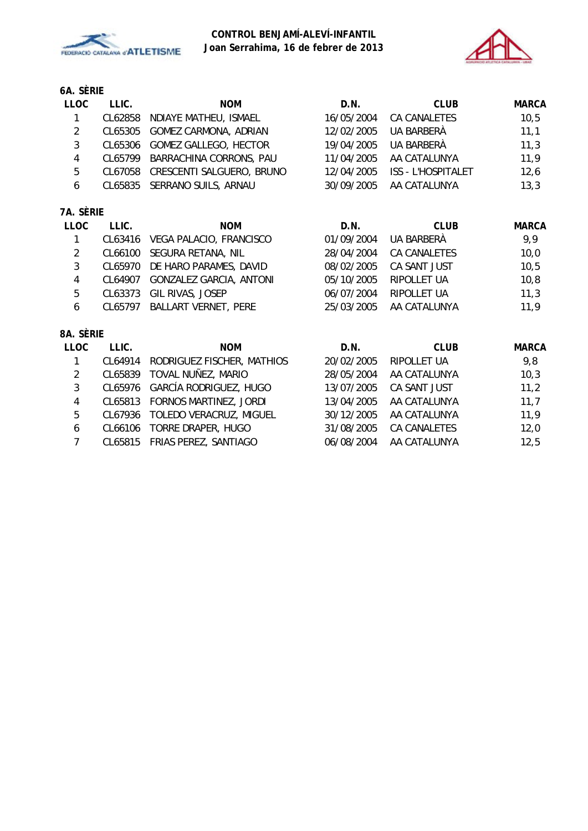



# **6A. SÈRIE**

| <b>LLOC</b>    | LLIC.   | <b>NOM</b>                     | D.N.       | <b>CLUB</b>               | <b>MARCA</b> |
|----------------|---------|--------------------------------|------------|---------------------------|--------------|
| 1              | CL62858 | NDIAYE MATHEU, ISMAEL          | 16/05/2004 | CA CANALETES              | 10,5         |
| $\overline{2}$ | CL65305 | GOMEZ CARMONA, ADRIAN          | 12/02/2005 | UA BARBERÀ                | 11,1         |
| 3              | CL65306 | <b>GOMEZ GALLEGO, HECTOR</b>   | 19/04/2005 | UA BARBERÀ                | 11,3         |
| $\overline{4}$ | CL65799 | BARRACHINA CORRONS, PAU        | 11/04/2005 | AA CATALUNYA              | 11,9         |
| 5              | CL67058 | CRESCENTI SALGUERO, BRUNO      | 12/04/2005 | <b>ISS - L'HOSPITALET</b> | 12,6         |
| 6              | CL65835 | SERRANO SUILS, ARNAU           | 30/09/2005 | AA CATALUNYA              | 13,3         |
| 7A. SÈRIE      |         |                                |            |                           |              |
| <b>LLOC</b>    | LLIC.   | <b>NOM</b>                     | D.N.       | <b>CLUB</b>               | <b>MARCA</b> |
| 1              | CL63416 | VEGA PALACIO, FRANCISCO        | 01/09/2004 | UA BARBERA                | 9,9          |
| $\overline{2}$ | CL66100 | SEGURA RETANA, NIL             | 28/04/2004 | CA CANALETES              | 10,0         |
| 3              | CL65970 | DE HARO PARAMES, DAVID         | 08/02/2005 | CA SANT JUST              | 10,5         |
| $\overline{4}$ | CL64907 | <b>GONZALEZ GARCIA, ANTONI</b> | 05/10/2005 | RIPOLLET UA               | 10,8         |
| 5              | CL63373 | GIL RIVAS, JOSEP               | 06/07/2004 | RIPOLLET UA               | 11,3         |
| 6              | CL65797 | BALLART VERNET, PERE           | 25/03/2005 | AA CATALUNYA              | 11,9         |
| 8A. SÈRIE      |         |                                |            |                           |              |
| <b>LLOC</b>    | LLIC.   | <b>NOM</b>                     | D.N.       | <b>CLUB</b>               | <b>MARCA</b> |

| LLOC         | LLIC.   | <b>NOM</b>                      | D.N.       | <b>CLUB</b>         | <b>MARCA</b> |
|--------------|---------|---------------------------------|------------|---------------------|--------------|
| $\mathbf{1}$ | CL64914 | RODRIGUEZ FISCHER, MATHIOS      | 20/02/2005 | RIPOLLET UA         | 9,8          |
| 2            |         | CL65839 TOVAL NUÑEZ, MARIO      | 28/05/2004 | AA CATALUNYA        | 10,3         |
| 3            |         | CL65976 GARCÍA RODRIGUEZ, HUGO  | 13/07/2005 | CA SANT JUST        | 11,2         |
| 4            |         | CL65813 FORNOS MARTINEZ, JORDI  | 13/04/2005 | AA CATALUNYA        | 11,7         |
| 5            |         | CL67936 TOLEDO VERACRUZ, MIGUEL | 30/12/2005 | AA CATALUNYA        | 11,9         |
| 6            |         | CL66106 TORRE DRAPER, HUGO      | 31/08/2005 | <b>CA CANALETES</b> | 12,0         |
|              |         | CL65815 FRIAS PEREZ, SANTIAGO   | 06/08/2004 | AA CATALUNYA        | 12,5         |
|              |         |                                 |            |                     |              |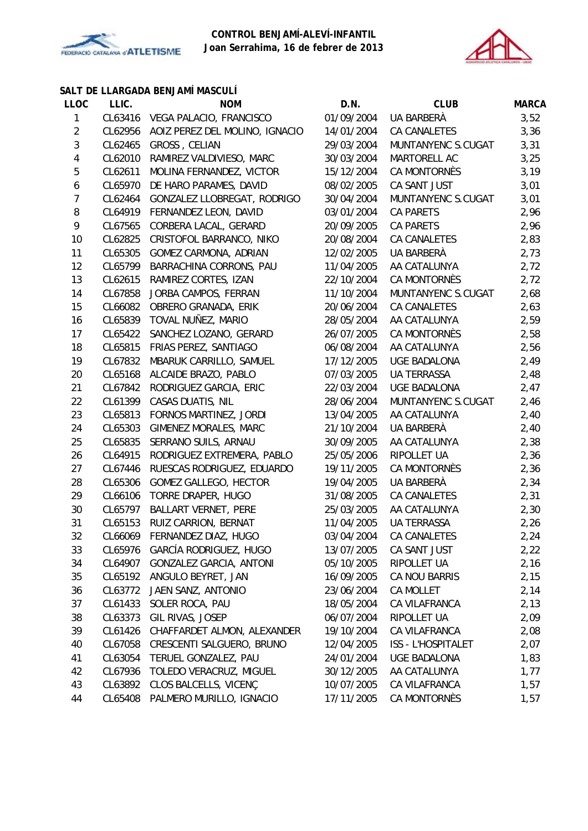



#### **SALT DE LLARGADA BENJAMÍ MASCULÍ**

| <b>LLOC</b>    | LLIC.   | <b>NOM</b>                             | D.N.       | <b>CLUB</b>               | <b>MARCA</b> |
|----------------|---------|----------------------------------------|------------|---------------------------|--------------|
| 1              |         | CL63416 VEGA PALACIO, FRANCISCO        | 01/09/2004 | UA BARBERÀ                | 3,52         |
| 2              |         | CL62956 AOIZ PEREZ DEL MOLINO, IGNACIO | 14/01/2004 | CA CANALETES              | 3,36         |
| 3              | CL62465 | GROSS, CELIAN                          | 29/03/2004 | MUNTANYENC S.CUGAT        | 3,31         |
| 4              | CL62010 | RAMIREZ VALDIVIESO, MARC               | 30/03/2004 | MARTORELL AC              | 3,25         |
| 5              | CL62611 | MOLINA FERNANDEZ, VICTOR               | 15/12/2004 | CA MONTORNÈS              | 3,19         |
| 6              | CL65970 | DE HARO PARAMES, DAVID                 | 08/02/2005 | CA SANT JUST              | 3,01         |
| $\overline{7}$ | CL62464 | GONZALEZ LLOBREGAT, RODRIGO            | 30/04/2004 | MUNTANYENC S.CUGAT        | 3,01         |
| 8              | CL64919 | FERNANDEZ LEON, DAVID                  | 03/01/2004 | <b>CA PARETS</b>          | 2,96         |
| 9              | CL67565 | CORBERA LACAL, GERARD                  | 20/09/2005 | CA PARETS                 | 2,96         |
| 10             | CL62825 | CRISTOFOL BARRANCO, NIKO               | 20/08/2004 | CA CANALETES              | 2,83         |
| 11             | CL65305 | GOMEZ CARMONA, ADRIAN                  | 12/02/2005 | UA BARBERÀ                | 2,73         |
| 12             | CL65799 | BARRACHINA CORRONS, PAU                | 11/04/2005 | AA CATALUNYA              | 2,72         |
| 13             | CL62615 | RAMIREZ CORTES, IZAN                   | 22/10/2004 | CA MONTORNÈS              | 2,72         |
| 14             | CL67858 | JORBA CAMPOS, FERRAN                   | 11/10/2004 | MUNTANYENC S.CUGAT        | 2,68         |
| 15             | CL66082 | OBRERO GRANADA, ERIK                   | 20/06/2004 | CA CANALETES              | 2,63         |
| 16             | CL65839 | TOVAL NUÑEZ, MARIO                     | 28/05/2004 | AA CATALUNYA              | 2,59         |
| 17             | CL65422 | SANCHEZ LOZANO, GERARD                 | 26/07/2005 | CA MONTORNÈS              | 2,58         |
| 18             | CL65815 | FRIAS PEREZ, SANTIAGO                  | 06/08/2004 | AA CATALUNYA              | 2,56         |
| 19             | CL67832 | MBARUK CARRILLO, SAMUEL                | 17/12/2005 | UGE BADALONA              | 2,49         |
| 20             |         | CL65168 ALCAIDE BRAZO, PABLO           | 07/03/2005 | <b>UA TERRASSA</b>        | 2,48         |
| 21             | CL67842 | RODRIGUEZ GARCIA, ERIC                 | 22/03/2004 | <b>UGE BADALONA</b>       | 2,47         |
| 22             | CL61399 | CASAS DUATIS, NIL                      | 28/06/2004 | MUNTANYENC S.CUGAT        | 2,46         |
| 23             | CL65813 | FORNOS MARTINEZ, JORDI                 | 13/04/2005 | AA CATALUNYA              | 2,40         |
| 24             | CL65303 | GIMENEZ MORALES, MARC                  | 21/10/2004 | UA BARBERÀ                | 2,40         |
| 25             | CL65835 | SERRANO SUILS, ARNAU                   | 30/09/2005 | AA CATALUNYA              | 2,38         |
| 26             | CL64915 | RODRIGUEZ EXTREMERA, PABLO             | 25/05/2006 | RIPOLLET UA               | 2,36         |
| 27             | CL67446 | RUESCAS RODRIGUEZ, EDUARDO             | 19/11/2005 | CA MONTORNÈS              | 2,36         |
| 28             | CL65306 | GOMEZ GALLEGO, HECTOR                  | 19/04/2005 | UA BARBERÀ                | 2,34         |
| 29             | CL66106 | TORRE DRAPER, HUGO                     | 31/08/2005 | CA CANALETES              | 2,31         |
| 30             | CL65797 | BALLART VERNET, PERE                   | 25/03/2005 | AA CATALUNYA              | 2,30         |
| 31             | CL65153 | RUIZ CARRION, BERNAT                   | 11/04/2005 | <b>UA TERRASSA</b>        | 2,26         |
| 32             | CL66069 | FERNANDEZ DIAZ, HUGO                   | 03/04/2004 | CA CANALETES              | 2,24         |
| 33             | CL65976 | GARCÍA RODRIGUEZ, HUGO                 | 13/07/2005 | CA SANT JUST              | 2,22         |
| 34             | CL64907 | <b>GONZALEZ GARCIA, ANTONI</b>         | 05/10/2005 | RIPOLLET UA               | 2,16         |
| 35             | CL65192 | ANGULO BEYRET, JAN                     | 16/09/2005 | CA NOU BARRIS             | 2,15         |
| 36             | CL63772 | JAEN SANZ, ANTONIO                     | 23/06/2004 | <b>CA MOLLET</b>          | 2,14         |
| 37             | CL61433 | SOLER ROCA, PAU                        | 18/05/2004 | CA VILAFRANCA             | 2,13         |
| 38             | CL63373 | GIL RIVAS, JOSEP                       | 06/07/2004 | RIPOLLET UA               | 2,09         |
| 39             | CL61426 | CHAFFARDET ALMON, ALEXANDER            | 19/10/2004 | CA VILAFRANCA             | 2,08         |
| 40             | CL67058 | CRESCENTI SALGUERO, BRUNO              | 12/04/2005 | <b>ISS - L'HOSPITALET</b> | 2,07         |
| 41             | CL63054 | TERUEL GONZALEZ, PAU                   | 24/01/2004 | UGE BADALONA              | 1,83         |
| 42             | CL67936 | TOLEDO VERACRUZ, MIGUEL                | 30/12/2005 | AA CATALUNYA              | 1,77         |
| 43             | CL63892 | CLOS BALCELLS, VICENÇ                  | 10/07/2005 | CA VILAFRANCA             | 1,57         |
| 44             | CL65408 | PALMERO MURILLO, IGNACIO               | 17/11/2005 | CA MONTORNÈS              | 1,57         |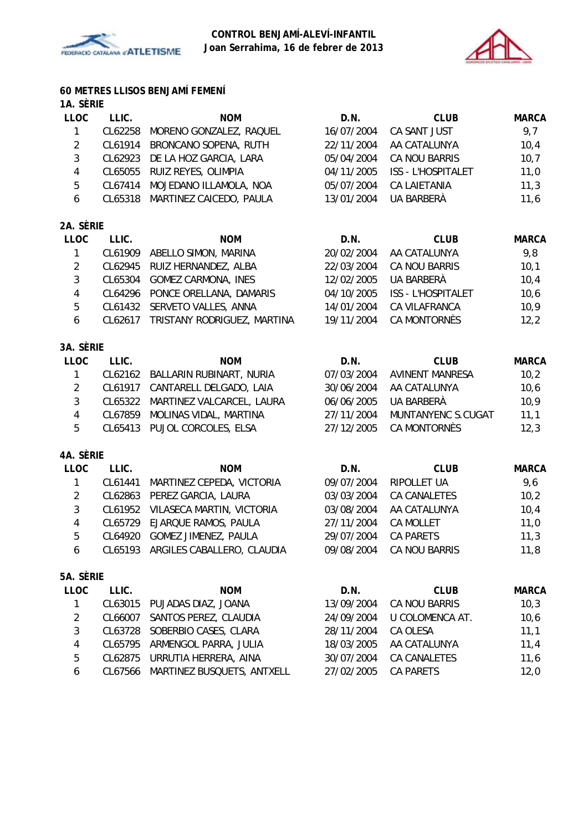



# **60 METRES LLISOS BENJAMÍ FEMENÍ**

| <b>LLOC</b> | LLIC.   | <b>NOM</b>                      | D.N.       | <b>CLUB</b>        | <b>MARCA</b> |
|-------------|---------|---------------------------------|------------|--------------------|--------------|
|             |         | CL62258 MORENO GONZALEZ, RAQUEL | 16/07/2004 | CA SANT JUST       | 9,7          |
| 2           |         | CL61914 BRONCANO SOPENA, RUTH   | 22/11/2004 | AA CATALUNYA       | 10,4         |
| 3           |         | CL62923 DE LA HOZ GARCIA, LARA  | 05/04/2004 | CA NOU BARRIS      | 10,7         |
| 4           |         | CL65055 RUIZ REYES, OLIMPIA     | 04/11/2005 | ISS - L'HOSPITALET | 11,0         |
| 5           | CL67414 | MOJEDANO ILLAMOLA, NOA          | 05/07/2004 | CA LAIETANIA       | 11,3         |
| 6           |         | CL65318 MARTINEZ CAICEDO, PAULA | 13/01/2004 | UA BARBERÀ         | 11,6         |
|             |         |                                 |            |                    |              |

# **2A. SÈRIE**

| <b>LLOC</b> | LLIC.   | <b>NOM</b>                      | D.N.       | <b>CLUB</b>        | <b>MARCA</b> |
|-------------|---------|---------------------------------|------------|--------------------|--------------|
|             | CL61909 | ABELLO SIMON, MARINA            | 20/02/2004 | AA CATALUNYA       | 9.8          |
|             |         | CL62945 RUIZ HERNANDEZ, ALBA    | 22/03/2004 | CA NOU BARRIS      | 10,1         |
|             |         | CL65304 GOMEZ CARMONA, INES     | 12/02/2005 | UA BARBERÀ         | 10,4         |
| 4           |         | CL64296 PONCE ORELLANA, DAMARIS | 04/10/2005 | ISS - L'HOSPITALET | 10,6         |
| 5.          |         | CL61432 SERVETO VALLES, ANNA    | 14/01/2004 | CA VILAFRANCA      | 10,9         |
| 6           | CL62617 | TRISTANY RODRIGUEZ, MARTINA     | 19/11/2004 | CA MONTORNÈS       | 12,2         |
|             |         |                                 |            |                    |              |

## **3A. SÈRIE**

| LLOC          | LLIC. | <b>NOM</b>                        | D.N.       | <b>CLUB</b>        | <b>MARCA</b> |
|---------------|-------|-----------------------------------|------------|--------------------|--------------|
|               |       | CL62162 BALLARIN RUBINART, NURIA  | 07/03/2004 | AVINENT MANRESA    | 10,2         |
| 2             |       | CL61917 CANTARELL DELGADO, LAIA   | 30/06/2004 | AA CATALUNYA       | 10,6         |
| $\mathcal{E}$ |       | CL65322 MARTINEZ VALCARCEL, LAURA | 06/06/2005 | UA BARBERÀ         | 10,9         |
| 4             |       | CL67859 MOLINAS VIDAL, MARTINA    | 27/11/2004 | MUNTANYENC S.CUGAT | 11,1         |
| 5.            |       | CL65413 PUJOL CORCOLES, ELSA      | 27/12/2005 | CA MONTORNÈS       | 12,3         |
|               |       |                                   |            |                    |              |

### **4A. SÈRIE**

| LLOC | LLIC.   | <b>NOM</b>                         | D.N.       | <b>CLUB</b>      | <b>MARCA</b> |
|------|---------|------------------------------------|------------|------------------|--------------|
|      | CL61441 | MARTINEZ CEPEDA, VICTORIA          | 09/07/2004 | RIPOLLET UA      | 9.6          |
| 2    |         | CL62863 PEREZ GARCIA, LAURA        | 03/03/2004 | CA CANALETES     | 10,2         |
| 3    |         | CL61952 VILASECA MARTIN, VICTORIA  | 03/08/2004 | AA CATALUNYA     | 10,4         |
| 4    |         | CL65729 EJARQUE RAMOS, PAULA       | 27/11/2004 | <b>CA MOLLET</b> | 11,0         |
| 5    |         | CL64920 GOMEZ JIMENEZ, PAULA       | 29/07/2004 | <b>CA PARETS</b> | 11,3         |
| 6    |         | CL65193 ARGILES CABALLERO, CLAUDIA | 09/08/2004 | CA NOU BARRIS    | 11,8         |
|      |         |                                    |            |                  |              |

## **5A. SÈRIE**

| LLOC | LLIC.   | <b>NOM</b>                         | D.N.       | <b>CLUB</b>            | <b>MARCA</b> |
|------|---------|------------------------------------|------------|------------------------|--------------|
|      |         | CL63015 PUJADAS DIAZ, JOANA        | 13/09/2004 | CA NOU BARRIS          | 10,3         |
| 2    | CL66007 | SANTOS PEREZ, CLAUDIA              | 24/09/2004 | <b>U COLOMENCA AT.</b> | 10,6         |
| 3    |         | CL63728 SOBERBIO CASES, CLARA      | 28/11/2004 | CA OLESA               | 11,1         |
| 4    |         | CL65795 ARMENGOL PARRA, JULIA      | 18/03/2005 | AA CATALUNYA           | 11.4         |
| 5    |         | CL62875 URRUTIA HERRERA, AINA      | 30/07/2004 | CA CANALETES           | 11,6         |
| 6    |         | CL67566 MARTINEZ BUSQUETS, ANTXELL | 27/02/2005 | CA PARFTS              | 12.0         |
|      |         |                                    |            |                        |              |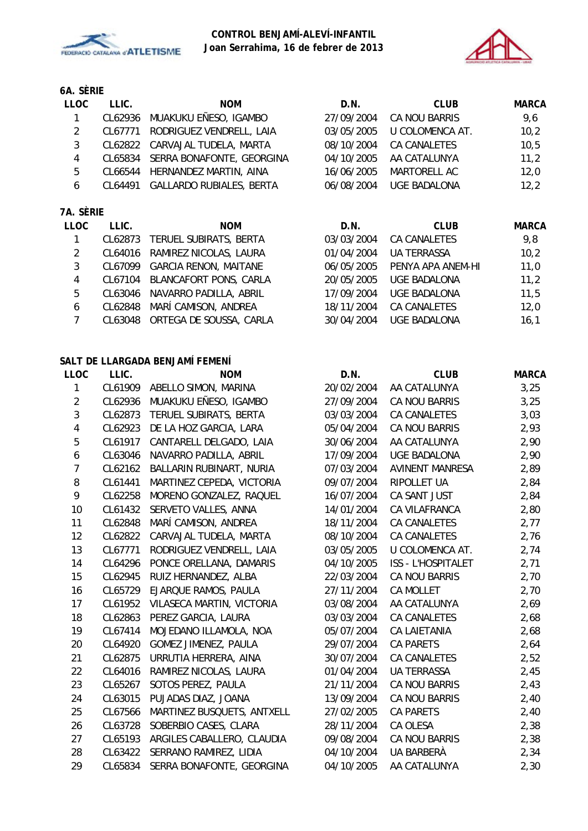



# **6A. SÈRIE**

| <b>LLOC</b> | LLIC. | <b>NOM</b>                        | D.N.       | <b>CLUB</b>     | MARCA |
|-------------|-------|-----------------------------------|------------|-----------------|-------|
|             |       | CL62936 MUAKUKU EÑESO, IGAMBO     | 27/09/2004 | CA NOU BARRIS   | 9.6   |
| 2           |       | CL67771 RODRIGUEZ VENDRELL, LAIA  | 03/05/2005 | U COLOMENCA AT. | 10,2  |
| 3           |       | CL62822 CARVAJAL TUDELA, MARTA    | 08/10/2004 | CA CANALETES    | 10.5  |
| 4           |       | CL65834 SERRA BONAFONTE, GEORGINA | 04/10/2005 | AA CATALUNYA    | 11,2  |
| 5           |       | CL66544 HERNANDEZ MARTIN, AINA    | 16/06/2005 | MARTORELL AC    | 12,0  |
| 6           |       | CL64491 GALLARDO RUBIALES, BERTA  | 06/08/2004 | UGE BADALONA    | 12.2  |

### **7A. SÈRIE**

| LLOC           | LLIC.   | <b>NOM</b>                      | D.N.       | <b>CLUB</b>         | <b>MARCA</b> |
|----------------|---------|---------------------------------|------------|---------------------|--------------|
| $\overline{1}$ | CL62873 | TERUEL SUBIRATS, BERTA          | 03/03/2004 | <b>CA CANALETES</b> | 9,8          |
| 2              |         | CL64016 RAMIREZ NICOLAS, LAURA  | 01/04/2004 | <b>UA TERRASSA</b>  | 10,2         |
| 3              |         | CL67099 GARCIA RENON, MAITANE   | 06/05/2005 | PENYA APA ANEM-HI   | 11,0         |
| 4              |         | CL67104 BLANCAFORT PONS, CARLA  | 20/05/2005 | <b>UGE BADALONA</b> | 11,2         |
| 5              | CL63046 | NAVARRO PADILLA, ABRIL          | 17/09/2004 | <b>UGE BADALONA</b> | 11,5         |
| 6              |         | CL62848 MARÍ CAMISON, ANDREA    | 18/11/2004 | <b>CA CANALETES</b> | 12,0         |
|                |         | CL63048 ORTEGA DE SOUSSA, CARLA | 30/04/2004 | <b>UGE BADALONA</b> | 16,1         |

#### **SALT DE LLARGADA BENJAMÍ FEMENÍ**

| LLOC           | LLIC.   | <b>NOM</b>                  | D.N.       | <b>CLUB</b>               | <b>MARCA</b> |
|----------------|---------|-----------------------------|------------|---------------------------|--------------|
| 1              | CL61909 | ABELLO SIMON, MARINA        | 20/02/2004 | AA CATALUNYA              | 3,25         |
| $\overline{2}$ | CL62936 | MUAKUKU EÑESO, IGAMBO       | 27/09/2004 | CA NOU BARRIS             | 3,25         |
| 3              | CL62873 | TERUEL SUBIRATS, BERTA      | 03/03/2004 | CA CANALETES              | 3,03         |
| $\overline{4}$ | CL62923 | DE LA HOZ GARCIA, LARA      | 05/04/2004 | CA NOU BARRIS             | 2,93         |
| 5              | CL61917 | CANTARELL DELGADO, LAIA     | 30/06/2004 | AA CATALUNYA              | 2,90         |
| 6              | CL63046 | NAVARRO PADILLA, ABRIL      | 17/09/2004 | <b>UGE BADALONA</b>       | 2,90         |
| $\overline{7}$ | CL62162 | BALLARIN RUBINART, NURIA    | 07/03/2004 | <b>AVINENT MANRESA</b>    | 2,89         |
| 8              | CL61441 | MARTINEZ CEPEDA, VICTORIA   | 09/07/2004 | RIPOLLET UA               | 2,84         |
| 9              | CL62258 | MORENO GONZALEZ, RAQUEL     | 16/07/2004 | CA SANT JUST              | 2,84         |
| 10             | CL61432 | SERVETO VALLES, ANNA        | 14/01/2004 | CA VILAFRANCA             | 2,80         |
| 11             | CL62848 | MARÍ CAMISON, ANDREA        | 18/11/2004 | CA CANALETES              | 2,77         |
| 12             | CL62822 | CARVAJAL TUDELA, MARTA      | 08/10/2004 | <b>CA CANALETES</b>       | 2,76         |
| 13             | CL67771 | RODRIGUEZ VENDRELL, LAIA    | 03/05/2005 | U COLOMENCA AT.           | 2,74         |
| 14             | CL64296 | PONCE ORELLANA, DAMARIS     | 04/10/2005 | <b>ISS - L'HOSPITALET</b> | 2,71         |
| 15             | CL62945 | RUIZ HERNANDEZ, ALBA        | 22/03/2004 | CA NOU BARRIS             | 2,70         |
| 16             | CL65729 | EJARQUE RAMOS, PAULA        | 27/11/2004 | <b>CA MOLLET</b>          | 2,70         |
| 17             | CL61952 | VILASECA MARTIN, VICTORIA   | 03/08/2004 | AA CATALUNYA              | 2,69         |
| 18             | CL62863 | PEREZ GARCIA, LAURA         | 03/03/2004 | CA CANALETES              | 2,68         |
| 19             | CL67414 | MOJEDANO ILLAMOLA, NOA      | 05/07/2004 | <b>CA LAIETANIA</b>       | 2,68         |
| 20             | CL64920 | <b>GOMEZ JIMENEZ, PAULA</b> | 29/07/2004 | <b>CA PARETS</b>          | 2,64         |
| 21             | CL62875 | URRUTIA HERRERA, AINA       | 30/07/2004 | CA CANALETES              | 2,52         |
| 22             | CL64016 | RAMIREZ NICOLAS, LAURA      | 01/04/2004 | <b>UA TERRASSA</b>        | 2,45         |
| 23             | CL65267 | SOTOS PEREZ, PAULA          | 21/11/2004 | CA NOU BARRIS             | 2,43         |
| 24             | CL63015 | PUJADAS DIAZ, JOANA         | 13/09/2004 | CA NOU BARRIS             | 2,40         |
| 25             | CL67566 | MARTINEZ BUSQUETS, ANTXELL  | 27/02/2005 | <b>CA PARETS</b>          | 2,40         |
| 26             | CL63728 | SOBERBIO CASES, CLARA       | 28/11/2004 | CA OLESA                  | 2,38         |
| 27             | CL65193 | ARGILES CABALLERO, CLAUDIA  | 09/08/2004 | CA NOU BARRIS             | 2,38         |
| 28             | CL63422 | SERRANO RAMIREZ, LIDIA      | 04/10/2004 | UA BARBERÀ                | 2,34         |
| 29             | CL65834 | SERRA BONAFONTE, GEORGINA   | 04/10/2005 | AA CATALUNYA              | 2,30         |
|                |         |                             |            |                           |              |